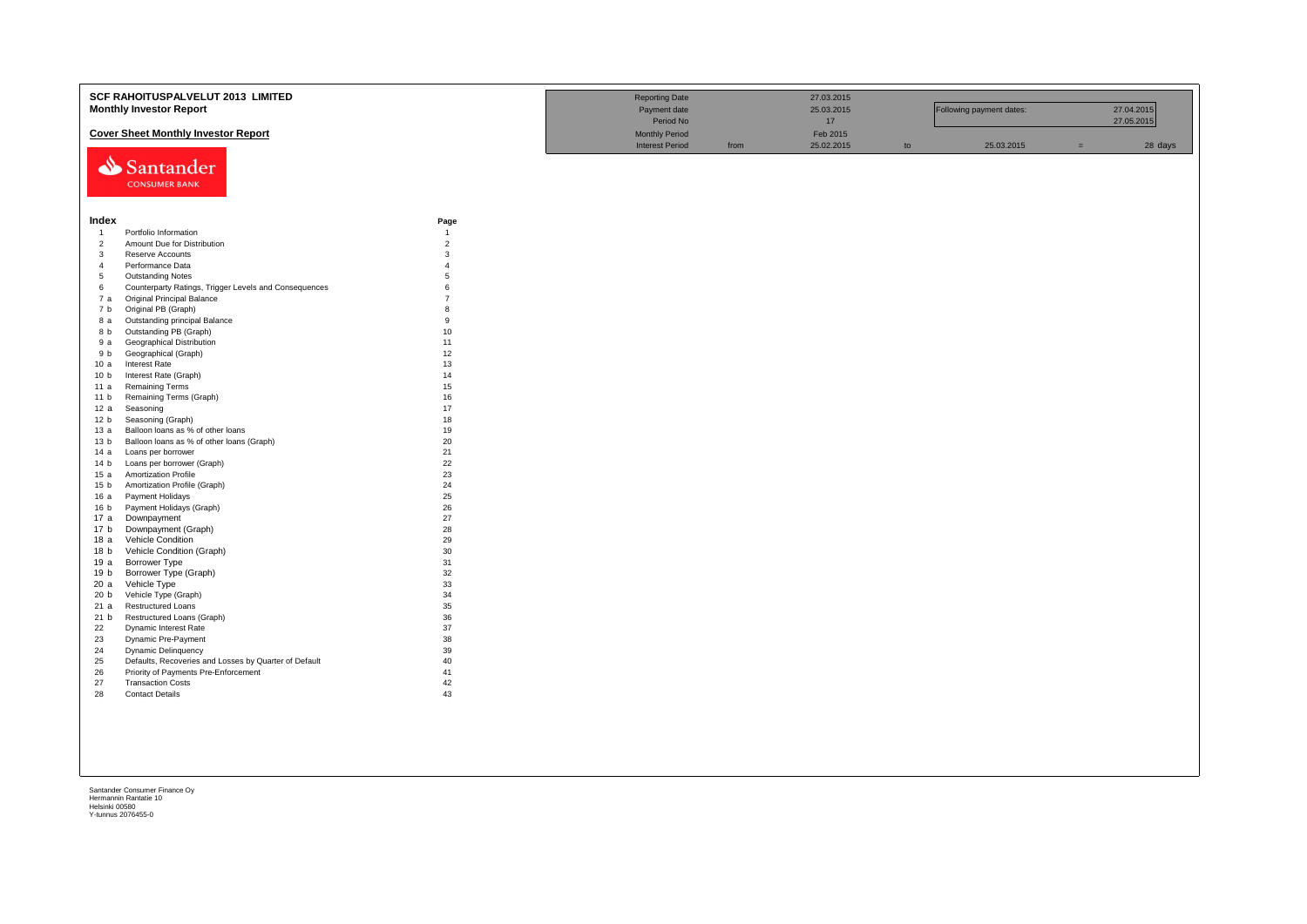|                        | <b>SCF RAHOITUSPALVELUT 2013 LIMITED</b><br><b>Monthly Investor Report</b> |                     | <b>Reporting Date</b><br>Payment date<br>Period No |      | 27.03.2015<br>25.03.2015<br>17 |    | Following payment dates: |     | 27.04.2015<br>27.05.2015 |
|------------------------|----------------------------------------------------------------------------|---------------------|----------------------------------------------------|------|--------------------------------|----|--------------------------|-----|--------------------------|
|                        | <b>Cover Sheet Monthly Investor Report</b>                                 |                     | <b>Monthly Period</b>                              |      | Feb 2015                       |    |                          |     |                          |
|                        | Santander<br><b>CONSUMER BANK</b>                                          |                     | <b>Interest Period</b>                             | from | 25.02.2015                     | to | 25.03.2015               | $=$ | 28 days                  |
| Index                  |                                                                            | Page                |                                                    |      |                                |    |                          |     |                          |
| $\overline{1}$         | Portfolio Information                                                      | $\overline{1}$      |                                                    |      |                                |    |                          |     |                          |
| $\overline{2}$         | Amount Due for Distribution                                                | $\overline{2}$      |                                                    |      |                                |    |                          |     |                          |
| $\overline{3}$         | Reserve Accounts                                                           | 3                   |                                                    |      |                                |    |                          |     |                          |
| $\overline{4}$<br>5    | Performance Data<br><b>Outstanding Notes</b>                               | $\overline{4}$<br>5 |                                                    |      |                                |    |                          |     |                          |
| 6                      | Counterparty Ratings, Trigger Levels and Consequences                      | $\mathbf{6}$        |                                                    |      |                                |    |                          |     |                          |
| 7 а                    | Original Principal Balance                                                 | $\overline{7}$      |                                                    |      |                                |    |                          |     |                          |
| 7 b                    | Original PB (Graph)                                                        | 8                   |                                                    |      |                                |    |                          |     |                          |
| 8 a                    | Outstanding principal Balance                                              | $\mathbf{q}$        |                                                    |      |                                |    |                          |     |                          |
| 8 b                    | Outstanding PB (Graph)                                                     | 10                  |                                                    |      |                                |    |                          |     |                          |
| 9а                     | Geographical Distribution                                                  | 11                  |                                                    |      |                                |    |                          |     |                          |
| 9 b                    | Geographical (Graph)                                                       | 12                  |                                                    |      |                                |    |                          |     |                          |
| 10a                    | Interest Rate                                                              | 13                  |                                                    |      |                                |    |                          |     |                          |
| 10 <sub>b</sub>        | Interest Rate (Graph)                                                      | 14                  |                                                    |      |                                |    |                          |     |                          |
| 11 a                   | <b>Remaining Terms</b>                                                     | 15                  |                                                    |      |                                |    |                          |     |                          |
| 11 <sub>b</sub>        | Remaining Terms (Graph)                                                    | 16                  |                                                    |      |                                |    |                          |     |                          |
| 12 a                   | Seasoning                                                                  | 17                  |                                                    |      |                                |    |                          |     |                          |
| 12 <sub>b</sub>        | Seasoning (Graph)                                                          | 18                  |                                                    |      |                                |    |                          |     |                          |
| 13 а                   | Balloon loans as % of other loans                                          | 19                  |                                                    |      |                                |    |                          |     |                          |
| 13 <sub>b</sub>        | Balloon loans as % of other loans (Graph)                                  | 20                  |                                                    |      |                                |    |                          |     |                          |
| 14 a                   | Loans per borrower                                                         | 21                  |                                                    |      |                                |    |                          |     |                          |
| 14 <sub>b</sub>        | Loans per borrower (Graph)                                                 | 22                  |                                                    |      |                                |    |                          |     |                          |
| 15a                    | <b>Amortization Profile</b>                                                | 23<br>24            |                                                    |      |                                |    |                          |     |                          |
| 15 <sub>b</sub><br>16a | Amortization Profile (Graph)<br>Payment Holidays                           | 25                  |                                                    |      |                                |    |                          |     |                          |
| 16 <sub>b</sub>        | Payment Holidays (Graph)                                                   | 26                  |                                                    |      |                                |    |                          |     |                          |
| 17 a                   | Downpayment                                                                | 27                  |                                                    |      |                                |    |                          |     |                          |
| 17 <sub>b</sub>        | Downpayment (Graph)                                                        | 28                  |                                                    |      |                                |    |                          |     |                          |
| 18 a                   | Vehicle Condition                                                          | 29                  |                                                    |      |                                |    |                          |     |                          |
| 18 b                   | Vehicle Condition (Graph)                                                  | 30                  |                                                    |      |                                |    |                          |     |                          |
| 19a                    | Borrower Type                                                              | 31                  |                                                    |      |                                |    |                          |     |                          |
| 19 <sub>b</sub>        | Borrower Type (Graph)                                                      | 32                  |                                                    |      |                                |    |                          |     |                          |
| 20 a                   | Vehicle Type                                                               | 33                  |                                                    |      |                                |    |                          |     |                          |
| 20 <sub>b</sub>        | Vehicle Type (Graph)                                                       | 34                  |                                                    |      |                                |    |                          |     |                          |
| 21 a                   | Restructured Loans                                                         | 35                  |                                                    |      |                                |    |                          |     |                          |
| 21 b                   | Restructured Loans (Graph)                                                 | 36                  |                                                    |      |                                |    |                          |     |                          |
| 22                     | Dynamic Interest Rate                                                      | 37                  |                                                    |      |                                |    |                          |     |                          |
| 23                     | Dynamic Pre-Payment                                                        | 38                  |                                                    |      |                                |    |                          |     |                          |
| 24                     | Dynamic Delinquency                                                        | 39                  |                                                    |      |                                |    |                          |     |                          |
| 25                     | Defaults, Recoveries and Losses by Quarter of Default                      | 40<br>41            |                                                    |      |                                |    |                          |     |                          |
| 26<br>27               | Priority of Payments Pre-Enforcement<br><b>Transaction Costs</b>           | 42                  |                                                    |      |                                |    |                          |     |                          |
| 28                     | <b>Contact Details</b>                                                     | 43                  |                                                    |      |                                |    |                          |     |                          |
|                        |                                                                            |                     |                                                    |      |                                |    |                          |     |                          |
|                        |                                                                            |                     |                                                    |      |                                |    |                          |     |                          |
|                        |                                                                            |                     |                                                    |      |                                |    |                          |     |                          |
|                        |                                                                            |                     |                                                    |      |                                |    |                          |     |                          |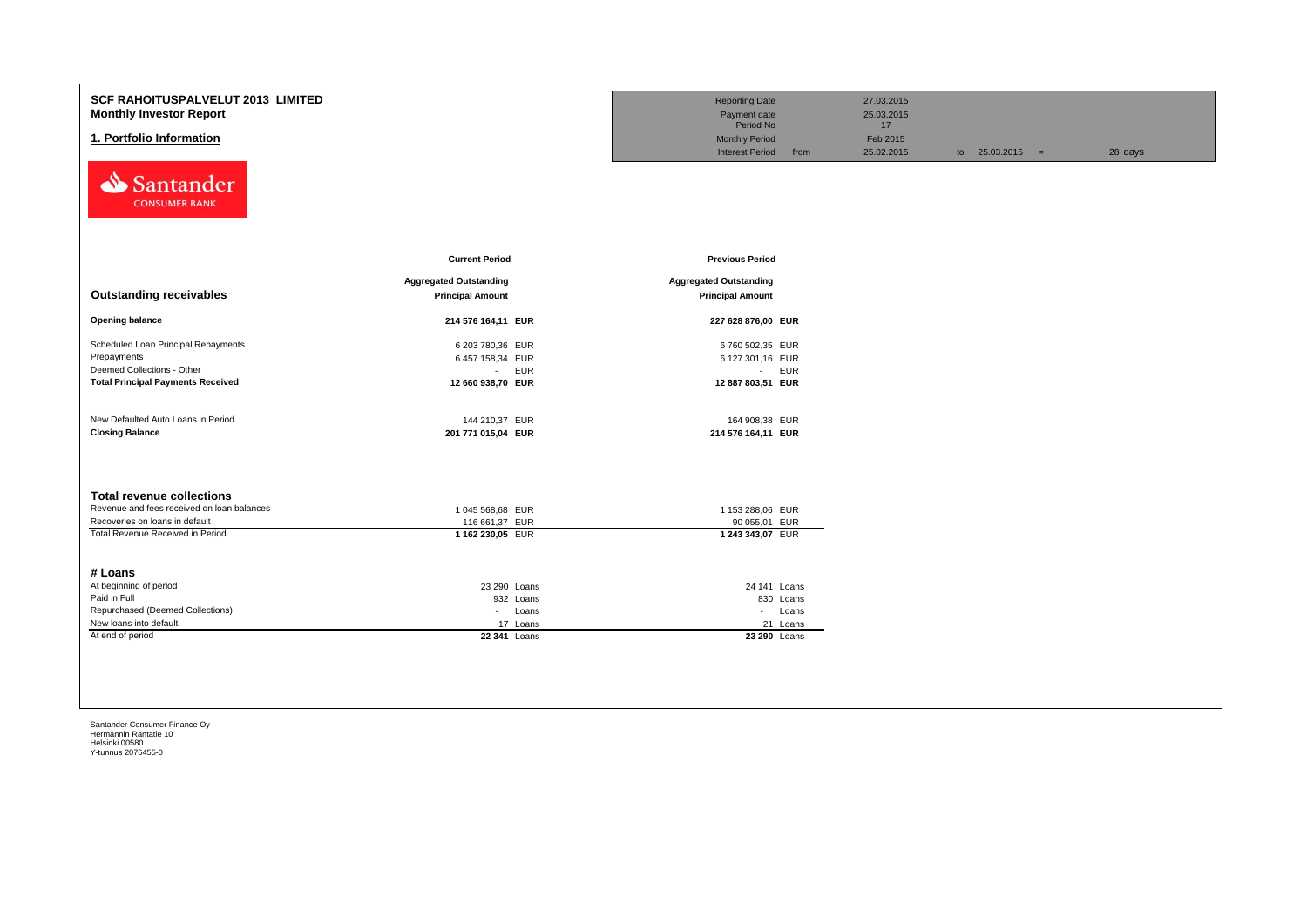| SCF RAHOITUSPALVELUT 2013 LIMITED<br><b>Monthly Investor Report</b><br>1. Portfolio Information |                                                          | <b>Reporting Date</b><br>Payment date<br>Period No<br><b>Monthly Period</b><br><b>Interest Period</b><br>from | 27.03.2015<br>25.03.2015<br>17<br>Feb 2015<br>25.02.2015 | to $25.03.2015 =$ | 28 days |
|-------------------------------------------------------------------------------------------------|----------------------------------------------------------|---------------------------------------------------------------------------------------------------------------|----------------------------------------------------------|-------------------|---------|
| Santander<br><b>CONSUMER BANK</b>                                                               | <b>Current Period</b>                                    | <b>Previous Period</b>                                                                                        |                                                          |                   |         |
|                                                                                                 |                                                          |                                                                                                               |                                                          |                   |         |
| <b>Outstanding receivables</b>                                                                  | <b>Aggregated Outstanding</b><br><b>Principal Amount</b> | <b>Aggregated Outstanding</b><br><b>Principal Amount</b>                                                      |                                                          |                   |         |
| <b>Opening balance</b>                                                                          | 214 576 164,11 EUR                                       | 227 628 876,00 EUR                                                                                            |                                                          |                   |         |
| Scheduled Loan Principal Repayments                                                             | 6 203 780,36 EUR                                         | 6 760 502,35 EUR                                                                                              |                                                          |                   |         |
| Prepayments                                                                                     | 6 457 158,34 EUR                                         | 6 127 301,16 EUR                                                                                              |                                                          |                   |         |
| Deemed Collections - Other                                                                      | <b>EUR</b><br>$\sim 100$                                 | - EUR                                                                                                         |                                                          |                   |         |
| <b>Total Principal Payments Received</b>                                                        | 12 660 938,70 EUR                                        | 12 887 803,51 EUR                                                                                             |                                                          |                   |         |
| New Defaulted Auto Loans in Period                                                              | 144 210,37 EUR                                           | 164 908,38 EUR                                                                                                |                                                          |                   |         |
| <b>Closing Balance</b>                                                                          | 201 771 015,04 EUR                                       | 214 576 164,11 EUR                                                                                            |                                                          |                   |         |
| <b>Total revenue collections</b>                                                                |                                                          |                                                                                                               |                                                          |                   |         |
| Revenue and fees received on loan balances                                                      | 1 045 568,68 EUR                                         | 1 153 288,06 EUR                                                                                              |                                                          |                   |         |
| Recoveries on loans in default                                                                  | 116 661,37 EUR                                           | 90 055,01 EUR                                                                                                 |                                                          |                   |         |
| Total Revenue Received in Period<br># Loans                                                     | 1 162 230,05 EUR                                         | 1 243 343,07 EUR                                                                                              |                                                          |                   |         |
| At beginning of period                                                                          | 23 290 Loans                                             | 24 141 Loans                                                                                                  |                                                          |                   |         |
| Paid in Full                                                                                    | 932 Loans                                                | 830 Loans                                                                                                     |                                                          |                   |         |
| Repurchased (Deemed Collections)                                                                | - Loans                                                  | - Loans                                                                                                       |                                                          |                   |         |
| New loans into default                                                                          | 17 Loans                                                 | 21 Loans                                                                                                      |                                                          |                   |         |
| At end of period                                                                                | 22 341 Loans                                             | 23 290 Loans                                                                                                  |                                                          |                   |         |
|                                                                                                 |                                                          |                                                                                                               |                                                          |                   |         |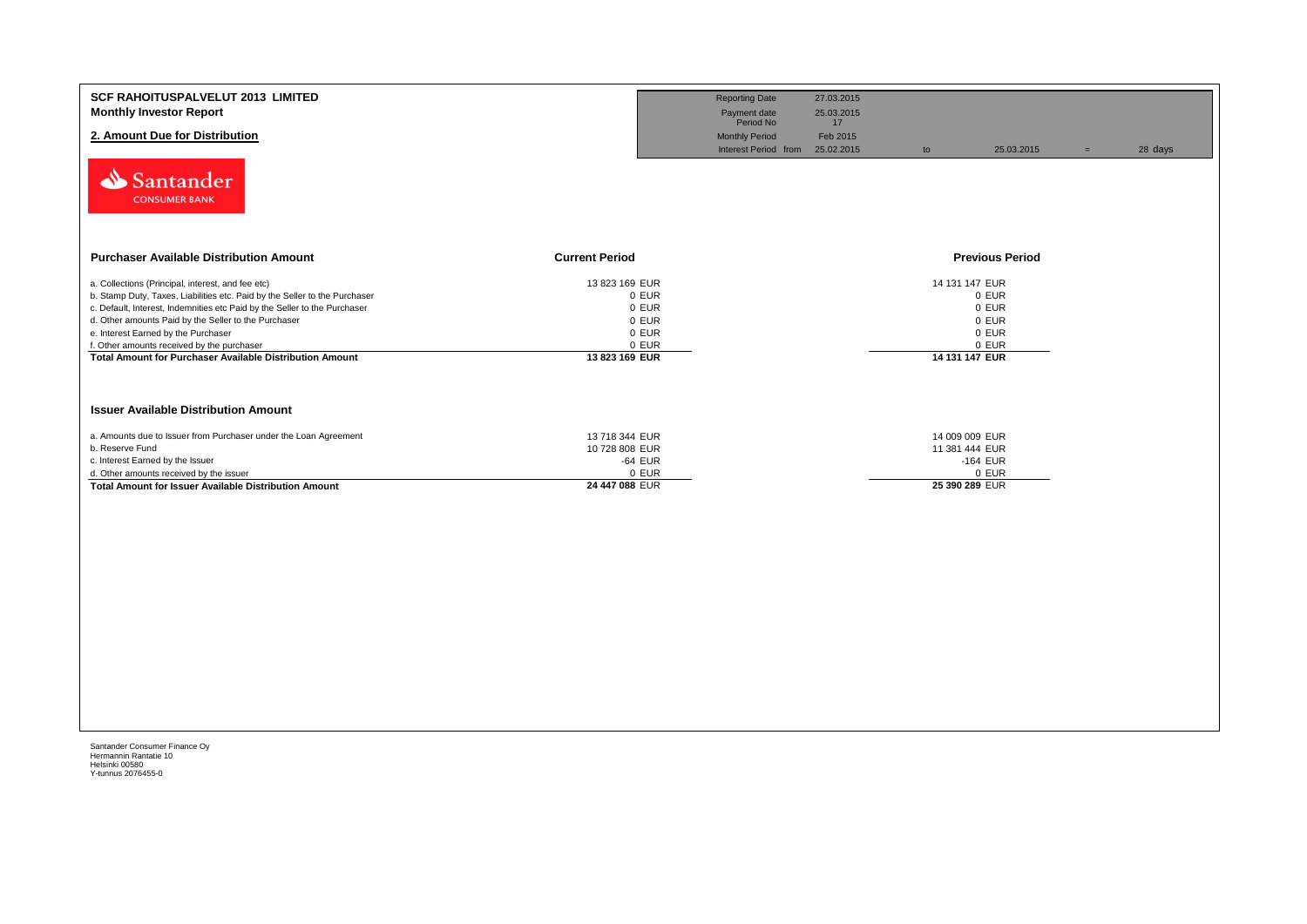| <b>SCF RAHOITUSPALVELUT 2013 LIMITED</b><br><b>Monthly Investor Report</b><br>2. Amount Due for Distribution<br>Santander<br><b>CONSUMER BANK</b>                                                                                                                                                                                                                                                                     |                                                                               | <b>Reporting Date</b><br>Payment date<br>Period No<br><b>Monthly Period</b><br>Interest Period from | 27.03.2015<br>25.03.2015<br>17<br>Feb 2015<br>25.02.2015 | to | 25.03.2015                                                                    | $=$ | 28 days |
|-----------------------------------------------------------------------------------------------------------------------------------------------------------------------------------------------------------------------------------------------------------------------------------------------------------------------------------------------------------------------------------------------------------------------|-------------------------------------------------------------------------------|-----------------------------------------------------------------------------------------------------|----------------------------------------------------------|----|-------------------------------------------------------------------------------|-----|---------|
| <b>Purchaser Available Distribution Amount</b>                                                                                                                                                                                                                                                                                                                                                                        | <b>Current Period</b>                                                         |                                                                                                     |                                                          |    | <b>Previous Period</b>                                                        |     |         |
| a. Collections (Principal, interest, and fee etc)<br>b. Stamp Duty, Taxes, Liabilities etc. Paid by the Seller to the Purchaser<br>c. Default, Interest, Indemnities etc Paid by the Seller to the Purchaser<br>d. Other amounts Paid by the Seller to the Purchaser<br>e. Interest Earned by the Purchaser<br>f. Other amounts received by the purchaser<br>Total Amount for Purchaser Available Distribution Amount | 13 823 169 EUR<br>0 EUR<br>0 EUR<br>0 EUR<br>0 EUR<br>0 EUR<br>13 823 169 EUR |                                                                                                     |                                                          |    | 14 131 147 EUR<br>0 EUR<br>0 EUR<br>0 EUR<br>0 EUR<br>0 EUR<br>14 131 147 EUR |     |         |
| <b>Issuer Available Distribution Amount</b>                                                                                                                                                                                                                                                                                                                                                                           |                                                                               |                                                                                                     |                                                          |    |                                                                               |     |         |
| a. Amounts due to Issuer from Purchaser under the Loan Agreement<br>b. Reserve Fund<br>c. Interest Earned by the Issuer<br>d. Other amounts received by the issuer<br><b>Total Amount for Issuer Available Distribution Amount</b>                                                                                                                                                                                    | 13 718 344 EUR<br>10 728 808 EUR<br>-64 EUR<br>0 EUR<br>24 447 088 EUR        |                                                                                                     |                                                          |    | 14 009 009 EUR<br>11 381 444 EUR<br>$-164$ EUR<br>0 EUR<br>25 390 289 EUR     |     |         |
|                                                                                                                                                                                                                                                                                                                                                                                                                       |                                                                               |                                                                                                     |                                                          |    |                                                                               |     |         |
|                                                                                                                                                                                                                                                                                                                                                                                                                       |                                                                               |                                                                                                     |                                                          |    |                                                                               |     |         |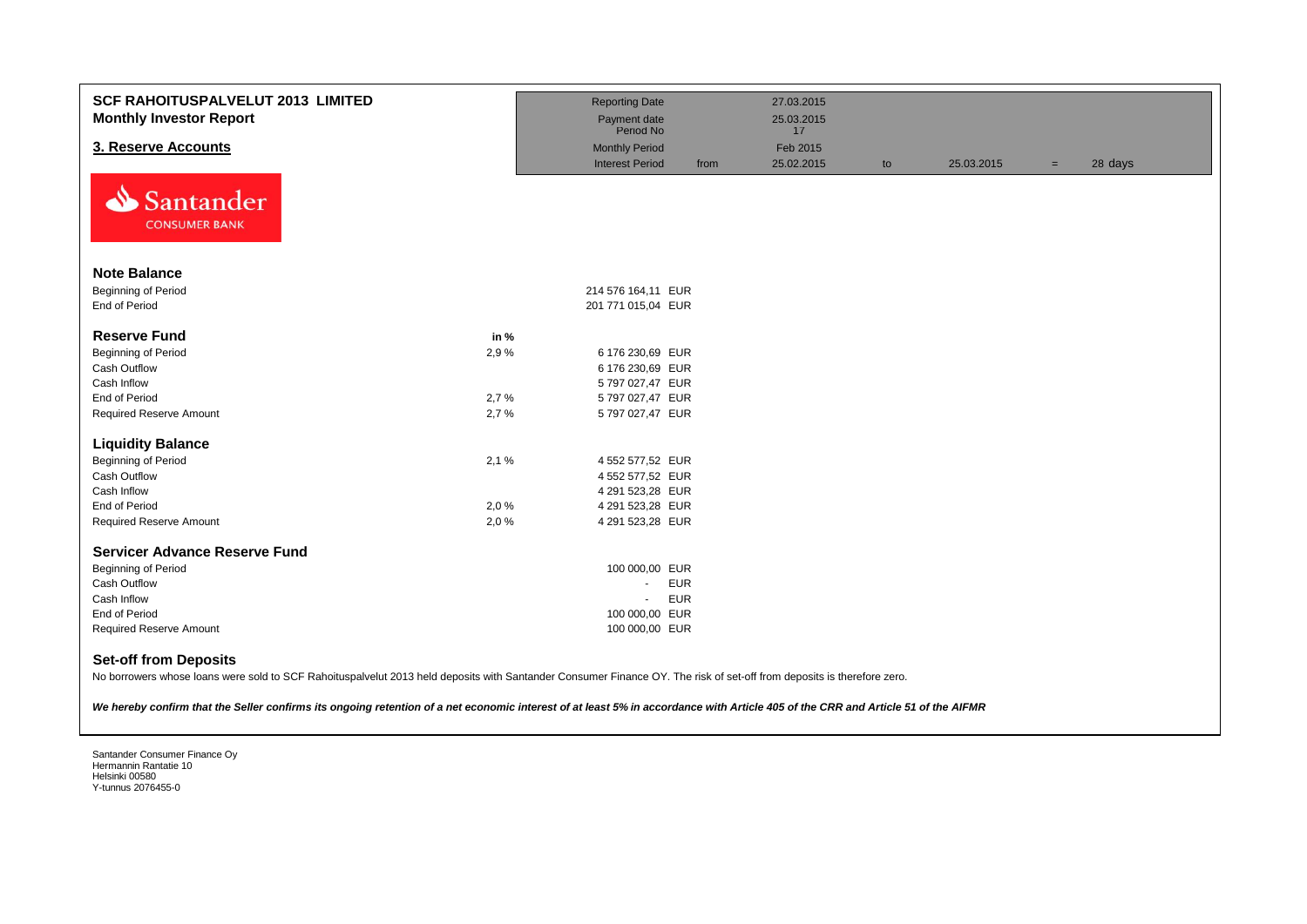| <b>SCF RAHOITUSPALVELUT 2013 LIMITED</b><br><b>Monthly Investor Report</b> |      | <b>Reporting Date</b><br>Payment date |      | 27.03.2015<br>25.03.2015 |    |            |     |         |
|----------------------------------------------------------------------------|------|---------------------------------------|------|--------------------------|----|------------|-----|---------|
|                                                                            |      | Period No                             |      | 17                       |    |            |     |         |
| 3. Reserve Accounts                                                        |      | <b>Monthly Period</b>                 |      | Feb 2015                 |    |            |     |         |
| ∾<br>Santander<br><b>CONSUMER BANK</b>                                     |      | <b>Interest Period</b>                | from | 25.02.2015               | to | 25.03.2015 | $=$ | 28 days |
| <b>Note Balance</b>                                                        |      |                                       |      |                          |    |            |     |         |
| Beginning of Period                                                        |      | 214 576 164,11 EUR                    |      |                          |    |            |     |         |
| End of Period                                                              |      | 201 771 015,04 EUR                    |      |                          |    |            |     |         |
|                                                                            |      |                                       |      |                          |    |            |     |         |
| <b>Reserve Fund</b>                                                        | in % |                                       |      |                          |    |            |     |         |
| Beginning of Period                                                        | 2,9% | 6 176 230,69 EUR                      |      |                          |    |            |     |         |
| Cash Outflow                                                               |      | 6 176 230,69 EUR                      |      |                          |    |            |     |         |
| Cash Inflow                                                                |      | 5 797 027,47 EUR                      |      |                          |    |            |     |         |
| End of Period                                                              | 2,7% | 5 797 027,47 EUR                      |      |                          |    |            |     |         |
| <b>Required Reserve Amount</b>                                             | 2,7% | 5 797 027,47 EUR                      |      |                          |    |            |     |         |
| <b>Liquidity Balance</b>                                                   |      |                                       |      |                          |    |            |     |         |
| <b>Beginning of Period</b>                                                 | 2,1% | 4 552 577,52 EUR                      |      |                          |    |            |     |         |
| Cash Outflow                                                               |      | 4 552 577,52 EUR                      |      |                          |    |            |     |         |
| Cash Inflow                                                                |      | 4 291 523,28 EUR                      |      |                          |    |            |     |         |
| End of Period                                                              | 2,0% | 4 291 523,28 EUR                      |      |                          |    |            |     |         |
| <b>Required Reserve Amount</b>                                             | 2,0% | 4 291 523,28 EUR                      |      |                          |    |            |     |         |
| <b>Servicer Advance Reserve Fund</b>                                       |      |                                       |      |                          |    |            |     |         |
| <b>Beginning of Period</b>                                                 |      | 100 000,00 EUR                        |      |                          |    |            |     |         |
| Cash Outflow                                                               |      | <b>EUR</b><br>$\omega$ .              |      |                          |    |            |     |         |
| Cash Inflow                                                                |      | <b>EUR</b><br>$\sim$                  |      |                          |    |            |     |         |
| End of Period                                                              |      | 100 000,00 EUR                        |      |                          |    |            |     |         |
| <b>Required Reserve Amount</b>                                             |      | 100 000,00 EUR                        |      |                          |    |            |     |         |
| <b>Set-off from Deposits</b>                                               |      |                                       |      |                          |    |            |     |         |

No borrowers whose loans were sold to SCF Rahoituspalvelut 2013 held deposits with Santander Consumer Finance OY. The risk of set-off from deposits is therefore zero.

*We hereby confirm that the Seller confirms its ongoing retention of a net economic interest of at least 5% in accordance with Article 405 of the CRR and Article 51 of the AIFMR*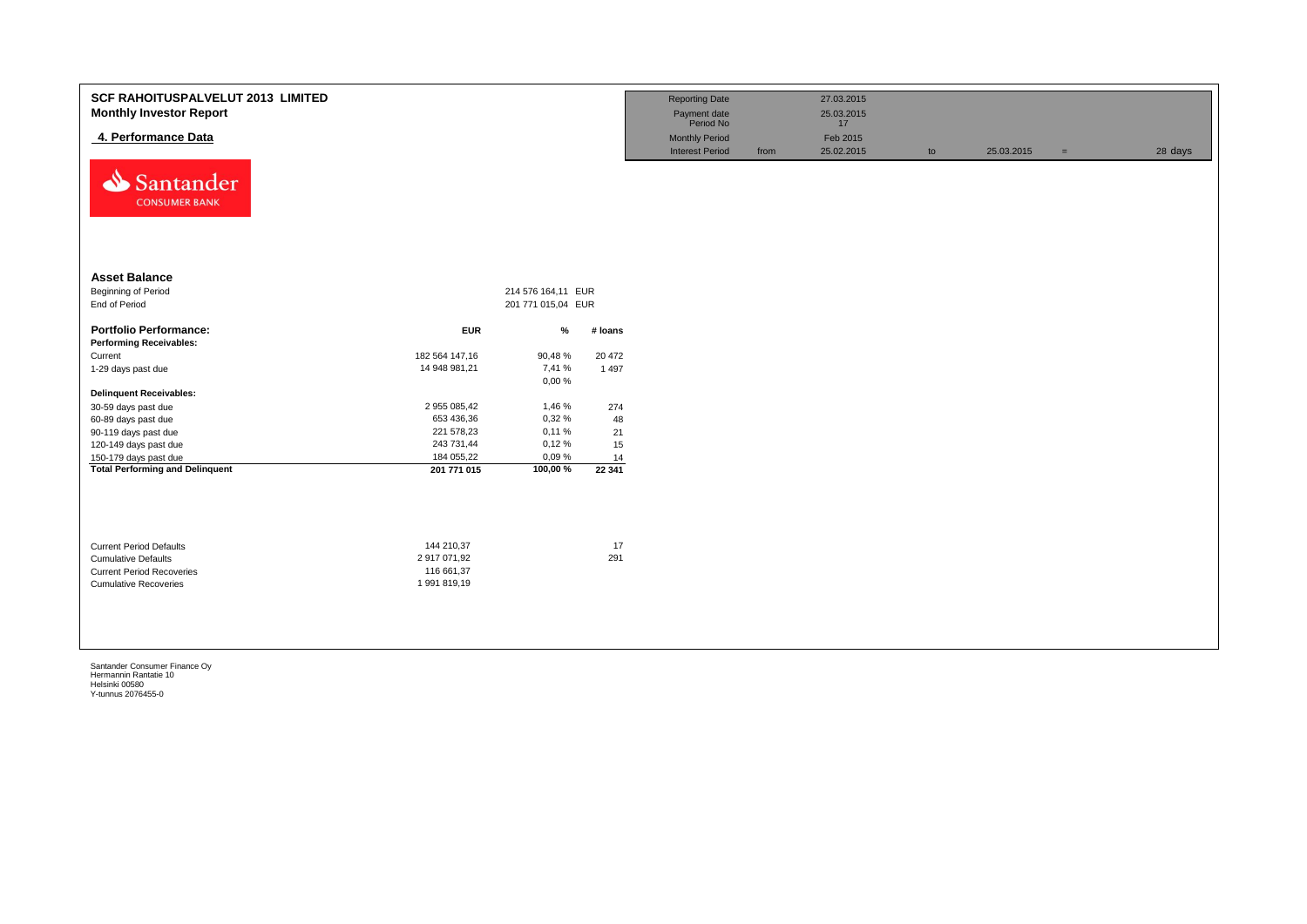| <b>SCF RAHOITUSPALVELUT 2013 LIMITED</b><br><b>Monthly Investor Report</b><br>4. Performance Data<br>⇘<br>Santander<br><b>CONSUMER BANK</b> |                                                          |                                          |           | <b>Reporting Date</b><br>Payment date<br>Period No<br><b>Monthly Period</b><br><b>Interest Period</b> | from | 27.03.2015<br>25.03.2015<br>17<br>Feb 2015<br>25.02.2015 | to | 25.03.2015 | $=$ | 28 days |
|---------------------------------------------------------------------------------------------------------------------------------------------|----------------------------------------------------------|------------------------------------------|-----------|-------------------------------------------------------------------------------------------------------|------|----------------------------------------------------------|----|------------|-----|---------|
| <b>Asset Balance</b><br>Beginning of Period<br>End of Period                                                                                |                                                          | 214 576 164,11 EUR<br>201 771 015,04 EUR |           |                                                                                                       |      |                                                          |    |            |     |         |
| <b>Portfolio Performance:</b>                                                                                                               | <b>EUR</b>                                               | %                                        | # Ioans   |                                                                                                       |      |                                                          |    |            |     |         |
| <b>Performing Receivables:</b>                                                                                                              |                                                          |                                          |           |                                                                                                       |      |                                                          |    |            |     |         |
| Current                                                                                                                                     | 182 564 147,16                                           | 90,48%                                   | 20 472    |                                                                                                       |      |                                                          |    |            |     |         |
| 1-29 days past due                                                                                                                          | 14 948 981,21                                            | 7,41 %                                   | 1 4 9 7   |                                                                                                       |      |                                                          |    |            |     |         |
|                                                                                                                                             |                                                          | 0,00%                                    |           |                                                                                                       |      |                                                          |    |            |     |         |
| <b>Delinquent Receivables:</b>                                                                                                              |                                                          |                                          |           |                                                                                                       |      |                                                          |    |            |     |         |
| 30-59 days past due                                                                                                                         | 2 955 085,42                                             | 1,46 %                                   | 274       |                                                                                                       |      |                                                          |    |            |     |         |
| 60-89 days past due                                                                                                                         | 653 436,36                                               | 0,32%                                    | 48        |                                                                                                       |      |                                                          |    |            |     |         |
| 90-119 days past due                                                                                                                        | 221 578,23                                               | 0,11%                                    | 21        |                                                                                                       |      |                                                          |    |            |     |         |
| 120-149 days past due                                                                                                                       | 243 731,44                                               | 0,12%                                    | 15        |                                                                                                       |      |                                                          |    |            |     |         |
| 150-179 days past due                                                                                                                       | 184 055,22                                               | 0,09%                                    | 14        |                                                                                                       |      |                                                          |    |            |     |         |
| <b>Total Performing and Delinquent</b>                                                                                                      | 201 771 015                                              | 100,00%                                  | 22 341    |                                                                                                       |      |                                                          |    |            |     |         |
| <b>Current Period Defaults</b><br><b>Cumulative Defaults</b><br><b>Current Period Recoveries</b><br><b>Cumulative Recoveries</b>            | 144 210,37<br>2 917 071,92<br>116 661,37<br>1 991 819,19 |                                          | 17<br>291 |                                                                                                       |      |                                                          |    |            |     |         |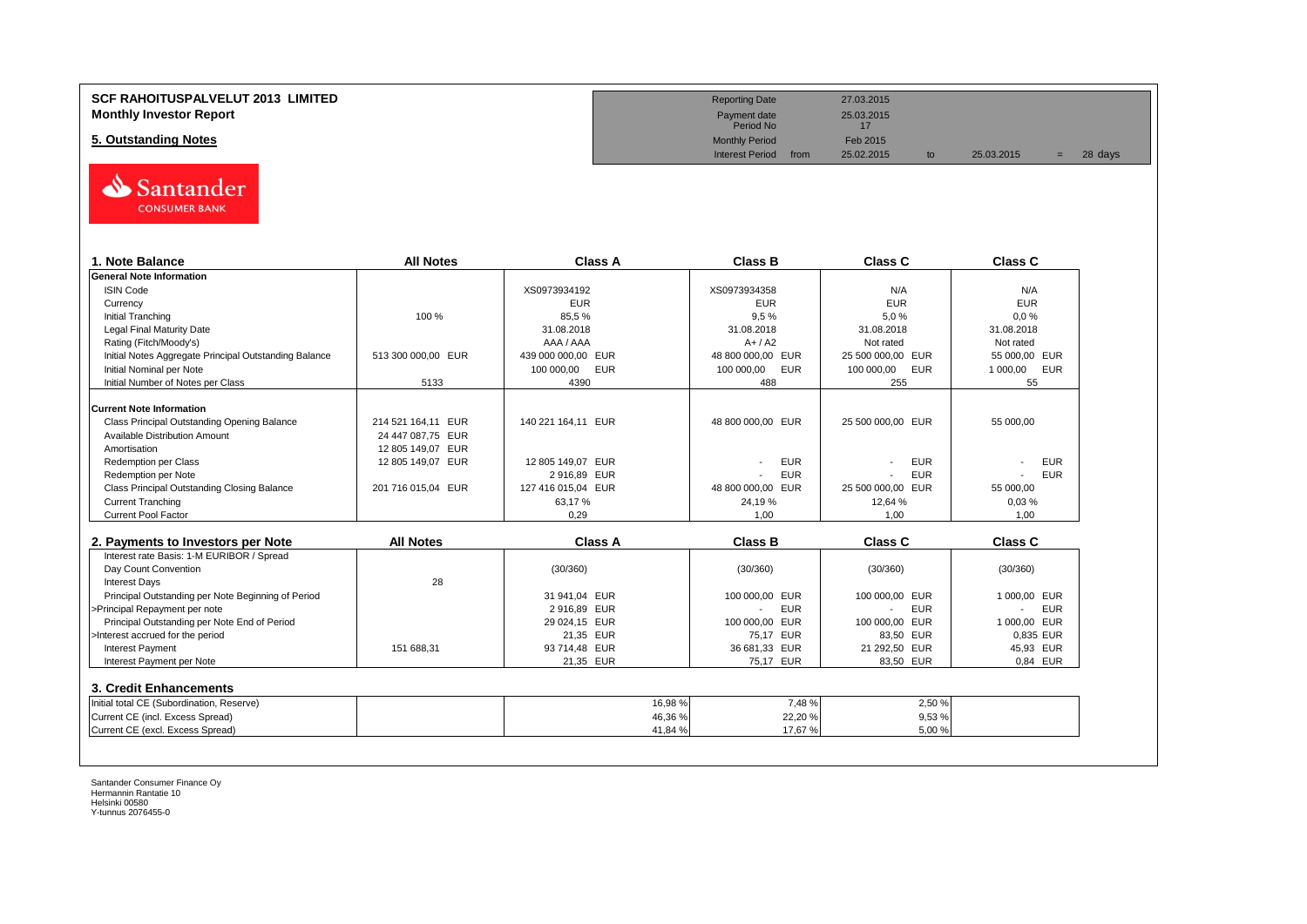

| 1. Note Balance                                       | <b>All Notes</b>   | Class A            | <b>Class B</b>               | Class C                  | <b>Class C</b>         |
|-------------------------------------------------------|--------------------|--------------------|------------------------------|--------------------------|------------------------|
| <b>General Note Information</b>                       |                    |                    |                              |                          |                        |
| <b>ISIN Code</b>                                      |                    | XS0973934192       | XS0973934358                 | N/A                      | N/A                    |
| Currency                                              |                    | <b>EUR</b>         | <b>EUR</b>                   | <b>EUR</b>               | <b>EUR</b>             |
| <b>Initial Tranching</b>                              | 100 %              | 85,5%              | 9,5%                         | 5,0%                     | 0.0%                   |
| Legal Final Maturity Date                             |                    | 31.08.2018         | 31.08.2018                   | 31.08.2018               | 31.08.2018             |
| Rating (Fitch/Moody's)                                |                    | AAA / AAA          | $A+/A2$                      | Not rated                | Not rated              |
| Initial Notes Aggregate Principal Outstanding Balance | 513 300 000,00 EUR | 439 000 000,00 EUR | 48 800 000,00 EUR            | 25 500 000,00 EUR        | 55 000,00 EUR          |
| Initial Nominal per Note                              |                    | 100 000,00<br>EUR  | 100 000,00<br><b>EUR</b>     | 100 000,00<br><b>EUR</b> | 1 000,00<br><b>EUR</b> |
| Initial Number of Notes per Class                     | 5133               | 4390               | 488                          | 255                      | 55                     |
| <b>Current Note Information</b>                       |                    |                    |                              |                          |                        |
| Class Principal Outstanding Opening Balance           | 214 521 164,11 EUR | 140 221 164,11 EUR | 48 800 000,00 EUR            | 25 500 000,00 EUR        | 55 000,00              |
| <b>Available Distribution Amount</b>                  | 24 447 087,75 EUR  |                    |                              |                          |                        |
| Amortisation                                          | 12 805 149,07 EUR  |                    |                              |                          |                        |
| <b>Redemption per Class</b>                           | 12 805 149,07 EUR  | 12 805 149.07 EUR  | <b>EUR</b>                   | <b>EUR</b>               | <b>EUR</b>             |
| Redemption per Note                                   |                    | 2 916,89 EUR       | <b>EUR</b>                   | <b>EUR</b>               | <b>EUR</b>             |
| <b>Class Principal Outstanding Closing Balance</b>    | 201 716 015,04 EUR | 127 416 015,04 EUR | 48 800 000.00 EUR            | 25 500 000,00 EUR        | 55 000,00              |
| <b>Current Tranching</b>                              |                    | 63,17%             | 24,19%                       | 12,64 %                  | 0,03%                  |
| <b>Current Pool Factor</b>                            |                    | 0,29               | 1.00                         | 1,00                     | 1.00                   |
|                                                       |                    |                    |                              |                          |                        |
| 2. Payments to Investors per Note                     | <b>All Notes</b>   | Class A            | <b>Class B</b>               | <b>Class C</b>           | <b>Class C</b>         |
| Interest rate Basis: 1-M EURIBOR / Spread             |                    |                    |                              |                          |                        |
| Day Count Convention                                  |                    | (30/360)           | (30/360)                     | (30/360)                 | (30/360)               |
| <b>Interest Days</b>                                  | 28                 |                    |                              |                          |                        |
| Principal Outstanding per Note Beginning of Period    |                    | 31 941.04 EUR      | 100 000.00 EUR               | 100 000.00 EUR           | 1 000.00 EUR           |
| >Principal Repayment per note                         |                    | 2 916,89 EUR       | <b>EUR</b><br>$\blacksquare$ | <b>EUR</b>               | <b>EUR</b>             |
| Principal Outstanding per Note End of Period          |                    | 29 024,15 EUR      | 100 000.00<br><b>EUR</b>     | 100 000,00 EUR           | 1 000.00 EUR           |
| >Interest accrued for the period                      |                    | 21,35 EUR          | 75,17 EUR                    | 83,50 EUR                | 0.835 EUR              |
| <b>Interest Payment</b>                               | 151 688,31         | 93 714,48 EUR      | 36 681,33 EUR                | 21 292,50 EUR            | 45,93 EUR              |
| Interest Payment per Note                             |                    | 21,35 EUR          | 75.17 EUR                    | 83,50 EUR                | 0.84 EUR               |
| 3. Credit Enhancements                                |                    |                    |                              |                          |                        |
| Initial total CE (Subordination, Reserve)             |                    | 16,98%             | 7,48%                        | 2,50 %                   |                        |
|                                                       |                    | 46,36%             | 22,20%                       | 9,53%                    |                        |
| Current CE (incl. Excess Spread)                      |                    |                    |                              |                          |                        |

**SCF RAHOITUSPALVELUT 2013 LIMITED Reporting Date** 27.03.2015 **Monthly Investor Report**<br>
Monthly Investor Report<br>
Payment date 25.03.2015<br>
Period No Payment date<br>Period No **5. Outstanding Notes** Feb 2015<br> **5. Outstanding Notes** Feb 2015<br>
Interest Period from 25.02.2015 Interest Period from 25.02.2015 to 25.03.2015 = 28 days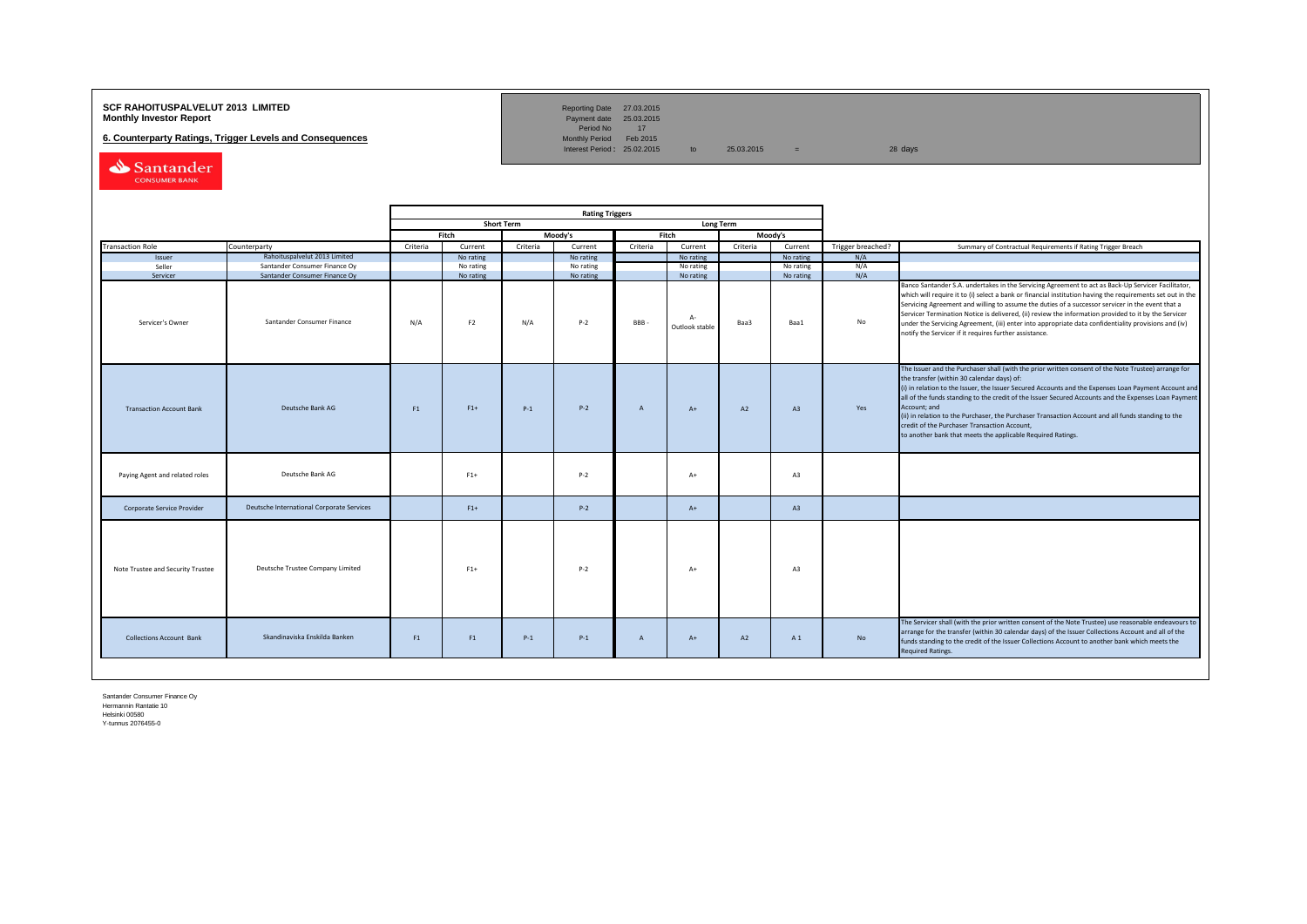## **SCF RAHOITUSPALVELUT 2013 LIMITED**<br>**Monthly Investor Report** Payment date 25.03.2015

**6. Counterparty Ratings, Trigger Levels and Consequences** 

Reporting Date 27.03.2015<br>Payment date 25.03.2015<br>Period No 17<br>Monthly Period Feb 2015

Interest Period:  $25.02.2015$  to  $25.03.2015$  = 28 days

Santander CONSUMER BANK

|                                   |                                           |          |                |                   | <b>Rating Triggers</b> |              |                        |          |                |                   |                                                                                                                                                                                                                                                                                                                                                                                                                                                                                                                                                                                                        |
|-----------------------------------|-------------------------------------------|----------|----------------|-------------------|------------------------|--------------|------------------------|----------|----------------|-------------------|--------------------------------------------------------------------------------------------------------------------------------------------------------------------------------------------------------------------------------------------------------------------------------------------------------------------------------------------------------------------------------------------------------------------------------------------------------------------------------------------------------------------------------------------------------------------------------------------------------|
|                                   |                                           |          |                | <b>Short Term</b> |                        |              | <b>Long Term</b>       |          |                |                   |                                                                                                                                                                                                                                                                                                                                                                                                                                                                                                                                                                                                        |
|                                   |                                           |          | Fitch          |                   | Moody's                |              | Fitch                  |          | Moody's        |                   |                                                                                                                                                                                                                                                                                                                                                                                                                                                                                                                                                                                                        |
| <b>Transaction Role</b>           | Counterparty                              | Criteria | Current        | Criteria          | Current                | Criteria     | Current                | Criteria | Current        | Trigger breached? | Summary of Contractual Requirements if Rating Trigger Breach                                                                                                                                                                                                                                                                                                                                                                                                                                                                                                                                           |
| Issuer                            | Rahoituspalvelut 2013 Limited             |          | No rating      |                   | No rating              |              | No rating              |          | No rating      | N/A               |                                                                                                                                                                                                                                                                                                                                                                                                                                                                                                                                                                                                        |
| Seller                            | Santander Consumer Finance Oy             |          | No rating      |                   | No rating              |              | No rating              |          | No rating      | N/A               |                                                                                                                                                                                                                                                                                                                                                                                                                                                                                                                                                                                                        |
| Servicer                          | Santander Consumer Finance Oy             |          | No rating      |                   | No rating              |              | No rating              |          | No rating      | N/A               |                                                                                                                                                                                                                                                                                                                                                                                                                                                                                                                                                                                                        |
| Servicer's Owner                  | Santander Consumer Finance                | N/A      | F <sub>2</sub> | N/A               | $P-2$                  | BBB-         | $A-$<br>Outlook stable | Baa3     | Baa1           | No                | Banco Santander S.A. undertakes in the Servicing Agreement to act as Back-Up Servicer Facilitator,<br>which will require it to (i) select a bank or financial institution having the requirements set out in the<br>Servicing Agreement and willing to assume the duties of a successor servicer in the event that a<br>Servicer Termination Notice is delivered, (ii) review the information provided to it by the Servicer<br>under the Servicing Agreement, (iii) enter into appropriate data confidentiality provisions and (iv)<br>notify the Servicer if it requires further assistance.         |
| <b>Transaction Account Bank</b>   | Deutsche Bank AG                          | F1       | $F1+$          | $P-1$             | $P-2$                  | A            | $A+$                   | A2       | A3             | Yes               | The Issuer and the Purchaser shall (with the prior written consent of the Note Trustee) arrange for<br>the transfer (within 30 calendar days) of:<br>(i) in relation to the Issuer, the Issuer Secured Accounts and the Expenses Loan Payment Account and<br>all of the funds standing to the credit of the Issuer Secured Accounts and the Expenses Loan Payment<br>Account; and<br>(ii) in relation to the Purchaser, the Purchaser Transaction Account and all funds standing to the<br>credit of the Purchaser Transaction Account,<br>to another bank that meets the applicable Required Ratings. |
| Paying Agent and related roles    | Deutsche Bank AG                          |          | $F1+$          |                   | $P-2$                  |              | $A+$                   |          | A3             |                   |                                                                                                                                                                                                                                                                                                                                                                                                                                                                                                                                                                                                        |
| Corporate Service Provider        | Deutsche International Corporate Services |          | $F1+$          |                   | $P-2$                  |              | $A+$                   |          | A <sub>3</sub> |                   |                                                                                                                                                                                                                                                                                                                                                                                                                                                                                                                                                                                                        |
| Note Trustee and Security Trustee | Deutsche Trustee Company Limited          |          | $F1+$          |                   | $P-2$                  |              | $A+$                   |          | A3             |                   |                                                                                                                                                                                                                                                                                                                                                                                                                                                                                                                                                                                                        |
| <b>Collections Account Bank</b>   | Skandinaviska Enskilda Banken             | F1       | F1             | $P-1$             | $P-1$                  | $\mathsf{A}$ | $A+$                   | A2       | A1             | No                | The Servicer shall (with the prior written consent of the Note Trustee) use reasonable endeavours to<br>arrange for the transfer (within 30 calendar days) of the Issuer Collections Account and all of the<br>funds standing to the credit of the Issuer Collections Account to another bank which meets the<br>Required Ratings.                                                                                                                                                                                                                                                                     |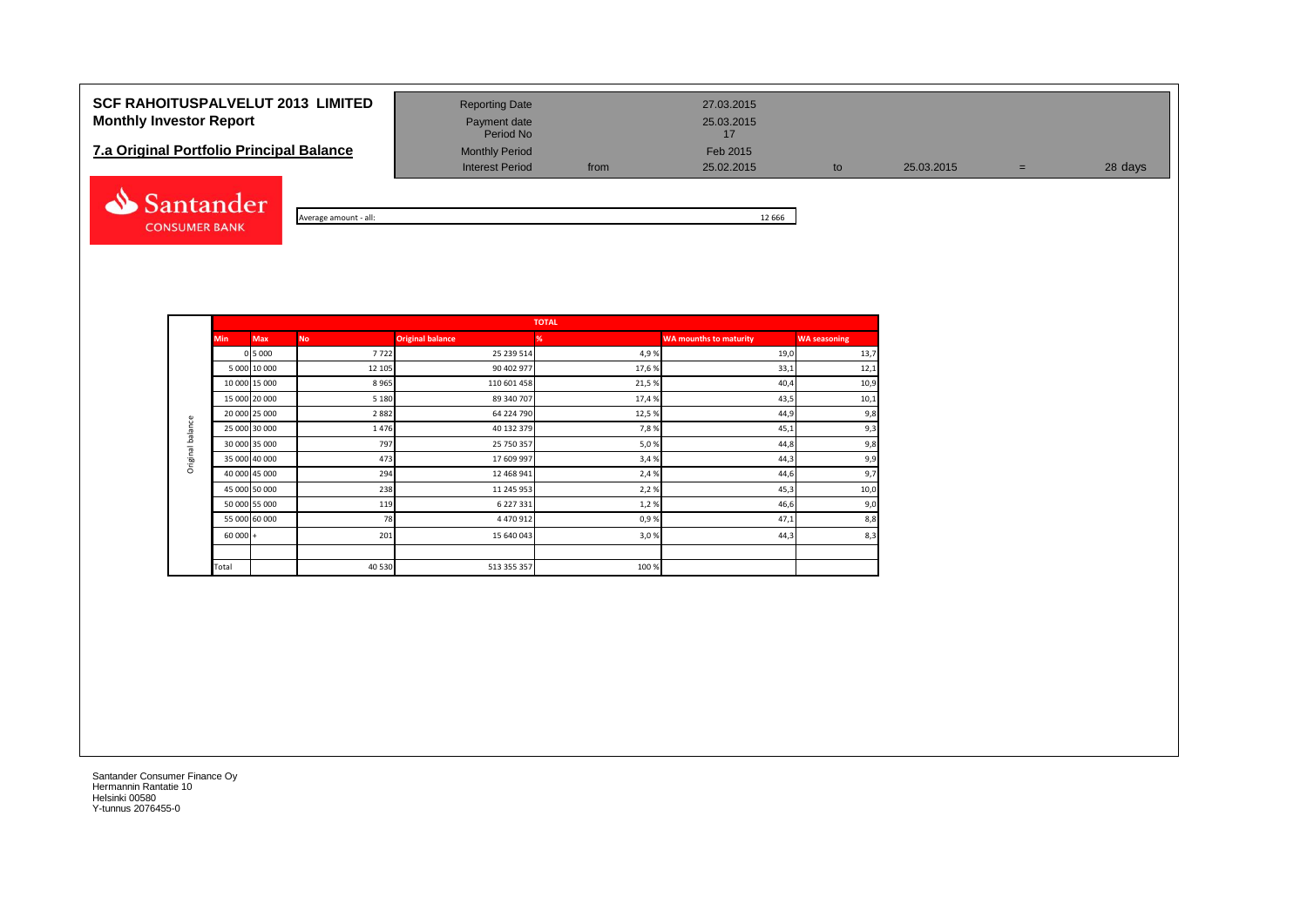# **SCF RAHOITUSPALVELUT 2013 LIMITED** Reporting Date 27.03.2015 **Monthly Investor Report Payment date** Payment date 25.03.2015

| <b>7.a Original Portfolio Principal Balance</b> | <b>Monthly Period</b> | Feb 2015 |
|-------------------------------------------------|-----------------------|----------|
|-------------------------------------------------|-----------------------|----------|



| - all:<br>' A⊾<br>amount<br>erage | 666<br>-- |
|-----------------------------------|-----------|

Period No

Interest Period from 25.02.2015 to 25.03.2015 = 28 days

**TOTALMin Max No Original balance % WA mounths to maturity WA seasoning** 0 5 000 7 722 25 239 514 4,9 % 19,0 13,7 5 000 **10 000** 12 12 13 13,1 **12,1** 12,1 **12,1** 12,1 10 000 15 000 8 965 110 601 458 21,5 % 40,4 10,9 15 000 20 000 5 180 89 340 707 17,4 % 43,5 10,1 20 000 25 000 | 2682 2882 64 224 790 20 000 25 % 12,5 % 44,9 44,9 44,9 3,8 Original balance Original balance 25 000 30 000 1 476 1476 1270 25 000 30 000 1 45,1 9,3 30 000 35 000 797 25 750 357 5,0 % 44,8 9,8 35 000 | 473 | 17 609 997 | 3,4 % | 44,3 | 9,9 40 000 45 000 294 12 468 941 2,4 % 44,6 9,7 45 000 50 000 238 238 238 11 245 953 2,2 % 2,2 % 2,2 % 45,3 10,0 50 000 55 000 119 6 227 331 1,2 % 46,6 9,0 55 000 60 000 | 78 78 4470 912 200 120 50 9 60 101 101 101 101 101 101 101 101 10  $60\,000$  + 201 201 201 3,0 60 000 + 44,3 8,3 Total 60  $\pm 40$  530  $\pm 513$  355 357  $\pm 0.0$  %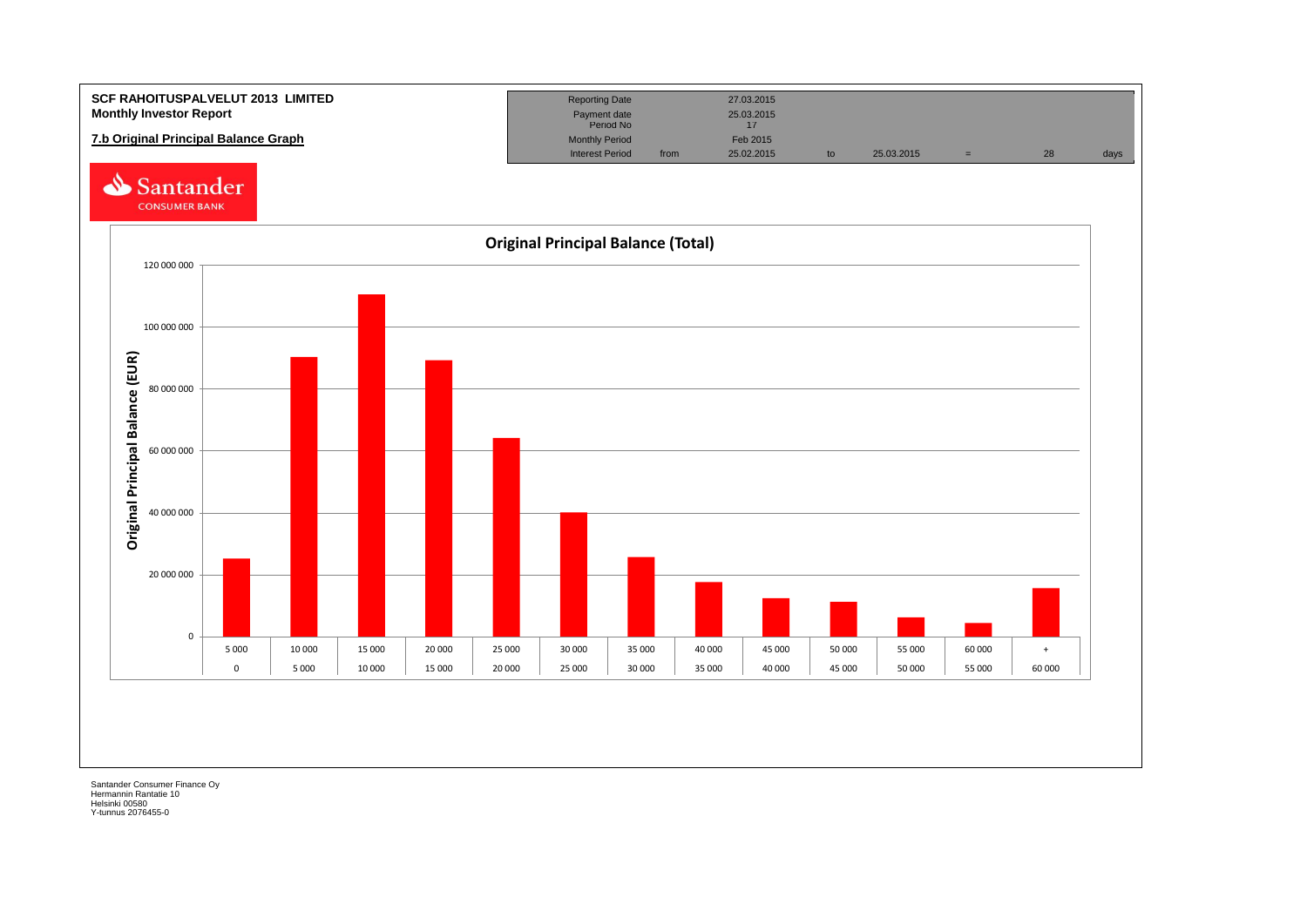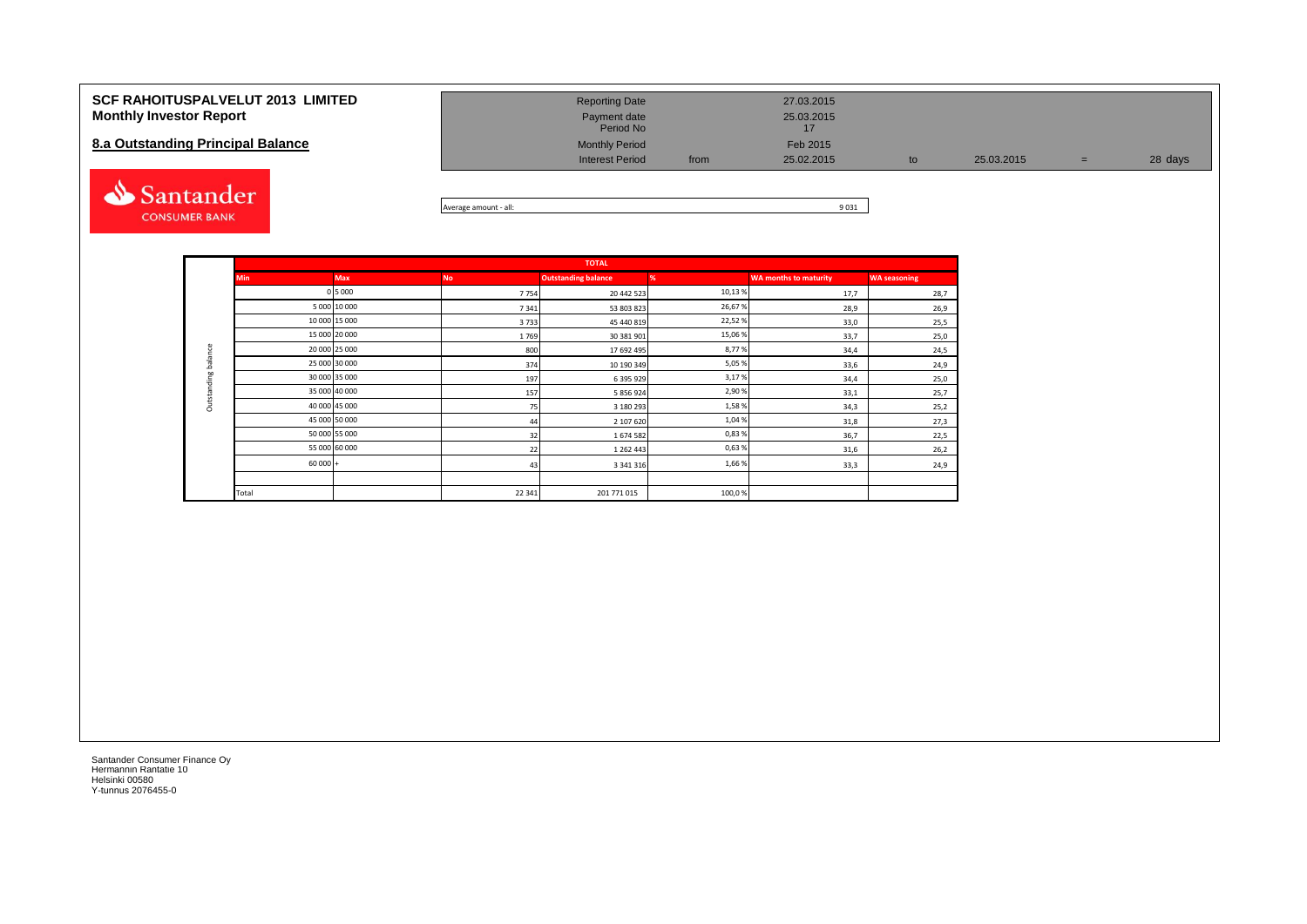| <b>SCF RAHOITUSPALVELUT 2013 LIMITED</b> | <b>Reporting Date</b>          | 27.03.2015 |            |   |         |
|------------------------------------------|--------------------------------|------------|------------|---|---------|
| <b>Monthly Investor Report</b>           | Payment date<br>Period No      | 25.03.2015 |            |   |         |
| 8.a Outstanding Principal Balance        | <b>Monthly Period</b>          | Feb 2015   |            |   |         |
|                                          | <b>Interest Period</b><br>from | 25.02.2015 | 25.03.2015 | = | 28 days |
|                                          |                                |            |            |   |         |



| $-$ all:<br>Average amount | o ogs<br>ш.<br>בכט י |
|----------------------------|----------------------|

|                     | <b>TOTAL</b>  |               |           |                            |        |                              |                     |  |  |  |  |  |  |  |
|---------------------|---------------|---------------|-----------|----------------------------|--------|------------------------------|---------------------|--|--|--|--|--|--|--|
|                     | <b>Min</b>    | <b>Max</b>    | <b>No</b> | <b>Outstanding balance</b> | %      | <b>WA months to maturity</b> | <b>WA seasoning</b> |  |  |  |  |  |  |  |
|                     |               | 0 5 0 0 0     | 7754      | 20 442 523                 | 10,13% | 17,7                         | 28,7                |  |  |  |  |  |  |  |
|                     |               | 5 000 10 000  | 7341      | 53 803 823                 | 26,67% | 28,9                         | 26,9                |  |  |  |  |  |  |  |
|                     |               | 10 000 15 000 | 3733      | 45 440 819                 | 22,52% | 33,0                         | 25,5                |  |  |  |  |  |  |  |
|                     |               | 15 000 20 000 | 1769      | 30 381 901                 | 15,06% | 33,7                         | 25,0                |  |  |  |  |  |  |  |
|                     | 20 000 25 000 |               | 800       | 17 692 495                 | 8,77%  | 34,4                         | 24,5                |  |  |  |  |  |  |  |
| Outstanding balance | 25 000 30 000 |               | 374       | 10 190 349                 | 5,05%  | 33,6                         | 24,9                |  |  |  |  |  |  |  |
|                     |               | 30 000 35 000 | 197       | 6 395 929                  | 3,17%  | 34,4                         | 25,0                |  |  |  |  |  |  |  |
|                     |               | 35 000 40 000 | 157       | 5 856 924                  | 2,90%  | 33,1                         | 25,7                |  |  |  |  |  |  |  |
|                     |               | 40 000 45 000 | 75        | 3 180 293                  | 1,58%  | 34,3                         | 25,2                |  |  |  |  |  |  |  |
|                     | 45 000 50 000 |               | 44        | 2 107 620                  | 1,04%  | 31,8                         | 27,3                |  |  |  |  |  |  |  |
|                     |               | 50 000 55 000 | 32        | 1674582                    | 0,83%  | 36,7                         | 22,5                |  |  |  |  |  |  |  |
|                     |               | 55 000 60 000 | 22        | 1 2 6 2 4 4 3              | 0,63%  | 31,6                         | 26,2                |  |  |  |  |  |  |  |
|                     | $60000 +$     |               | 43        | 3 3 4 1 3 1 6              | 1,66%  | 33,3                         | 24,9                |  |  |  |  |  |  |  |
|                     |               |               |           |                            |        |                              |                     |  |  |  |  |  |  |  |
|                     | Total         |               | 22 341    | 201 771 015                | 100,0% |                              |                     |  |  |  |  |  |  |  |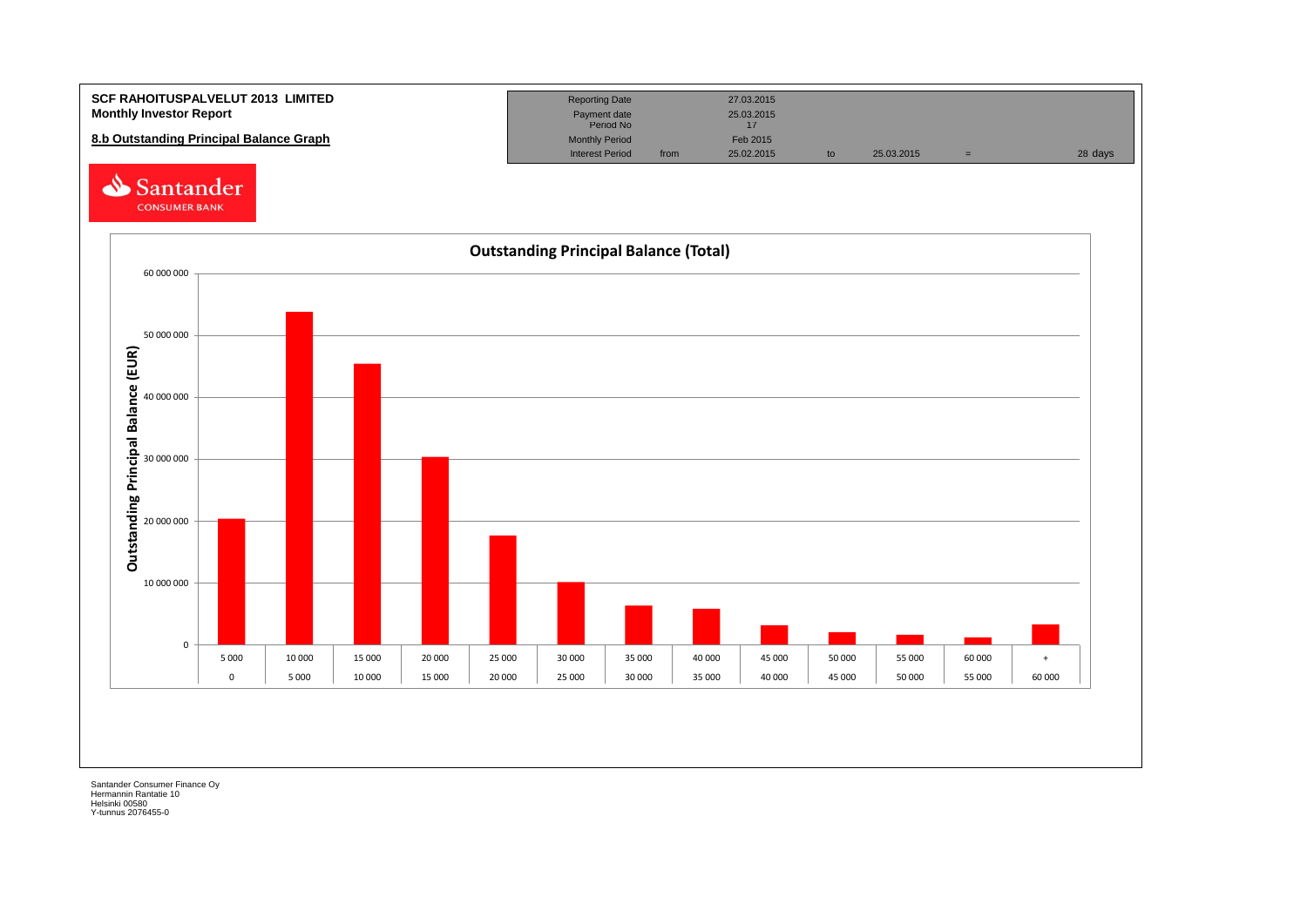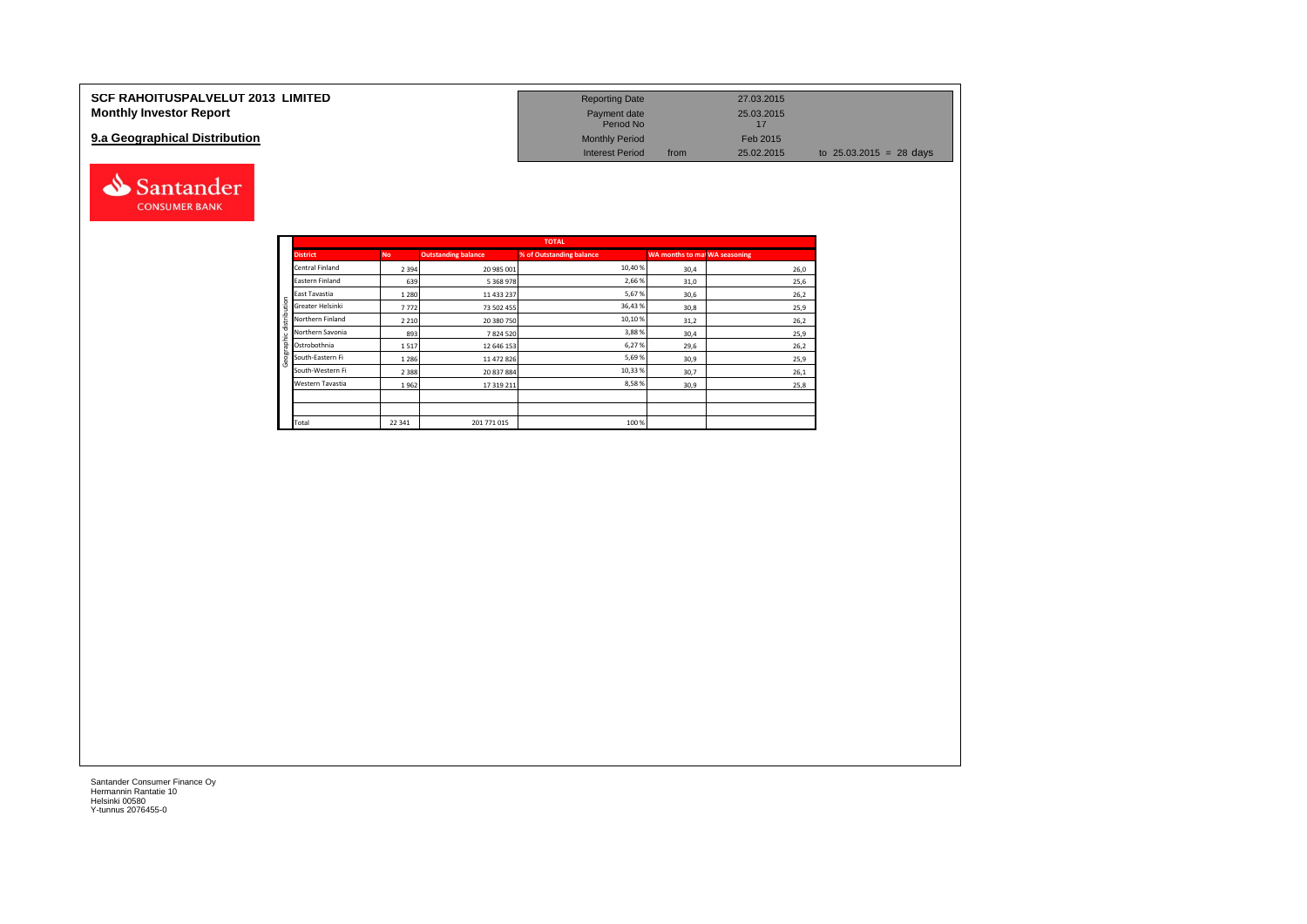| <b>SCF RAHOITUSPALVELUT 2013 LIMITED</b> | <b>Reporting Date</b>     | 27.03.2015         |                           |
|------------------------------------------|---------------------------|--------------------|---------------------------|
| <b>Monthly Investor Report</b>           | Payment date<br>Period No | 25.03.2015         |                           |
| 9.a Geographical Distribution            | <b>Monthly Period</b>     | Feb 2015           |                           |
|                                          | <b>Interest Period</b>    | 25.02.2015<br>from | to $25.03.2015 = 28$ days |



Santander **CONSUMER BANK**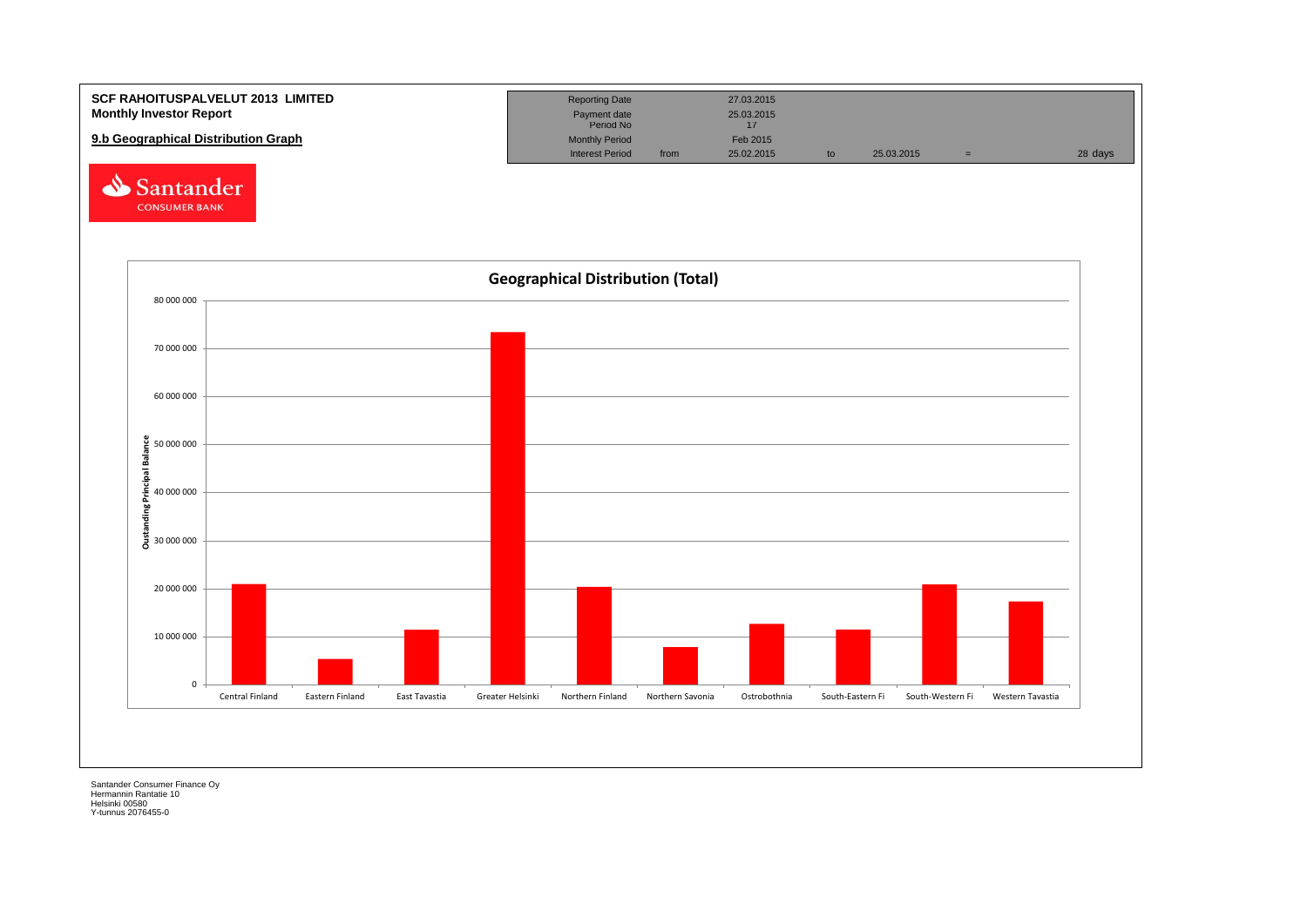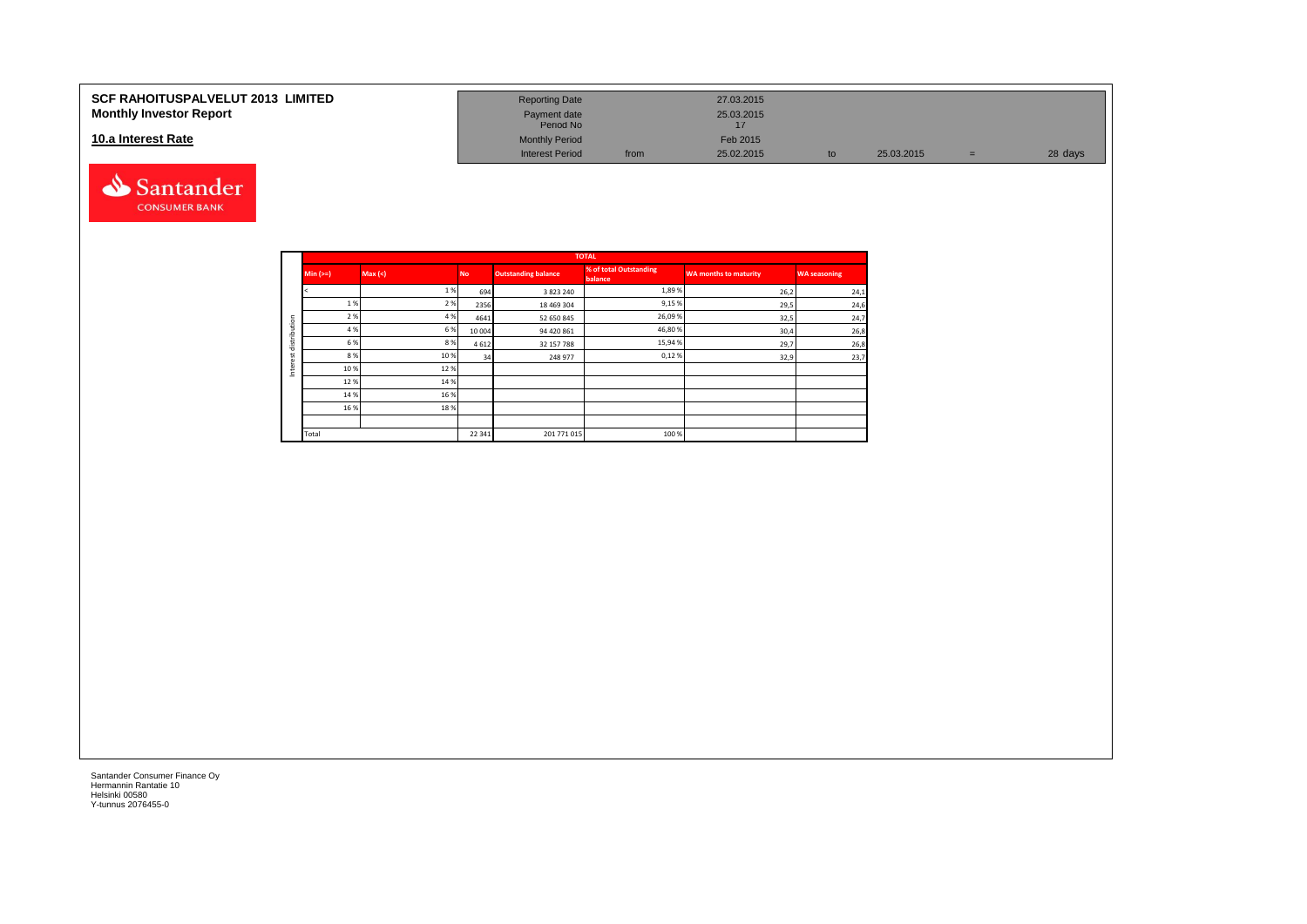### **10.a Interest Rate**



| SCF RAHOITUSPALVELUT 2013  LIMITED<br><b>Monthly Investor Report</b> | <b>Reporting Date</b><br>Payment date<br>Period No |      | 27.03.2015<br>25.03.2015 |            |   |         |
|----------------------------------------------------------------------|----------------------------------------------------|------|--------------------------|------------|---|---------|
| 10.a Interest Rate                                                   | <b>Monthly Period</b>                              |      | Feb 2015                 |            |   |         |
|                                                                      | <b>Interest Period</b>                             | from | 25.02.2015               | 25.03.2015 | = | 28 days |

|         |            |        |           |                            | <b>TOTAL</b>                      |                              |                     |
|---------|------------|--------|-----------|----------------------------|-----------------------------------|------------------------------|---------------------|
|         | Min $(>=)$ | Max(<) | <b>No</b> | <b>Outstanding balance</b> | % of total Outstanding<br>balance | <b>WA months to maturity</b> | <b>WA seasoning</b> |
|         |            | 1%     | 694       | 3 8 2 3 2 4 0              | 1,89%                             | 26,2                         | 24,1                |
|         | 1 %        | 2 %    | 2356      | 18 469 304                 | 9,15%                             | 29,5                         | 24,6                |
| ution   | 2 %        | 4 %    | 4641      | 52 650 845                 | 26,09%                            | 32,5                         | 24,7                |
|         | 4 %        | 6%     | 10 004    | 94 420 861                 | 46,80%                            | 30,4                         | 26,8                |
| distrib | 6 %        | 8%     | 4612      | 32 157 788                 | 15,94 %                           | 29,7                         | 26,8                |
| ٠<br>ö  | 8 %        | 10%    | 34        | 248 977                    | 0,12%                             | 32,9                         | 23,7                |
| Inter   | 10%        | 12%    |           |                            |                                   |                              |                     |
|         | 12%        | 14 %   |           |                            |                                   |                              |                     |
|         | 14 %       | 16%    |           |                            |                                   |                              |                     |
|         | 16 %       | 18%    |           |                            |                                   |                              |                     |
|         |            |        |           |                            |                                   |                              |                     |
|         | Total      |        | 22 341    | 201 771 015                | 100 %                             |                              |                     |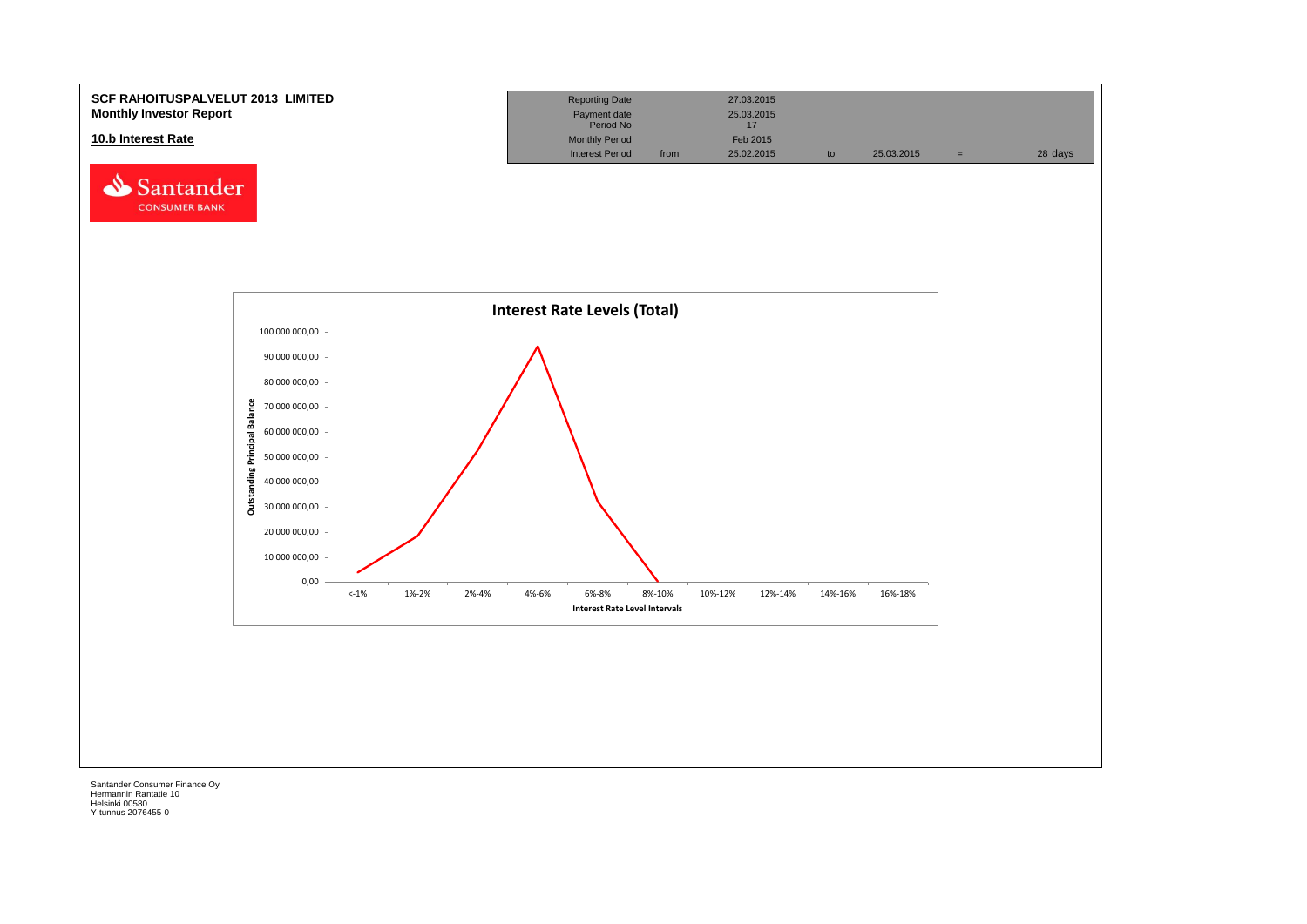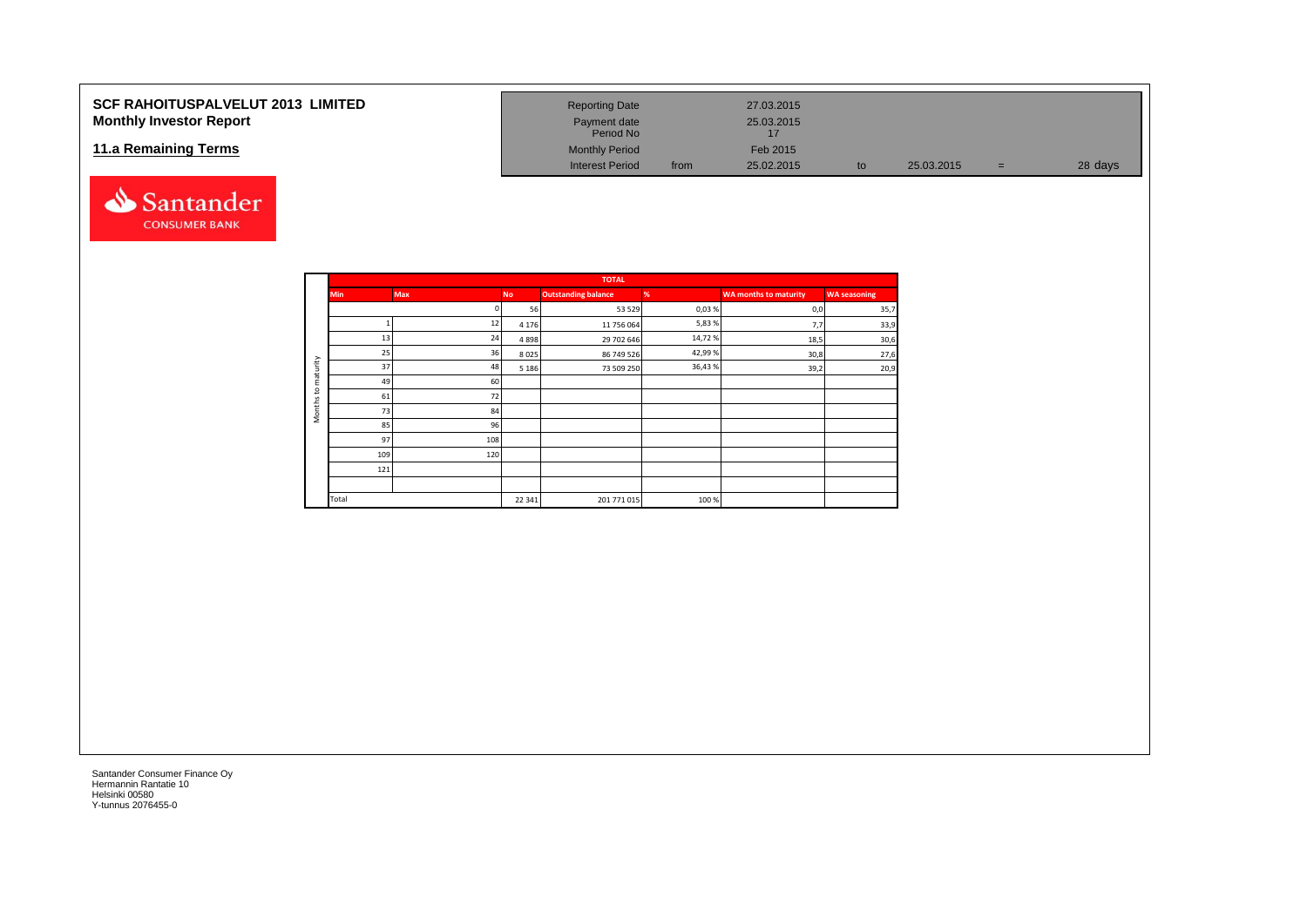## **SCF RAHOITUSPALVELUT 2013 LIMITED Monthly Investor Report**

## **11.a Remaining Terms**



| <b>Reporting Date</b>     |      | 27.03.2015 |    |            |     |         |
|---------------------------|------|------------|----|------------|-----|---------|
| Payment date<br>Period No |      | 25.03.2015 |    |            |     |         |
| <b>Monthly Period</b>     |      | Feb 2015   |    |            |     |         |
| <b>Interest Period</b>    | from | 25.02.2015 | to | 25.03.2015 | $=$ | 28 days |

|                     |            |            |           | <b>TOTAL</b>               |         |                       |                     |
|---------------------|------------|------------|-----------|----------------------------|---------|-----------------------|---------------------|
|                     | <b>Min</b> | <b>Max</b> | <b>No</b> | <b>Outstanding balance</b> | %       | WA months to maturity | <b>WA</b> seasoning |
|                     |            | n          | 56        | 53 529                     | 0,03%   | 0,0                   | 35,7                |
|                     |            | 12         | 4 1 7 6   | 11 756 064                 | 5,83%   | 7,7                   | 33,9                |
|                     | 13         | 24         | 4898      | 29 702 646                 | 14,72%  | 18,5                  | 30,6                |
|                     | 25         | 36         | 8025      | 86 749 526                 | 42,99%  | 30,8                  | 27,6                |
| maturity            | 37         | 48         | 5 1 8 6   | 73 509 250                 | 36,43 % | 39,2                  | 20,9                |
|                     | 49         | 60         |           |                            |         |                       |                     |
| $\overline{c}$      | 61         | 72         |           |                            |         |                       |                     |
| Months <sup>-</sup> | 73         | 84         |           |                            |         |                       |                     |
|                     | 85         | 96         |           |                            |         |                       |                     |
|                     | 97         | 108        |           |                            |         |                       |                     |
|                     | 109        | 120        |           |                            |         |                       |                     |
|                     | 121        |            |           |                            |         |                       |                     |
|                     |            |            |           |                            |         |                       |                     |
|                     | Total      |            | 22 341    | 201 771 015                | 100%    |                       |                     |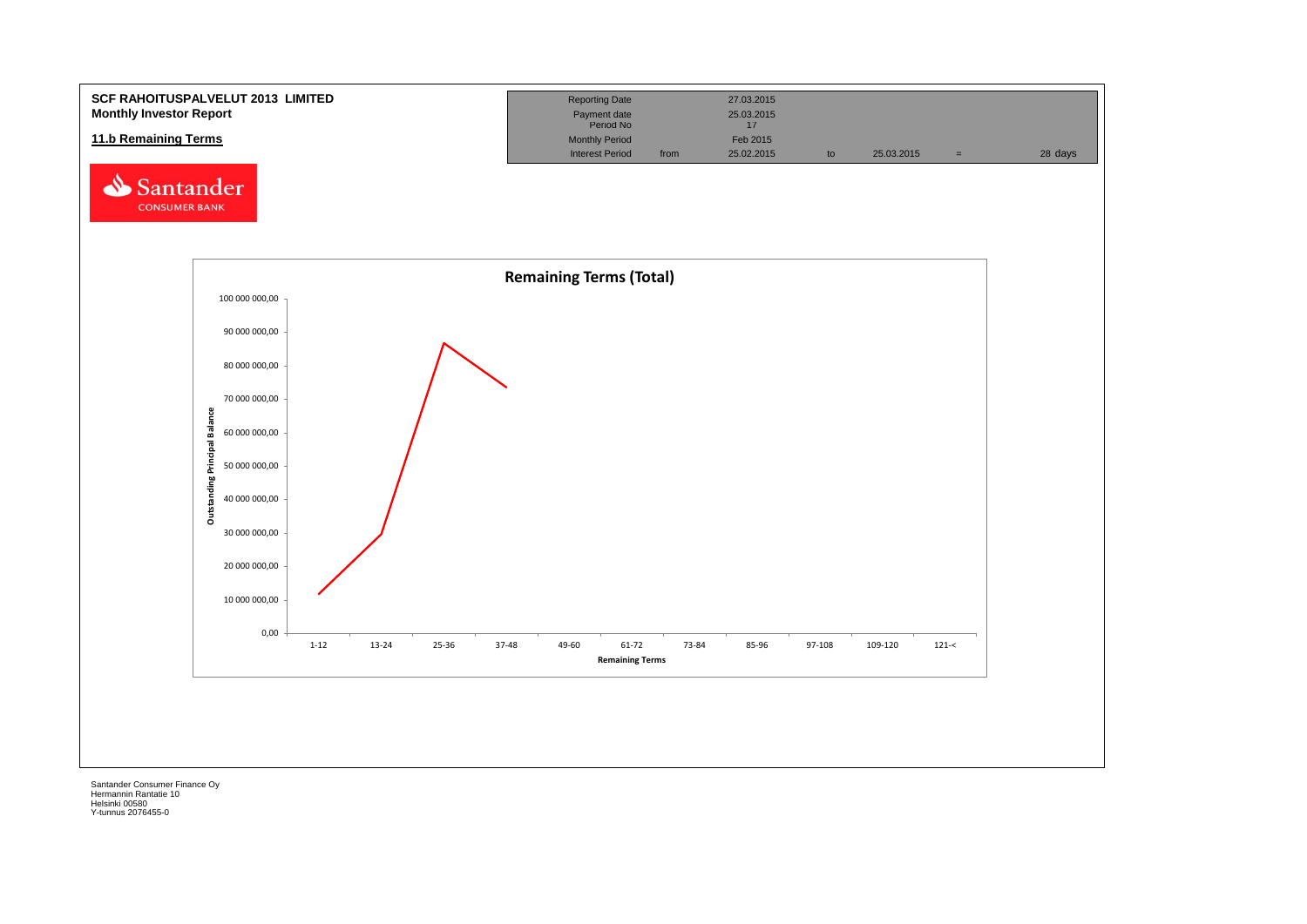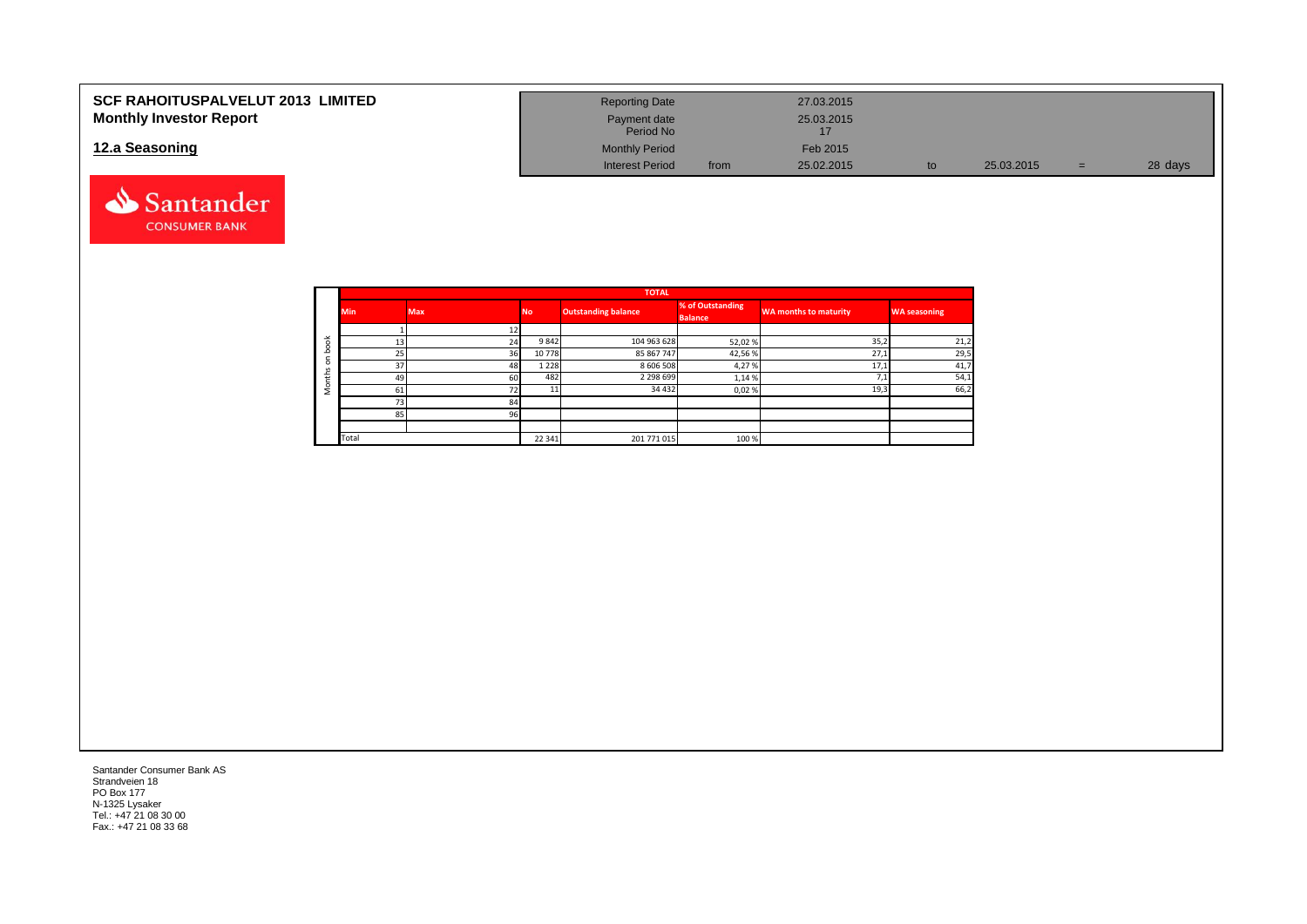| <b>SCF RAHOITUSPALVELUT 2013 LIMITED</b> | <b>Reporting Date</b>     |      | 27.03.2015 |            |     |         |
|------------------------------------------|---------------------------|------|------------|------------|-----|---------|
| <b>Monthly Investor Report</b>           | Payment date<br>Period No |      | 25.03.2015 |            |     |         |
| 12.a Seasoning                           | <b>Monthly Period</b>     |      | Feb 2015   |            |     |         |
|                                          | <b>Interest Period</b>    | from | 25.02.2015 | 25.03.2015 | $=$ | 28 days |



|                       |                 |            |           | <b>TOTAL</b>               |                  |                              |                     |  |
|-----------------------|-----------------|------------|-----------|----------------------------|------------------|------------------------------|---------------------|--|
|                       | <b>Min</b>      | <b>Max</b> | <b>No</b> | <b>Outstanding balance</b> | % of Outstanding | <b>WA months to maturity</b> | <b>WA seasoning</b> |  |
|                       |                 |            |           |                            | <b>Balance</b>   |                              |                     |  |
|                       |                 |            |           |                            |                  |                              |                     |  |
| $\breve{\phantom{a}}$ | 13              | 24         | 9842      | 104 963 628                | 52,02%           | 35,2                         | 21,2                |  |
|                       | 25              | 36         | 10778     | 85 867 747                 | 42,56%           | 27,1                         | 29,5                |  |
|                       | 37 <sub>1</sub> | 48         | 1 2 2 8   | 8 606 508                  | 4,27%            | 17,1                         | 41,7                |  |
| سد                    | 49              | 60         | 482       | 2 2 9 8 6 9 9              | 1,14 %           |                              | 54,1                |  |
|                       | 61              | 72         |           | 34 4 32                    | 0,02%            | 19,3                         | 66,2                |  |
|                       | 73              | 84         |           |                            |                  |                              |                     |  |
|                       | 85              | 96         |           |                            |                  |                              |                     |  |
|                       |                 |            |           |                            |                  |                              |                     |  |
|                       | Total           |            | 22 341    | 201 771 015                | 100 %            |                              |                     |  |

Santander Consumer Bank AS Strandveien 18 PO Box 177 N-1325 Lysaker Tel.: +47 21 08 30 00 Fax.: +47 21 08 33 68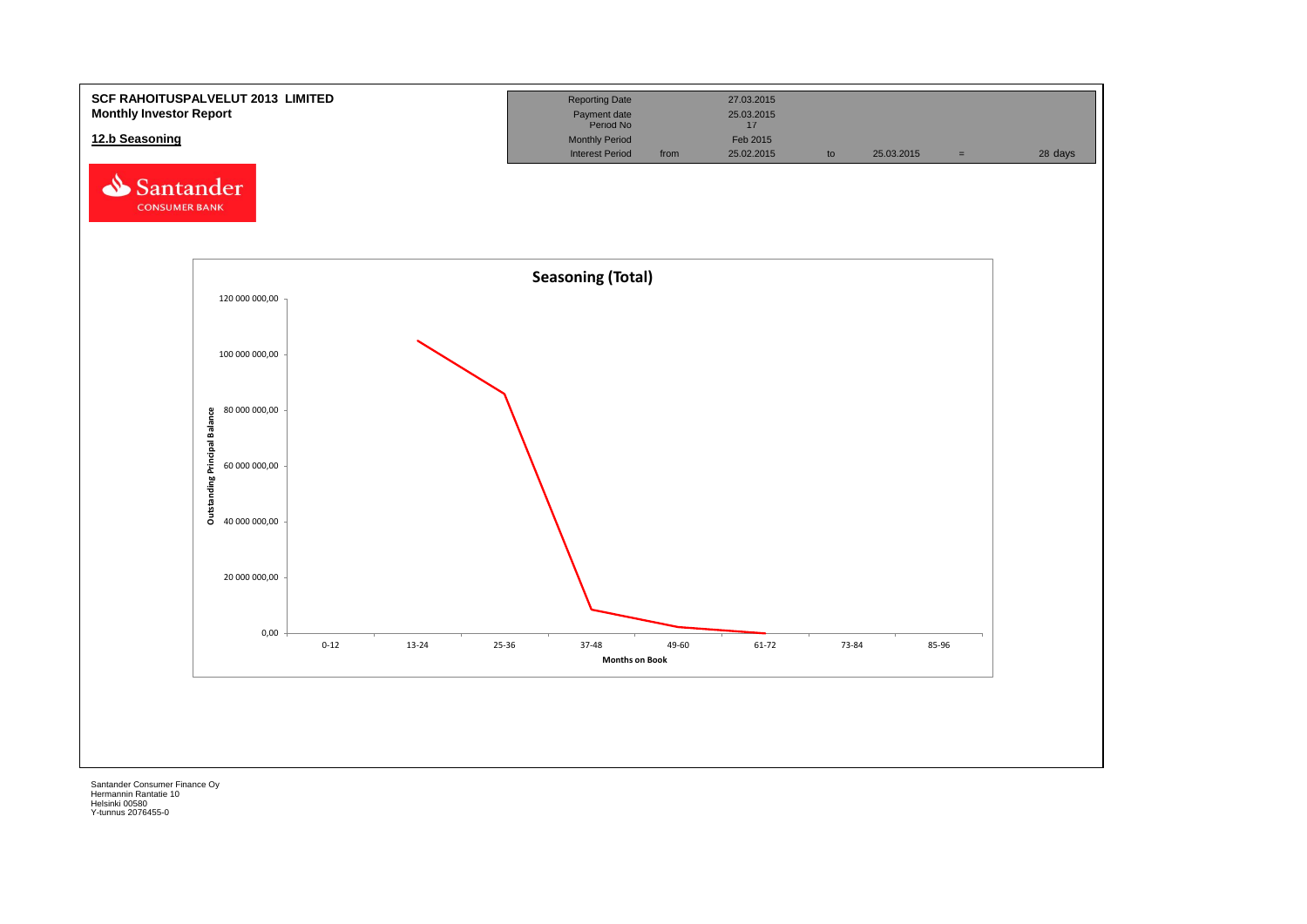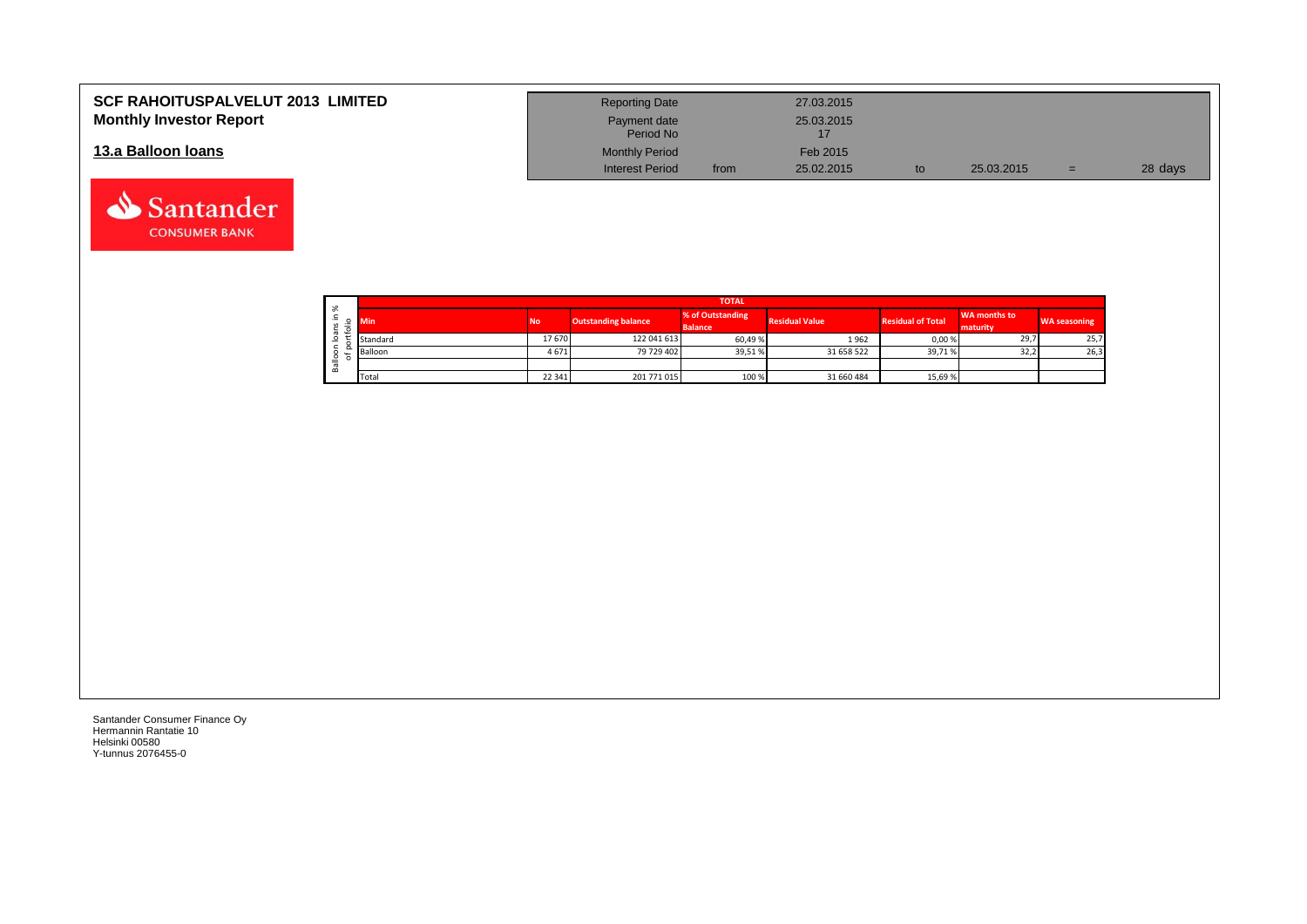| <b>SCF RAHOITUSPALVELUT 2013 LIMITED</b> | <b>Reporting Date</b>     |      | 27.03.2015 |            |     |         |
|------------------------------------------|---------------------------|------|------------|------------|-----|---------|
| <b>Monthly Investor Report</b>           | Payment date<br>Period No |      | 25.03.2015 |            |     |         |
| 13.a Balloon Ioans                       | <b>Monthly Period</b>     |      | Feb 2015   |            |     |         |
|                                          | <b>Interest Period</b>    | from | 25.02.2015 | 25.03.2015 | $=$ | 28 days |

| $\sim$       | <b>TOTAL</b> |           |                            |                                    |                       |                          |                                 |                     |  |  |  |  |
|--------------|--------------|-----------|----------------------------|------------------------------------|-----------------------|--------------------------|---------------------------------|---------------------|--|--|--|--|
| ∸.<br>o<br>⋍ | Min          | <b>No</b> | <b>Outstanding balance</b> | % of Outstanding<br><b>Balance</b> | <b>Residual Value</b> | <b>Residual of Total</b> | <b>WA months to</b><br>maturity | <b>WA seasoning</b> |  |  |  |  |
| -            | Standard     | 17670     | 122 041 613                | 60,49%                             | 1962                  | 0,00 %                   | 29,7                            | 25,7                |  |  |  |  |
|              | Balloon      | 4671      | 79 729 402                 | 39,51%                             | 31 658 522            | 39,71%                   | 32,2                            | 26,3                |  |  |  |  |
| ≚<br>≃       |              |           |                            |                                    |                       |                          |                                 |                     |  |  |  |  |
|              | Total        | 22 341    | 201 771 015                | 100 %                              | 31 660 484            | 15,69 %                  |                                 |                     |  |  |  |  |

┑

Santander Consumer Finance Oy Hermannin Rantatie 10 Helsinki 00580 Y-tunnus 2076455-0

Santander **CONSUMER BANK**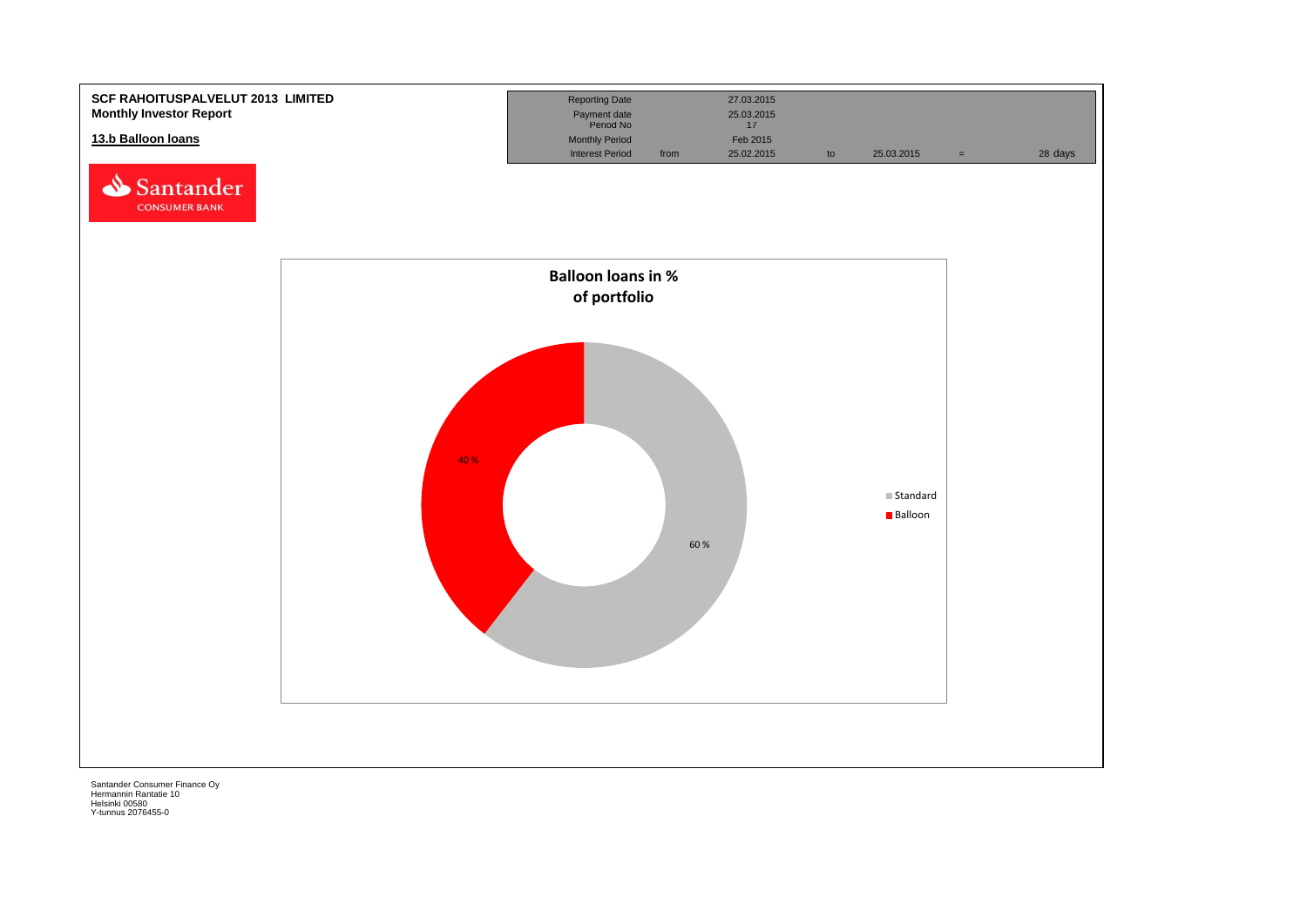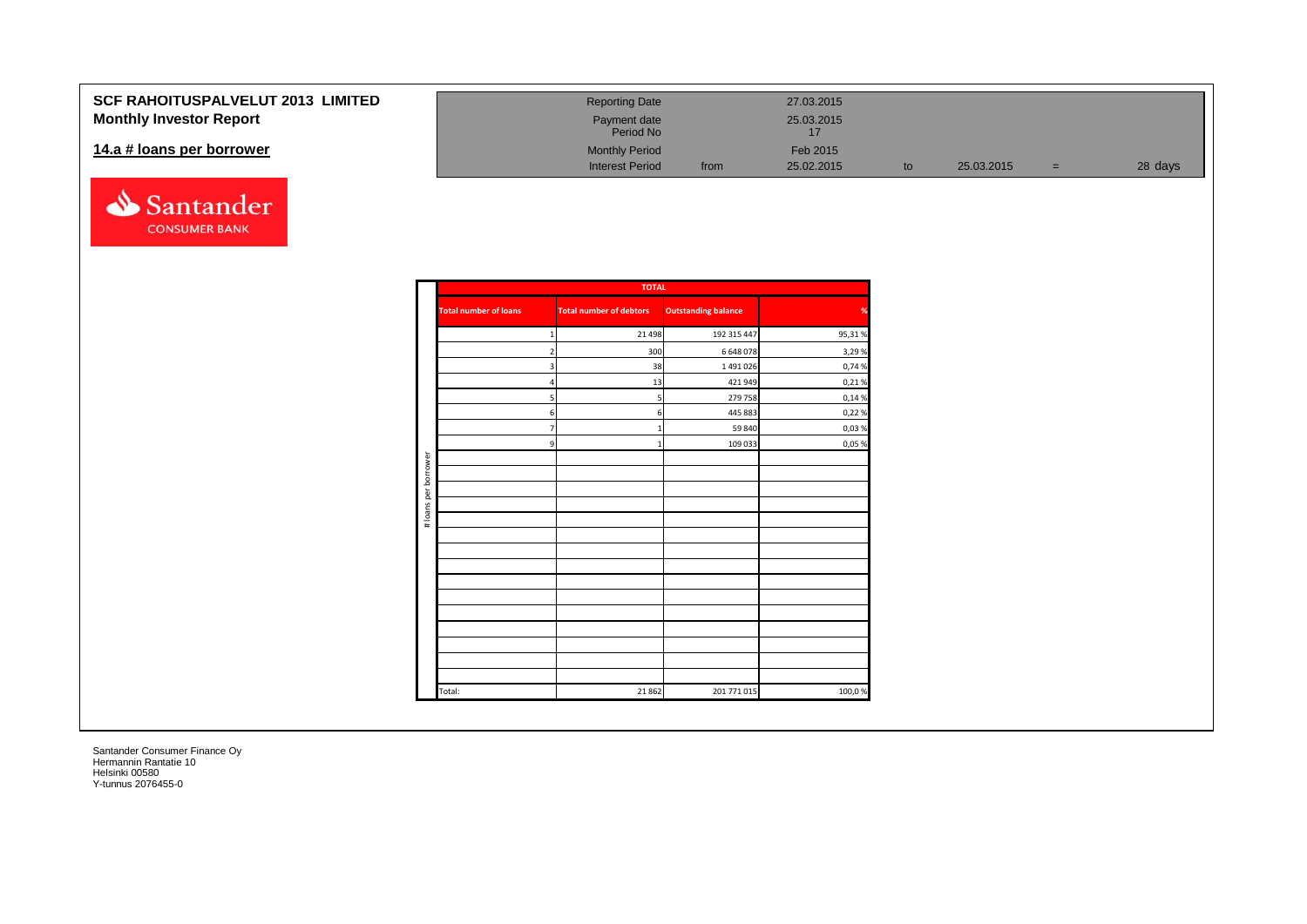## **SCF RAHOITUSPALVELUT Monthly Investor Report**

### 14.a # loans per borrower



| 2013 LIMITED | <b>Reporting Date</b>     |      | 27.03.2015       |    |            |   |         |
|--------------|---------------------------|------|------------------|----|------------|---|---------|
|              | Payment date<br>Period No |      | 25.03.2015<br>17 |    |            |   |         |
|              | <b>Monthly Period</b>     |      | Feb 2015         |    |            |   |         |
|              | <b>Interest Period</b>    | from | 25.02.2015       | to | 25.03.2015 | = | 28 days |

|                      |                              | <b>TOTAL</b>                   |                            |        |
|----------------------|------------------------------|--------------------------------|----------------------------|--------|
|                      | <b>Total number of loans</b> | <b>Total number of debtors</b> | <b>Outstanding balance</b> | %      |
|                      | $\mathbf 1$                  | 21 4 98                        | 192 315 447                | 95,31% |
|                      | $\overline{\mathbf{c}}$      | 300                            | 6 648 078                  | 3,29 % |
|                      | 3                            | 38                             | 1 491 026                  | 0,74 % |
|                      | $\overline{a}$               | 13                             | 421 949                    | 0,21%  |
|                      | 5                            | 5                              | 279 758                    | 0,14 % |
|                      | 6                            | 6                              | 445 883                    | 0,22 % |
|                      | $\overline{7}$               | $\mathbf 1$                    | 59 840                     | 0,03%  |
|                      | 9                            | $\mathbf{1}$                   | 109 033                    | 0,05 % |
|                      |                              |                                |                            |        |
| # loans per borrower |                              |                                |                            |        |
|                      |                              |                                |                            |        |
|                      |                              |                                |                            |        |
|                      |                              |                                |                            |        |
|                      |                              |                                |                            |        |
|                      |                              |                                |                            |        |
|                      |                              |                                |                            |        |
|                      |                              |                                |                            |        |
|                      |                              |                                |                            |        |
|                      |                              |                                |                            |        |
|                      |                              |                                |                            |        |
|                      |                              |                                |                            |        |
|                      |                              |                                |                            |        |
|                      |                              |                                |                            |        |
|                      | Total:                       | 21862                          | 201 771 015                | 100,0% |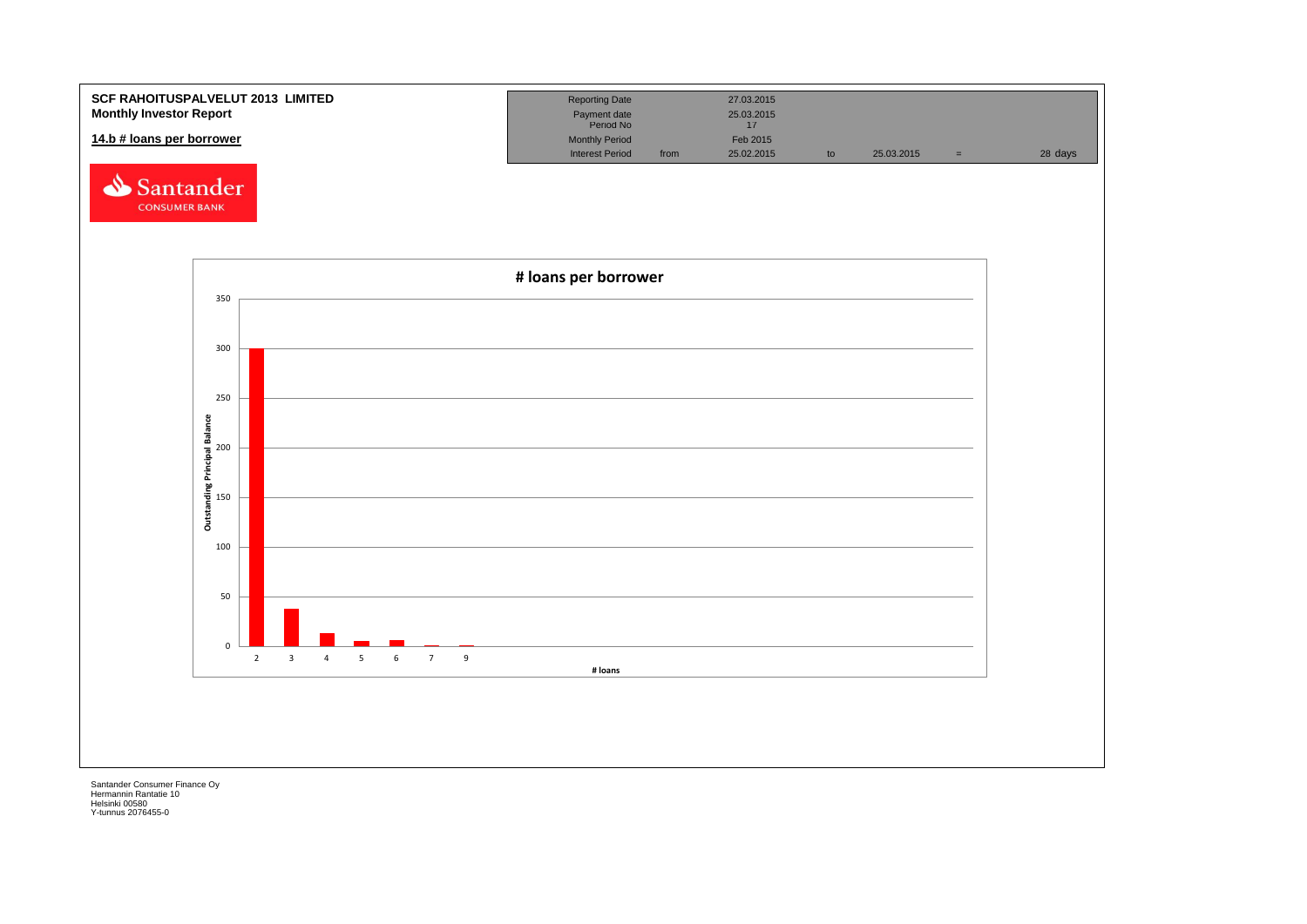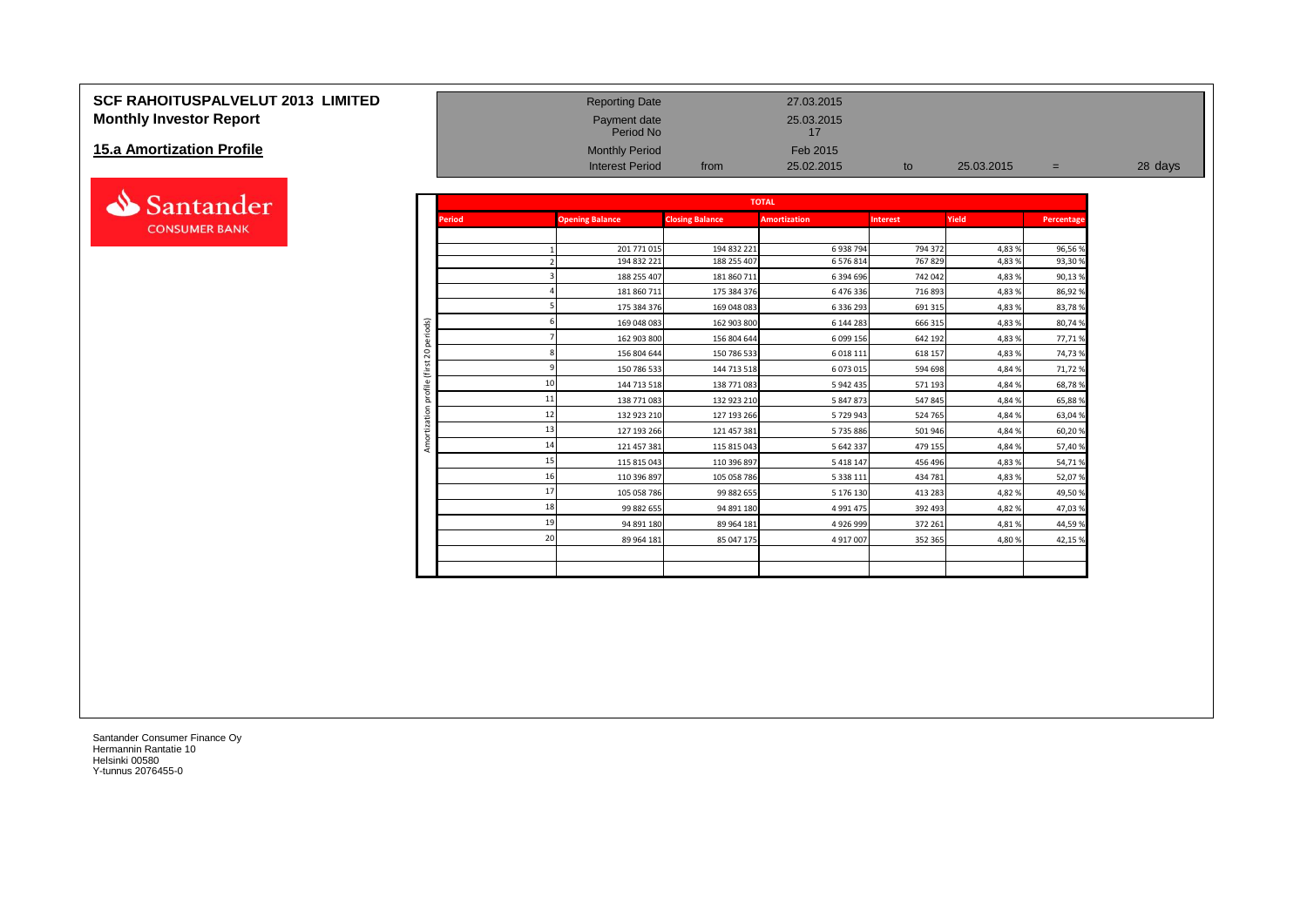## **SCF RAHOITUSPALVELUT 2013 LIMITED**<br> **Monthly Investor Report** 27.03.2015<br>
25.03.2015 Payment date 25.03.2015 **Monthly Investor Report Payment date** 25.03.2015 **Payment date**

## **15.a Amortization Profile**



|                                  |                |               | Period No              |                        | 17                  |                 |            |            |         |
|----------------------------------|----------------|---------------|------------------------|------------------------|---------------------|-----------------|------------|------------|---------|
| <b>15.a Amortization Profile</b> |                |               | <b>Monthly Period</b>  |                        | Feb 2015            |                 |            |            |         |
|                                  |                |               | <b>Interest Period</b> | from                   | 25.02.2015          | to              | 25.03.2015 | $=$        | 28 days |
|                                  |                |               |                        |                        |                     |                 |            |            |         |
| Santander                        |                |               |                        |                        | <b>TOTAL</b>        |                 |            |            |         |
| <b>CONSUMER BANK</b>             |                | <b>Period</b> | <b>Opening Balance</b> | <b>Closing Balance</b> | <b>Amortization</b> | <b>Interest</b> | Yield      | Percentage |         |
|                                  |                |               |                        |                        |                     |                 |            |            |         |
|                                  |                |               | 201 771 015            | 194 832 221            | 6 938 794           | 794 372         | 4,83 %     | 96,56 9    |         |
|                                  |                |               | 194 832 221            | 188 255 407            | 6 576 814           | 767829          | 4,83%      | 93,30%     |         |
|                                  |                |               | 188 255 407            | 181 860 711            | 6 394 696           | 742 042         | 4,83 %     | 90,13%     |         |
|                                  |                |               | 181 860 711            | 175 384 376            | 6 476 336           | 716 893         | 4,83 %     | 86,92%     |         |
|                                  |                |               | 175 384 376            | 169 048 083            | 6 336 293           | 691 315         | 4,83 %     | 83,78%     |         |
|                                  | periods)       |               | 169 048 083            | 162 903 800            | 6 144 283           | 666 315         | 4,83 %     | 80,74%     |         |
|                                  |                |               | 162 903 800            | 156 804 644            | 6 099 156           | 642 192         | 4,83 %     | 77,71%     |         |
|                                  | $\overline{c}$ |               | 156 804 644            | 150 786 533            | 6 0 18 1 11         | 618 157         | 4,83 %     | 74,73%     |         |
|                                  | $\overline{ }$ |               | 150 786 533            | 144 713 518            | 6 073 015           | 594 698         | 4,84 %     | 71,72%     |         |
|                                  | ofile          |               | 144 713 518            | 138 771 083            | 5 942 435           | 571 193         | 4,84 %     | 68,78%     |         |
|                                  |                |               | 138 771 083            | 132 923 210            | 5 847 873           | 547 845         | 4,84 %     | 65,88%     |         |
|                                  |                | 12            | 132 923 210            | 127 193 266            | 5729943             | 524 765         | 4,84 %     | 63,04%     |         |
|                                  |                | 13            | 127 193 266            | 121 457 381            | 5 735 886           | 501 946         | 4,84 %     | 60,20%     |         |
|                                  | Amor           | 14            | 121 457 381            | 115 815 043            | 5 642 337           | 479 155         | 4,84 %     | 57,40%     |         |
|                                  |                |               | 115 815 043            | 110 396 897            | 5 4 1 8 1 4 7       | 456 496         | 4,83 %     | 54,71%     |         |
|                                  |                |               | 110 396 897            | 105 058 786            | 5 3 3 8 1 1 1       | 434 781         | 4,83%      | 52,07%     |         |
|                                  |                |               | 105 058 786            | 99 882 655             | 5 176 130           | 413 283         | 4,82%      | 49,50%     |         |
|                                  |                | 18            | 99 882 655             | 94 891 180             | 4 9 9 1 4 7 5       | 392 493         | 4,82%      | 47,03%     |         |
|                                  |                | 19            | 94 891 180             | 89 964 181             | 4 9 2 6 9 9 9       | 372 261         | 4,81%      | 44,59%     |         |
|                                  |                | 20            | 89 964 181             | 85 047 175             | 4 9 17 0 07         | 352 365         | 4,80%      | 42,15%     |         |
|                                  |                |               |                        |                        |                     |                 |            |            |         |
|                                  |                |               |                        |                        |                     |                 |            |            |         |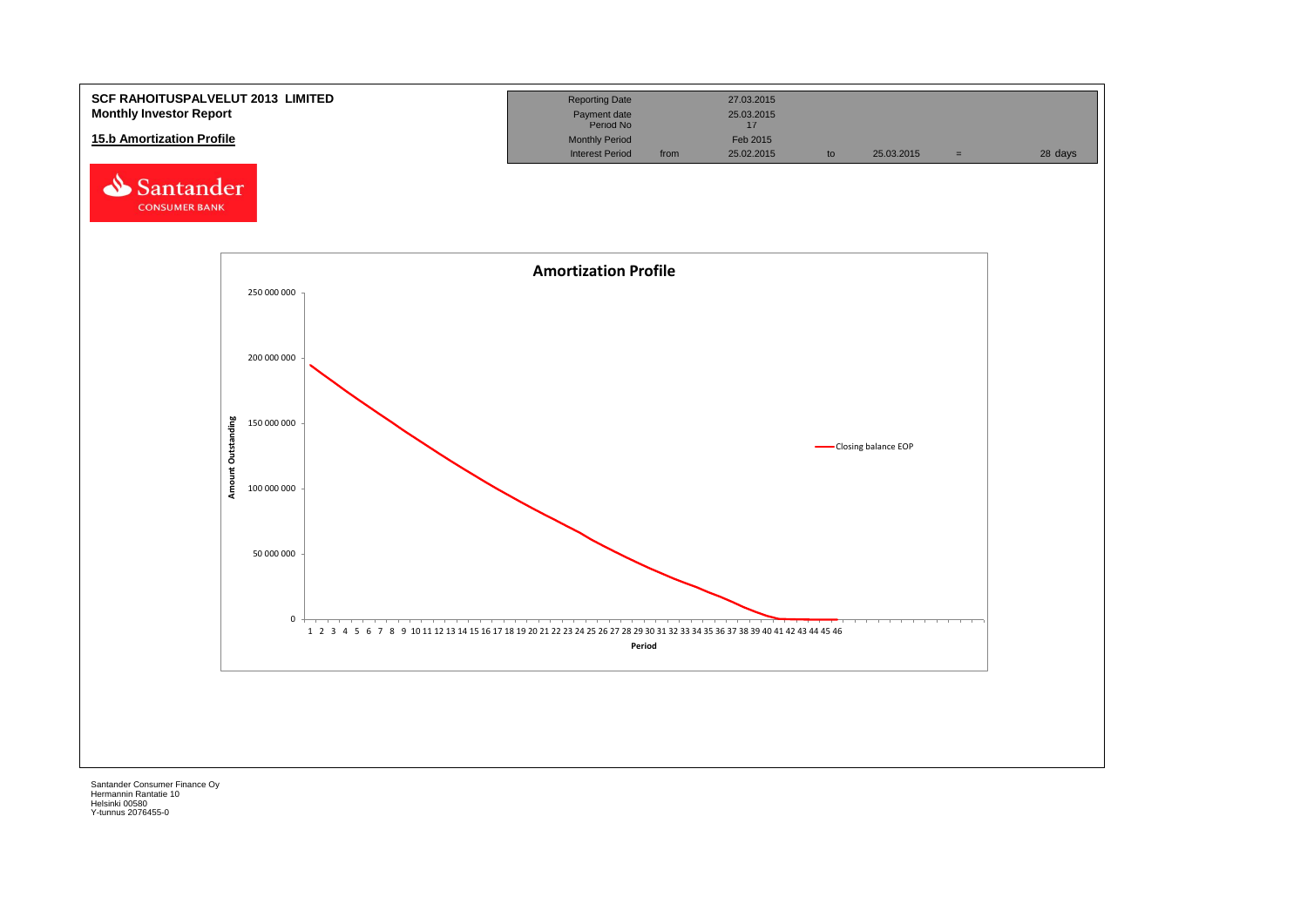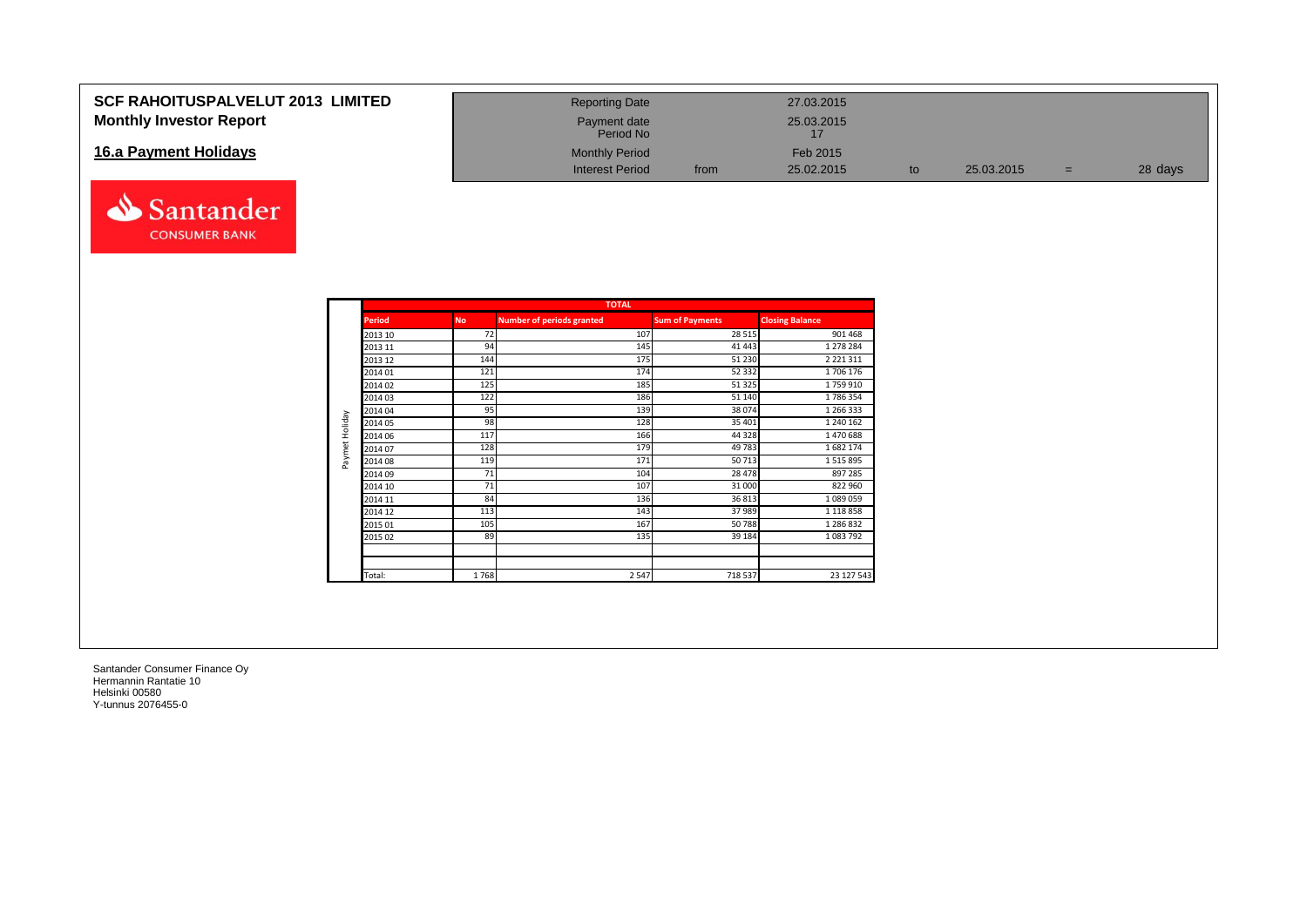## **SCF RAHOITUSPALVELUT 2013 LIMITED Monthly Investor Report**

## **16.a Payment Holidays**



| <b>Reporting Date</b>     |      | 27.03.2015 |    |            |   |         |
|---------------------------|------|------------|----|------------|---|---------|
| Payment date<br>Period No |      | 25.03.2015 |    |            |   |         |
| <b>Monthly Period</b>     |      | Feb 2015   |    |            |   |         |
| <b>Interest Period</b>    | from | 25.02.2015 | to | 25.03.2015 | - | 28 days |

|                |               |           | <b>TOTAL</b>                     |                        |                        |
|----------------|---------------|-----------|----------------------------------|------------------------|------------------------|
|                | <b>Period</b> | <b>No</b> | <b>Number of periods granted</b> | <b>Sum of Payments</b> | <b>Closing Balance</b> |
|                | 2013 10       | 72        | 107                              | 28 5 15                | 901 468                |
|                | 2013 11       | 94        | 145                              | 41 4 43                | 1 278 284              |
|                | 2013 12       | 144       | 175                              | 51 230                 | 2 2 2 1 3 1 1          |
|                | 2014 01       | 121       | 174                              | 52 332                 | 1706 176               |
|                | 2014 02       | 125       | 185                              | 51 325                 | 1759910                |
|                | 2014 03       | 122       | 186                              | 51 140                 | 1786354                |
|                | 2014 04       | 95        | 139                              | 38 0 74                | 1 266 333              |
| Paymet Holiday | 2014 05       | 98        | 128                              | 35 401                 | 1 240 162              |
|                | 2014 06       | 117       | 166                              | 44 3 28                | 1470688                |
|                | 2014 07       | 128       | 179                              | 49783                  | 1682174                |
|                | 2014 08       | 119       | 171                              | 50713                  | 1515895                |
|                | 2014 09       | 71        | 104                              | 28 478                 | 897 285                |
|                | 2014 10       | 71        | 107                              | 31 000                 | 822 960                |
|                | 2014 11       | 84        | 136                              | 36813                  | 1089059                |
|                | 2014 12       | 113       | 143                              | 37989                  | 1 1 1 8 8 5 8          |
|                | 2015 01       | 105       | 167                              | 50788                  | 1 286 832              |
|                | 2015 02       | 89        | 135                              | 39 184                 | 1 083 792              |
|                |               |           |                                  |                        |                        |
|                | Total:        | 1768      | 2547                             | 718 537                | 23 127 543             |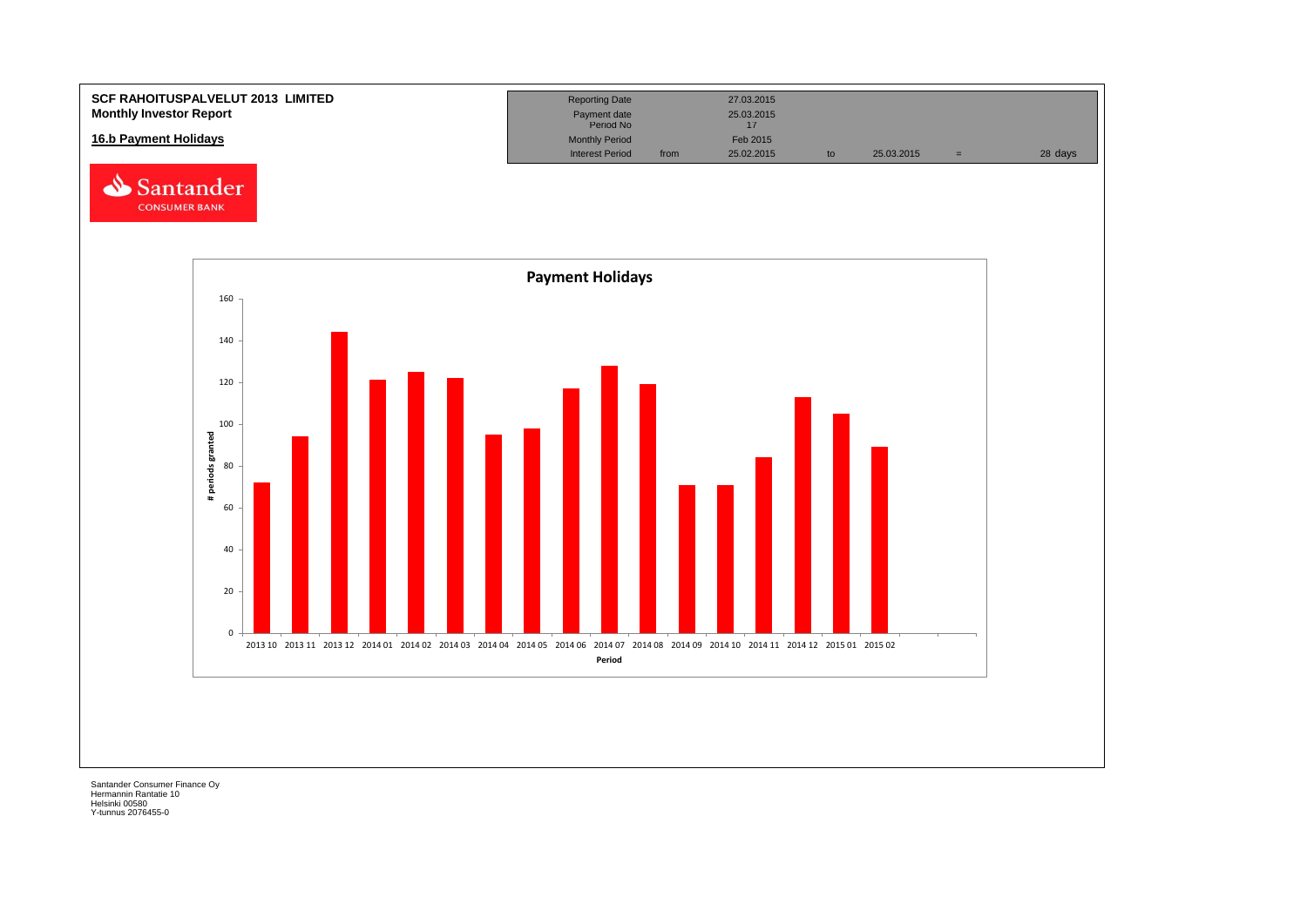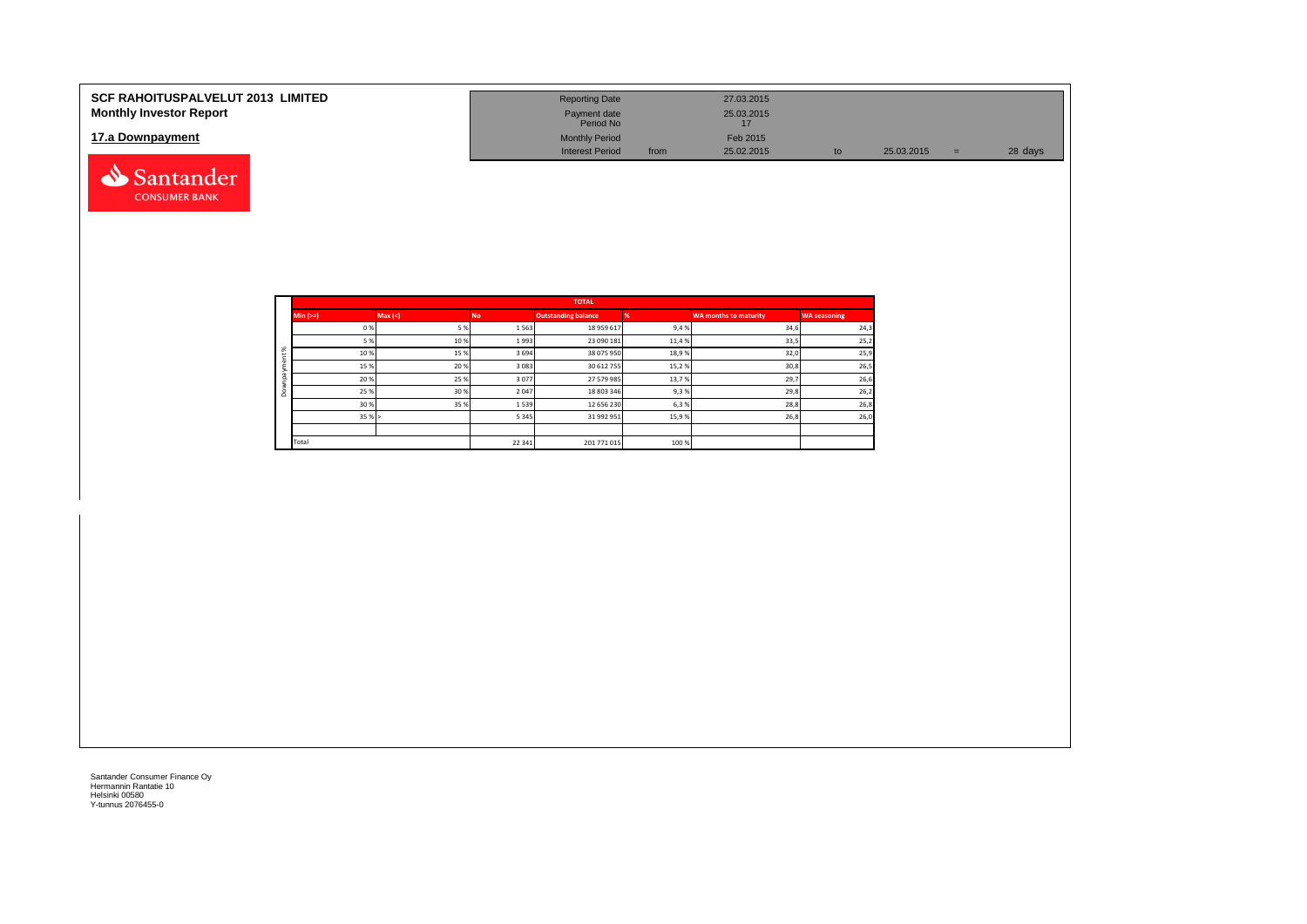| <b>SCF RAHOITUSPALVELUT 2013 LIMITED</b><br><b>Monthly Investor Report</b> | <b>Reporting Date</b><br>Payment date |      | 27.03.2015<br>25.03.2015 |    |            |         |
|----------------------------------------------------------------------------|---------------------------------------|------|--------------------------|----|------------|---------|
|                                                                            | Period No                             |      | 17                       |    |            |         |
| 17.a Downpayment                                                           | <b>Monthly Period</b>                 |      | Feb 2015                 |    |            |         |
|                                                                            | <b>Interest Period</b>                | from | 25.02.2015               | to | 25.03.2015 | 28 days |
| Santander                                                                  |                                       |      |                          |    |            |         |

|          |             |         |         | <b>TOTAL</b>               |       |                              |                     |
|----------|-------------|---------|---------|----------------------------|-------|------------------------------|---------------------|
|          | $Min (=)=)$ | Max (<) | No.     | <b>Outstanding balance</b> |       | <b>WA months to maturity</b> | <b>WA seasoning</b> |
|          | 0%          | 5 %     | 1563    | 18 959 617                 | 9,4%  | 34,6                         | 24,3                |
|          | 5 %         | 10%     | 1993    | 23 090 181                 | 11,4% | 33,5                         | 25,2                |
| $\aleph$ | 10%         | 15%     | 3694    | 38 075 950                 | 18,9% | 32,0                         | 25,9                |
|          | 15 %        | 20%     | 3 0 8 3 | 30 612 755                 | 15,2% | 30,8                         | 26,5                |
|          | 20%         | 25 %    | 3077    | 27 579 985                 | 13,7% | 29,7                         | 26,6                |
| $\circ$  | 25 %        | 30 %    | 2047    | 18 803 346                 | 9,3%  | 29,8                         | 26,2                |
|          | 30 %        | 35 %    | 1539    | 12 656 230                 | 6,3%  | 28,8                         | 26,8                |
|          | 35%         |         | 5 3 4 5 | 31 992 951                 | 15,9% | 26,8                         | 26,0                |
|          |             |         |         |                            |       |                              |                     |
|          | Total       |         | 22 341  | 201 771 015                | 100%  |                              |                     |

**CONSUMER BANK**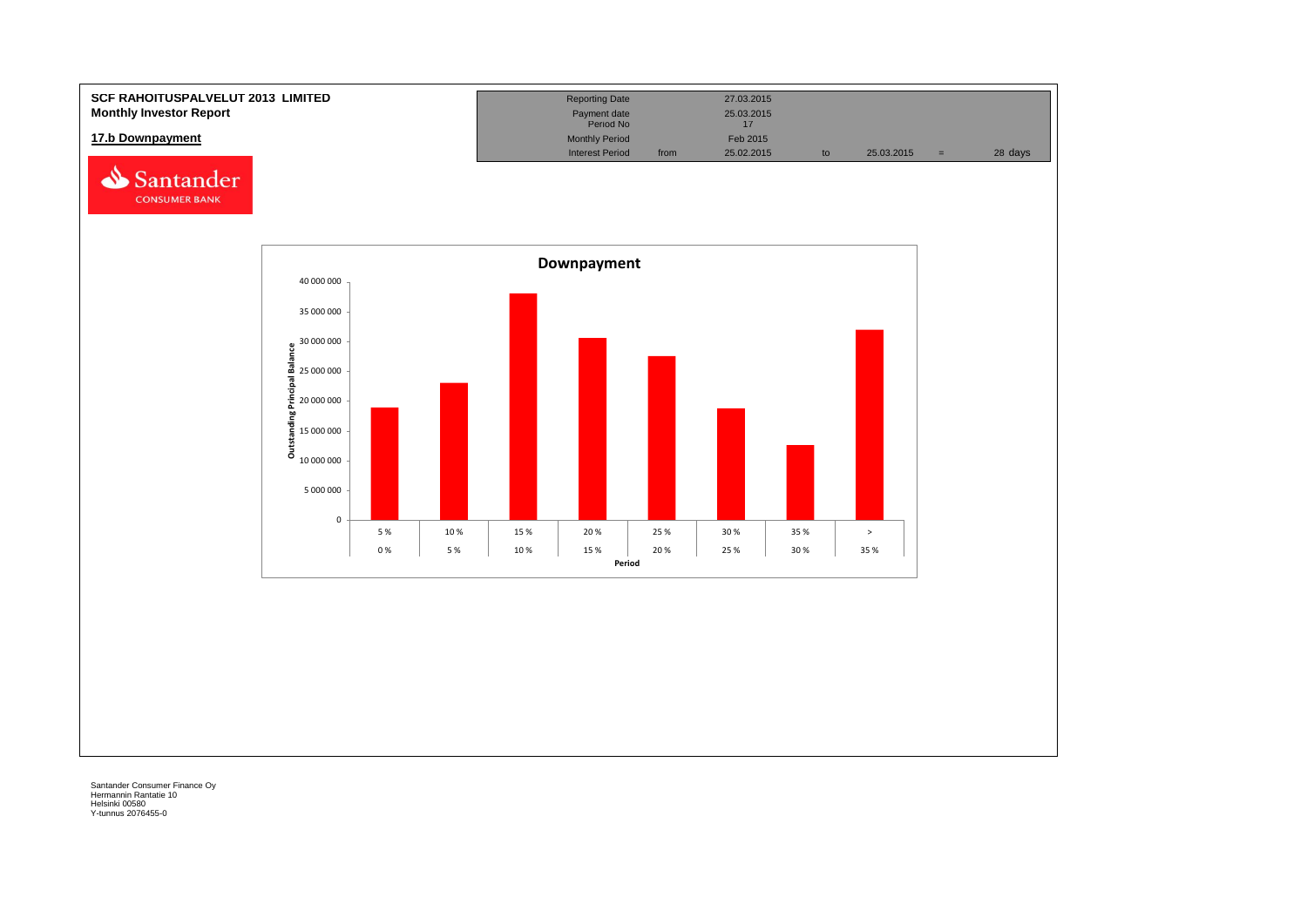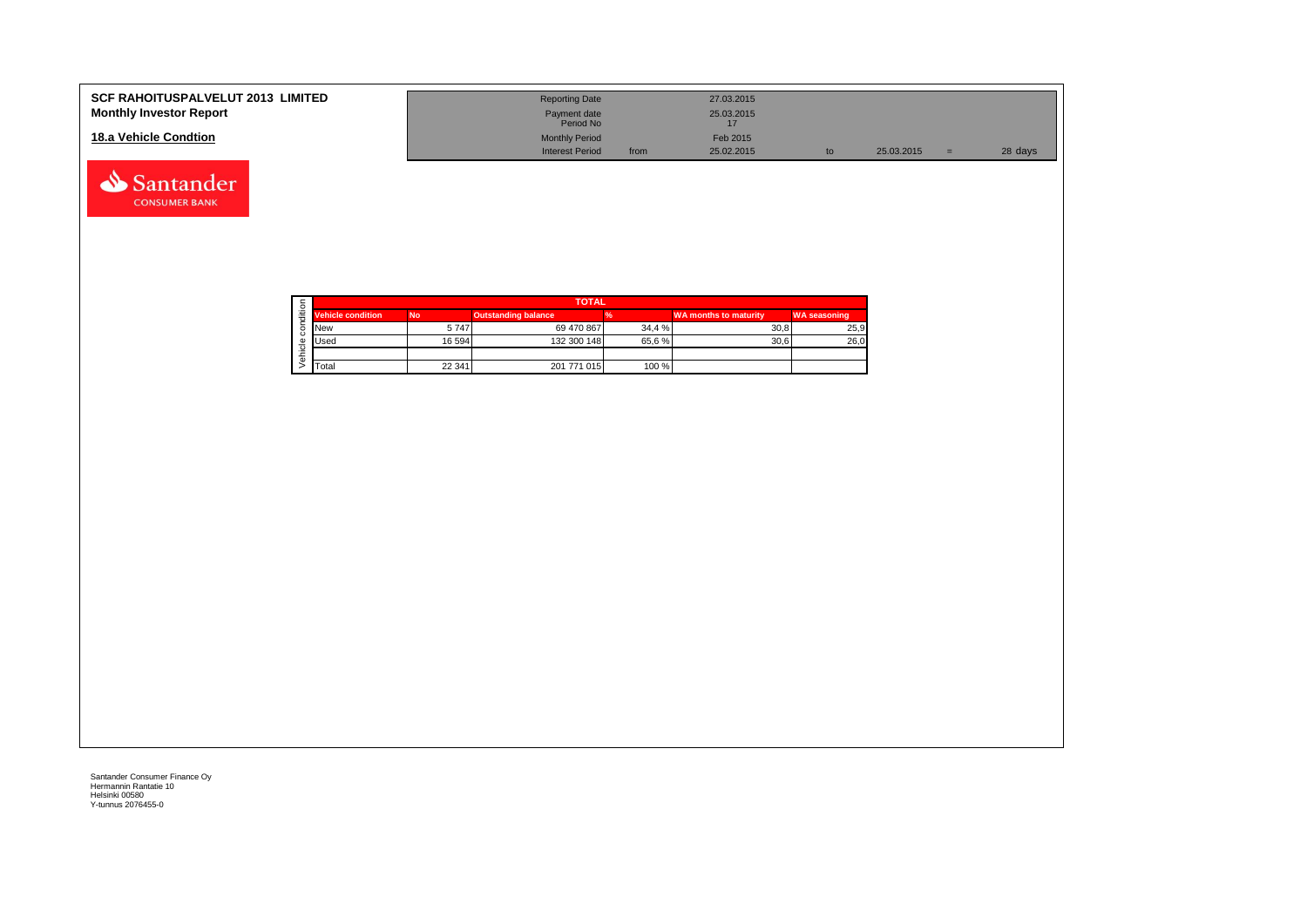| <b>SCF RAHOITUSPALVELUT 2013 LIMITED</b><br><b>Monthly Investor Report</b> | <b>Reporting Date</b><br>Payment date<br>Period No | 27.03.2015<br>25.03.2015       |    |            |     |         |
|----------------------------------------------------------------------------|----------------------------------------------------|--------------------------------|----|------------|-----|---------|
| 18.a Vehicle Condtion                                                      | <b>Monthly Period</b><br><b>Interest Period</b>    | Feb 2015<br>25.02.2015<br>from | to | 25.03.2015 | $=$ | 28 days |

|  |                          | <b>TOTAL</b> |                            |        |                              |                     |  |  |  |  |
|--|--------------------------|--------------|----------------------------|--------|------------------------------|---------------------|--|--|--|--|
|  | <b>Vehicle condition</b> | <b>No</b>    | <b>Outstanding balance</b> |        | <b>WA months to maturity</b> | <b>WA seasoning</b> |  |  |  |  |
|  | <b>New</b>               | 5747         | 69 470 867                 | 34.4 % | 30.8                         | 25,9                |  |  |  |  |
|  | <b>Used</b>              | 16 594       | 132 300 148                | 65.6%  | 30.6                         | 26,0                |  |  |  |  |
|  |                          |              |                            |        |                              |                     |  |  |  |  |
|  | Total                    | 22 341       | 201 771 015                | 100 %  |                              |                     |  |  |  |  |

Santander **CONSUMER BANK**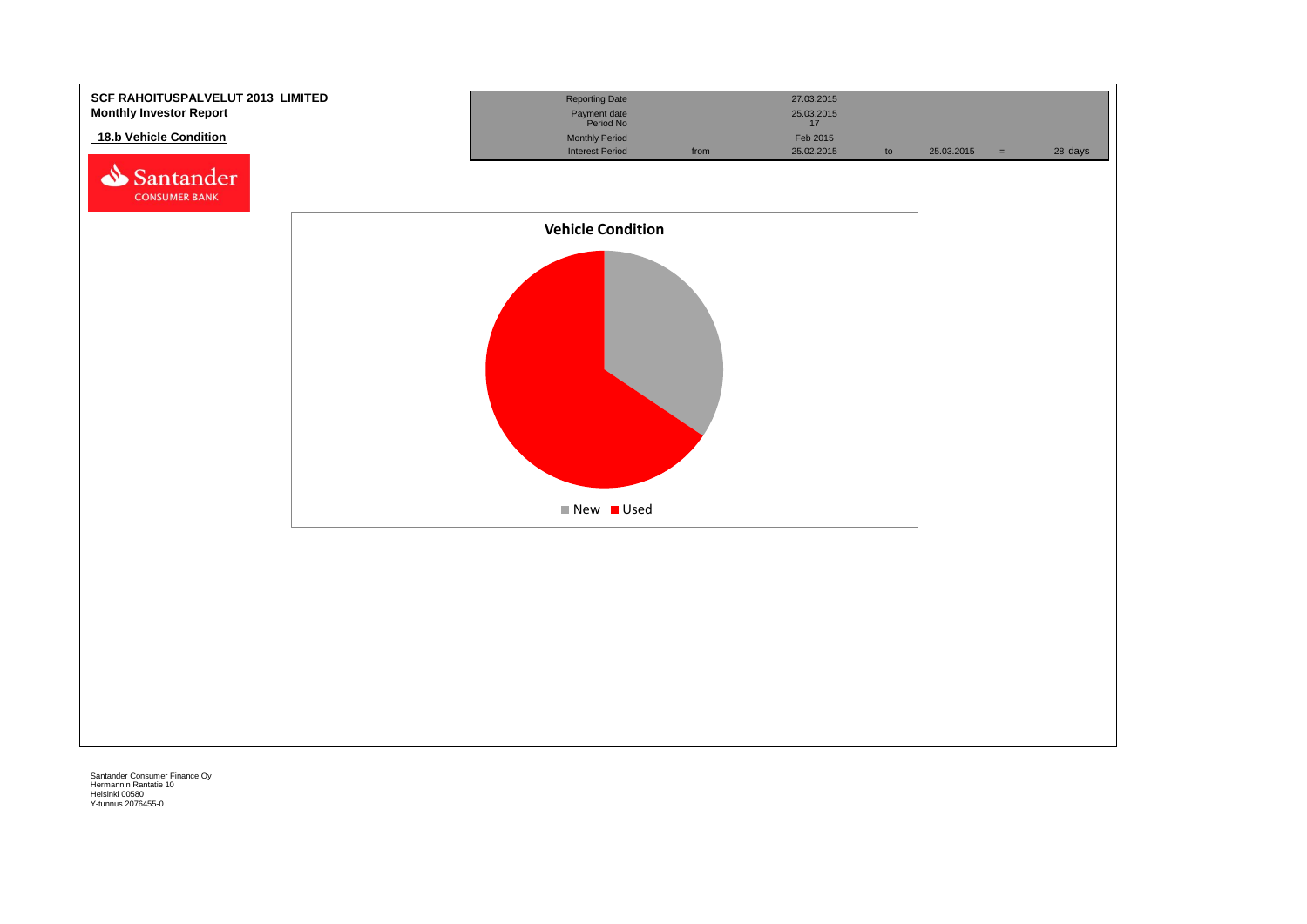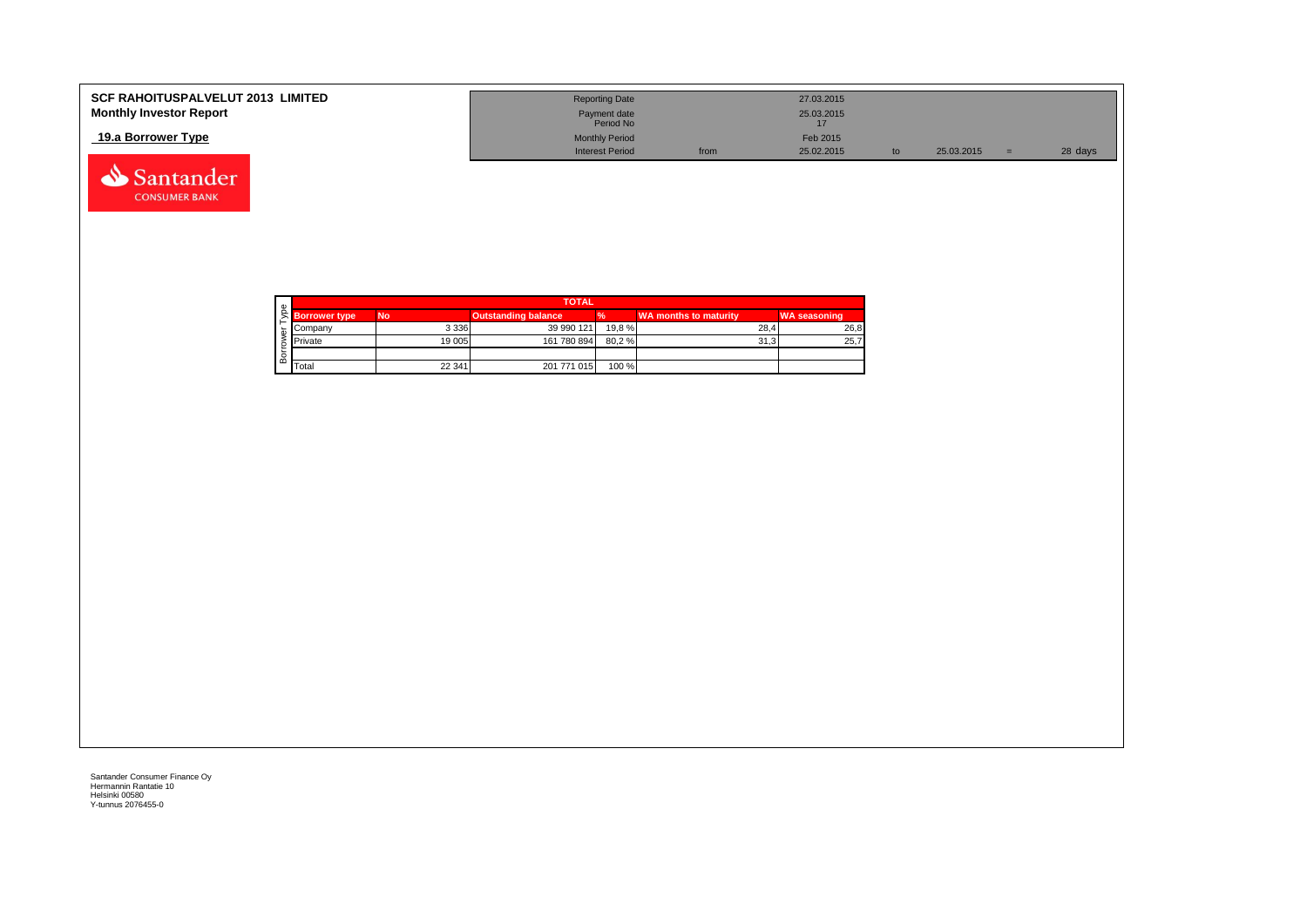| <b>SCF RAHOITUSPALVELUT 2013 LIMITED</b><br><b>Monthly Investor Report</b> | <b>Reporting Date</b><br>Payment date |      | 27.03.2015<br>25.03.2015 |            |         |
|----------------------------------------------------------------------------|---------------------------------------|------|--------------------------|------------|---------|
| 19.a Borrower Type                                                         | Period No<br><b>Monthly Period</b>    |      | Feb 2015                 |            |         |
|                                                                            | Interest Period                       | from | 25.02.2015               | 25.03.2015 | 28 days |

| c |                      | <b>TOTAL</b> |                            |        |                       |                     |  |  |  |
|---|----------------------|--------------|----------------------------|--------|-----------------------|---------------------|--|--|--|
|   | <b>Borrower type</b> | <b>No</b>    | <b>Outstanding balance</b> |        | WA months to maturity | <b>WA seasoning</b> |  |  |  |
|   | Company              | 3 3 3 6      | 39 990 121                 | 19.8 % | 28.4                  | 26,8                |  |  |  |
|   | Private              | 19 005       | 161 780 894                | 80,2%  | 31.3                  | 25,7                |  |  |  |
|   |                      |              |                            |        |                       |                     |  |  |  |
| മ | Total                | 22 341       | 201 771 015                | 100 %  |                       |                     |  |  |  |

Santander **CONSUMER BANK**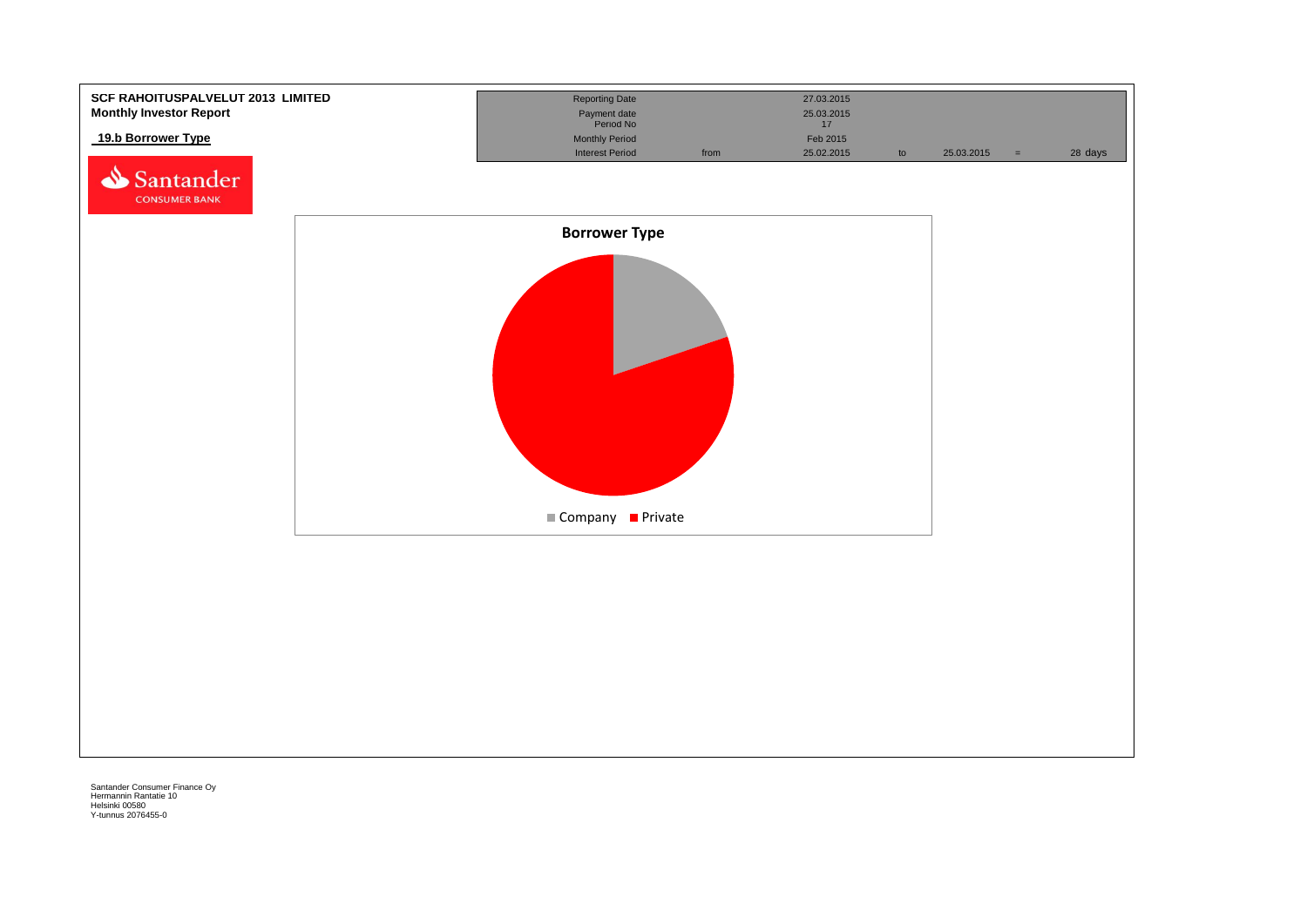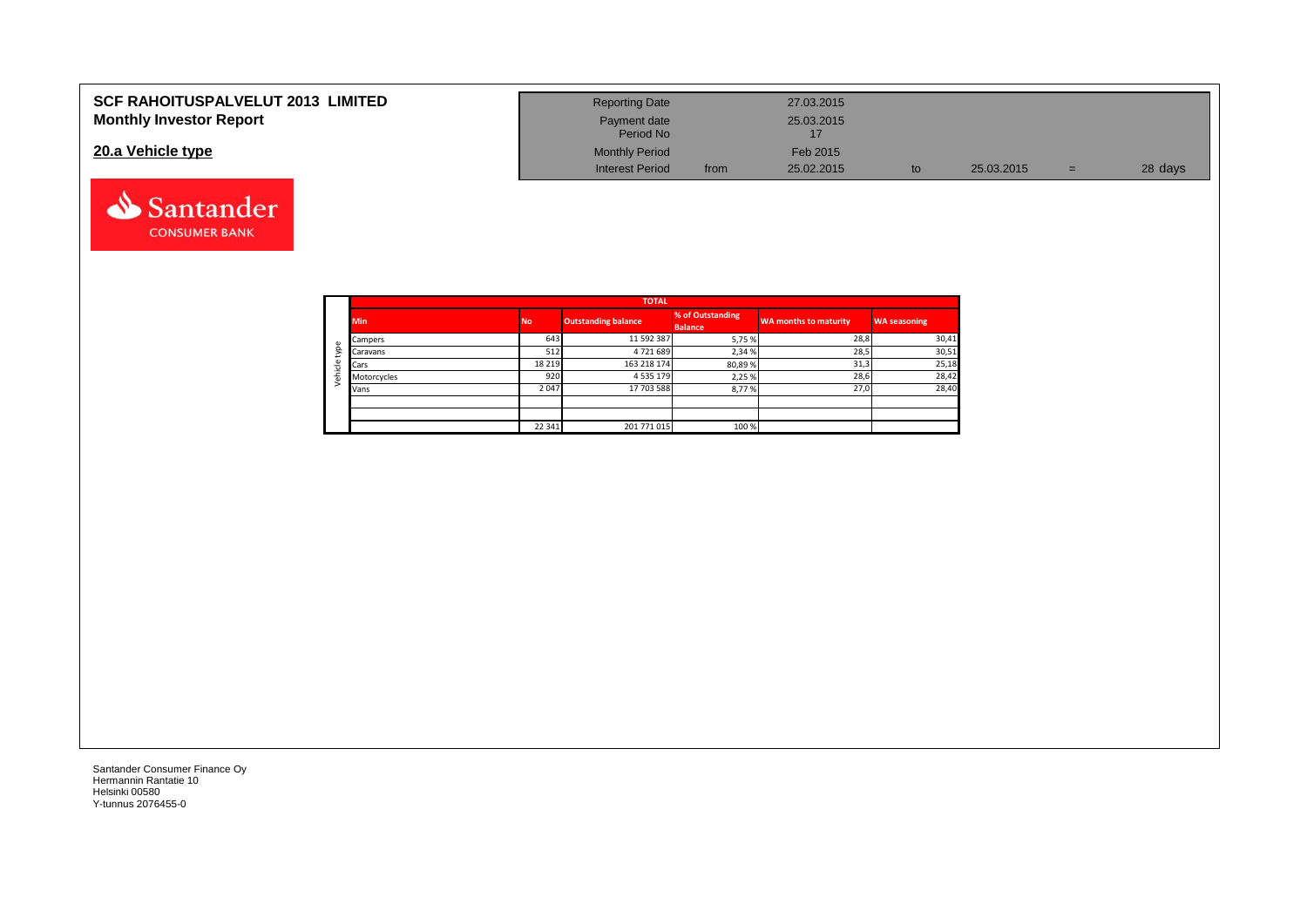| <b>SCF RAHOITUSPALVELUT 2013 LIMITED</b> | <b>Reporting Date</b>     |      | 27.03.2015 |            |     |         |
|------------------------------------------|---------------------------|------|------------|------------|-----|---------|
| <b>Monthly Investor Report</b>           | Payment date<br>Period No |      | 25.03.2015 |            |     |         |
| 20.a Vehicle type                        | <b>Monthly Period</b>     |      | Feb 2015   |            |     |         |
|                                          | <b>Interest Period</b>    | from | 25.02.2015 | 25.03.2015 | $=$ | 28 days |

|                |             |         | <b>TOTAL</b>               |                                    |                       |                     |
|----------------|-------------|---------|----------------------------|------------------------------------|-----------------------|---------------------|
|                | <b>Min</b>  |         | <b>Outstanding balance</b> | % of Outstanding<br><b>Balance</b> | WA months to maturity | <b>WA seasoning</b> |
| $\mathbbmss{}$ | Campers     | 643     | 11 592 387                 | 5,75 %                             | 28,8                  | 30,41               |
| g              | Caravans    | 512     | 4721689                    | 2,34 %                             | 28,5                  | 30,51               |
|                | Cars        | 18 2 19 | 163 218 174                | 80,89%                             | 31,3                  | 25,18               |
| ehicle         | Motorcycles | 920     | 4 5 3 5 1 7 9              | 2,25 %                             | 28,6                  | 28,42               |
|                | Vans        | 2 0 4 7 | 17 703 588                 | 8,77%                              | 27,0                  | 28,40               |
|                |             |         |                            |                                    |                       |                     |
|                |             |         |                            |                                    |                       |                     |
|                |             | 22 341  | 201 771 015                | 100 %                              |                       |                     |

Santander **CONSUMER BANK**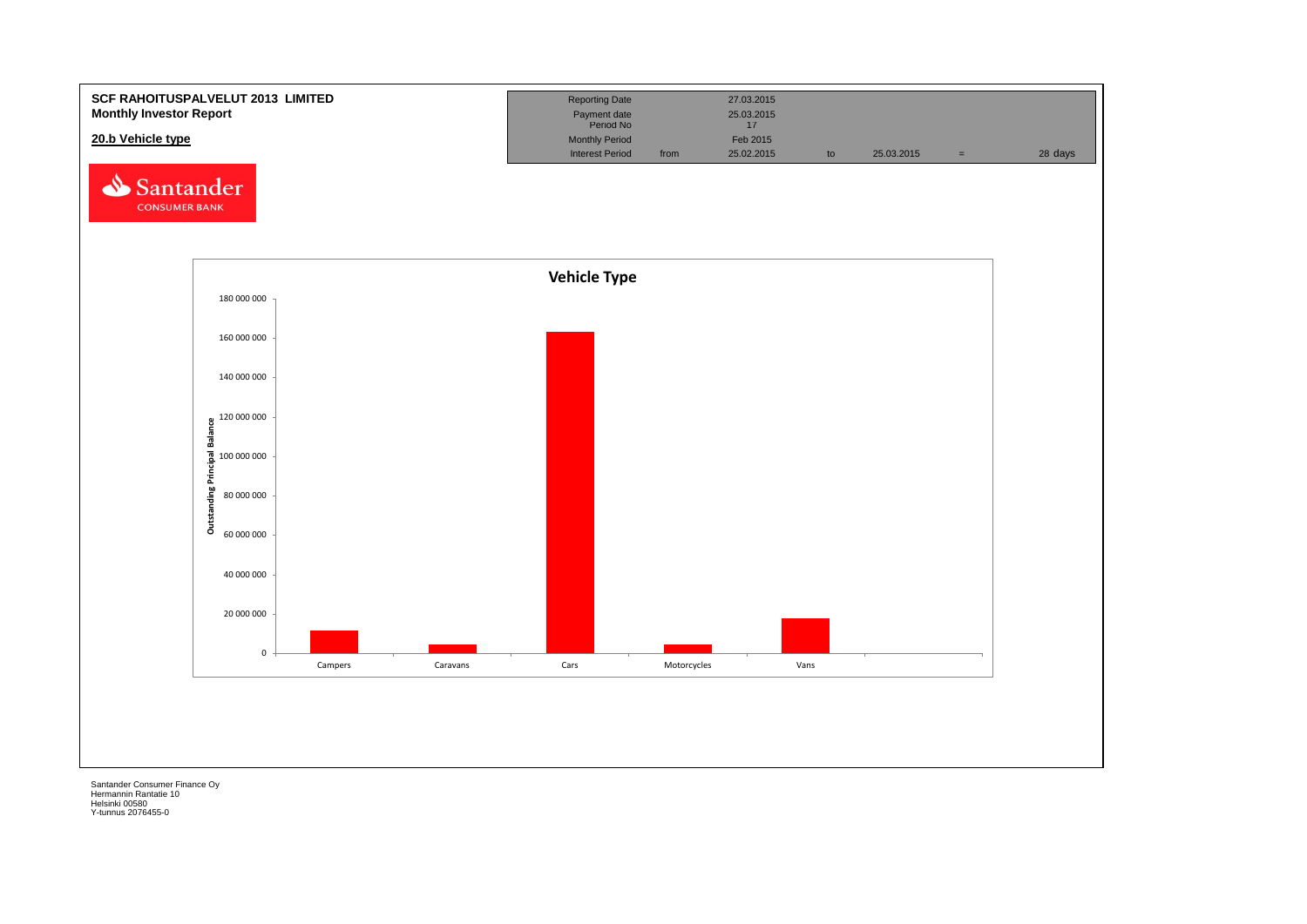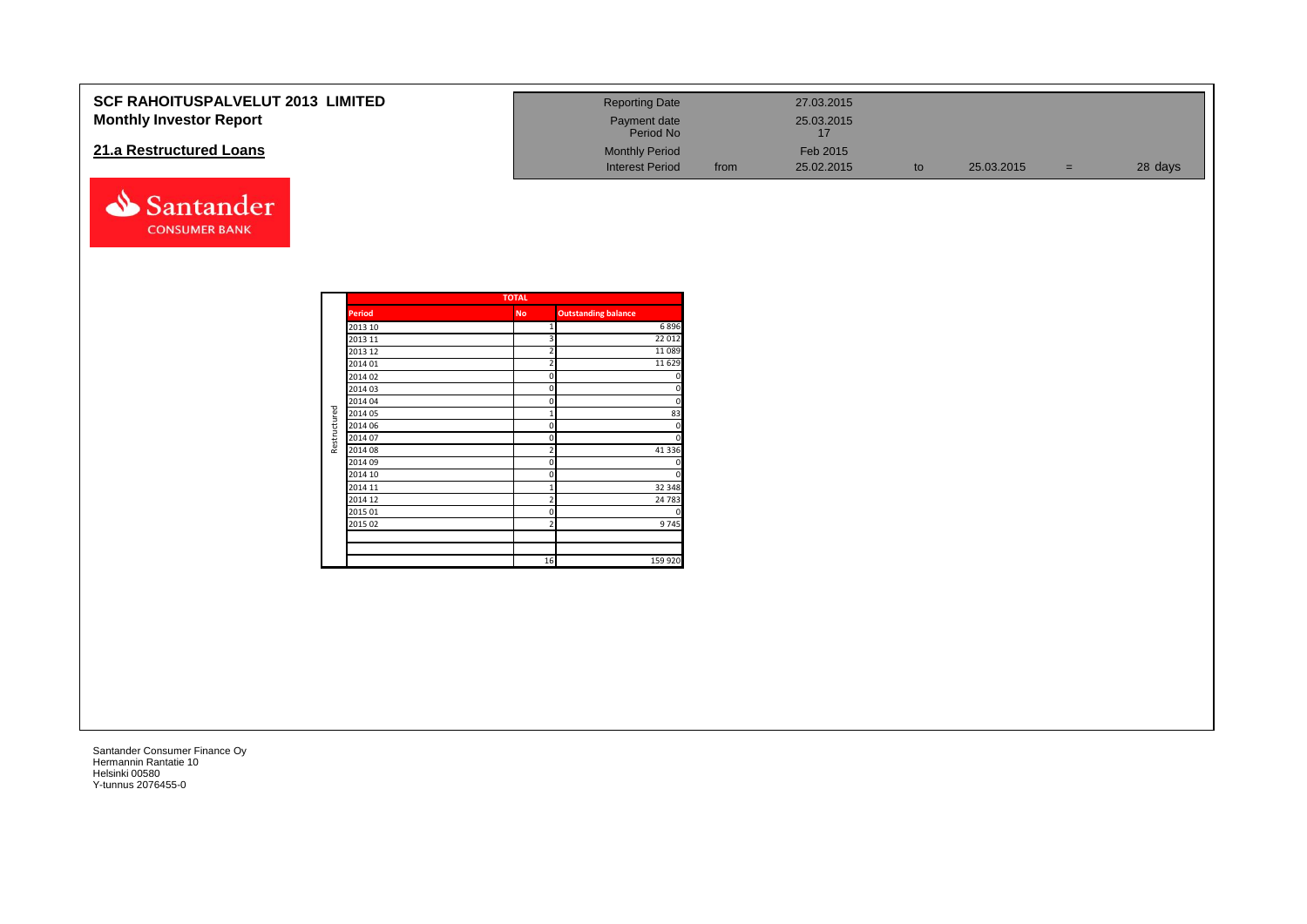| <b>SCF RAHOITUSPALVELUT 2013 LIMITED</b> | <b>Reporting Date</b>     |      | 27.03.2015 |            |     |         |
|------------------------------------------|---------------------------|------|------------|------------|-----|---------|
| <b>Monthly Investor Report</b>           | Payment date<br>Period No |      | 25.03.2015 |            |     |         |
| 21.a Restructured Loans                  | <b>Monthly Period</b>     |      | Feb 2015   |            |     |         |
|                                          | <b>Interest Period</b>    | from | 25.02.2015 | 25.03.2015 | $=$ | 28 days |



|              |               | <b>TOTAL</b>   |                            |
|--------------|---------------|----------------|----------------------------|
|              | <b>Period</b> | <b>No</b>      | <b>Outstanding balance</b> |
|              | 2013 10       | $\mathbf{1}$   | 6896                       |
|              | 2013 11       | 3              | 22 012                     |
|              | 2013 12       | $\overline{2}$ | 11089                      |
|              | 2014 01       | $\overline{2}$ | 11 6 29                    |
|              | 2014 02       | $\mathbf 0$    | 0                          |
|              | 2014 03       | 0              | 0                          |
|              | 2014 04       | 0              | 0                          |
| Restructured | 2014 05       | $\overline{1}$ | 83                         |
|              | 2014 06       | 0              | 0                          |
|              | 2014 07       | $\mathbf 0$    | 0                          |
|              | 2014 08       | 2              | 41 3 3 6                   |
|              | 2014 09       | 0              |                            |
|              | 2014 10       | 0              | $\Omega$                   |
|              | 2014 11       | 1              | 32 348                     |
|              | 2014 12       | $\overline{2}$ | 24 783                     |
|              | 2015 01       | 0              | 0                          |
|              | 2015 02       | $\overline{2}$ | 9745                       |
|              |               |                |                            |
|              |               | 16             | 159 920                    |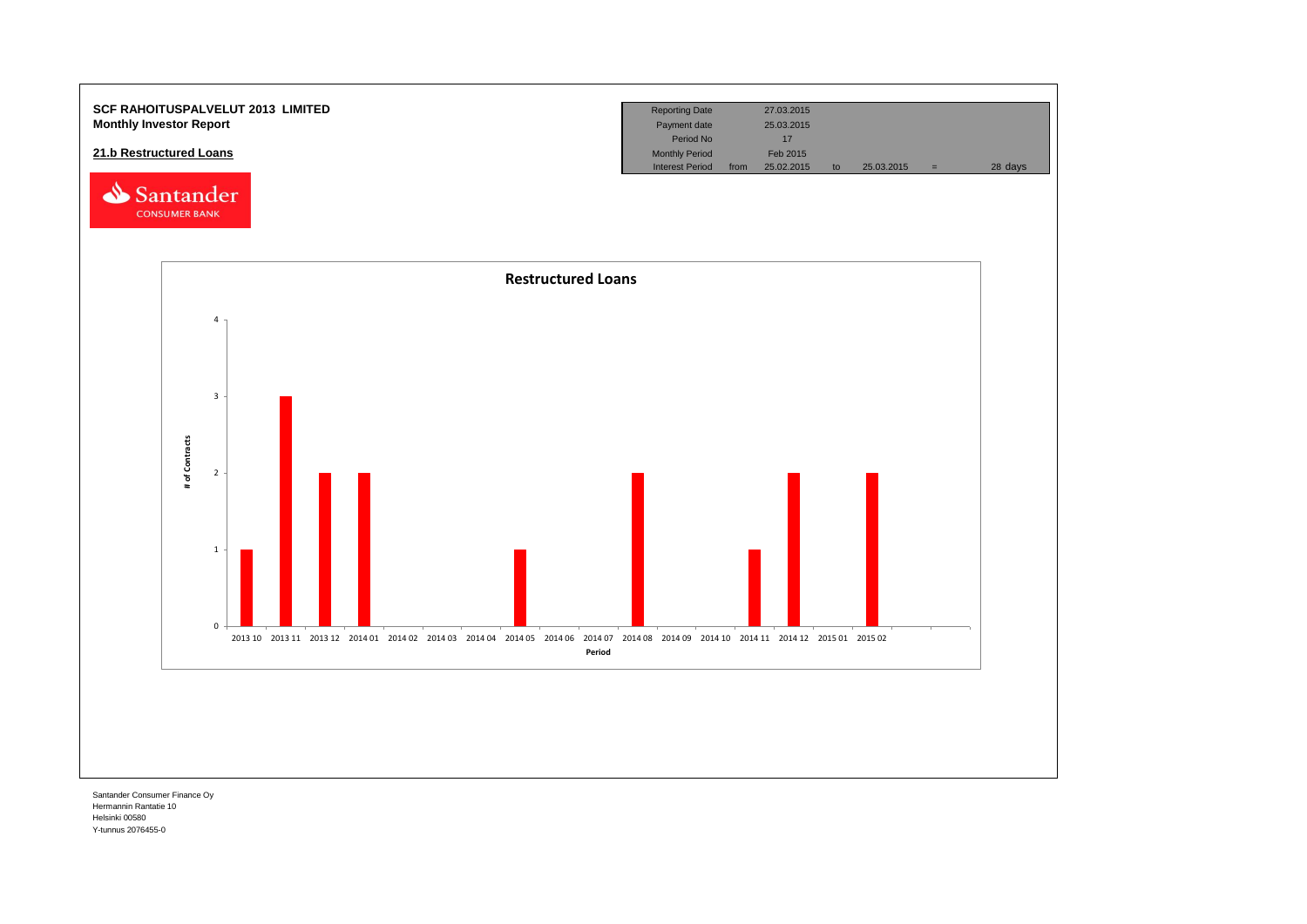

Hermannin Rantatie 10 Helsinki 00580 Y-tunnus 2076455-0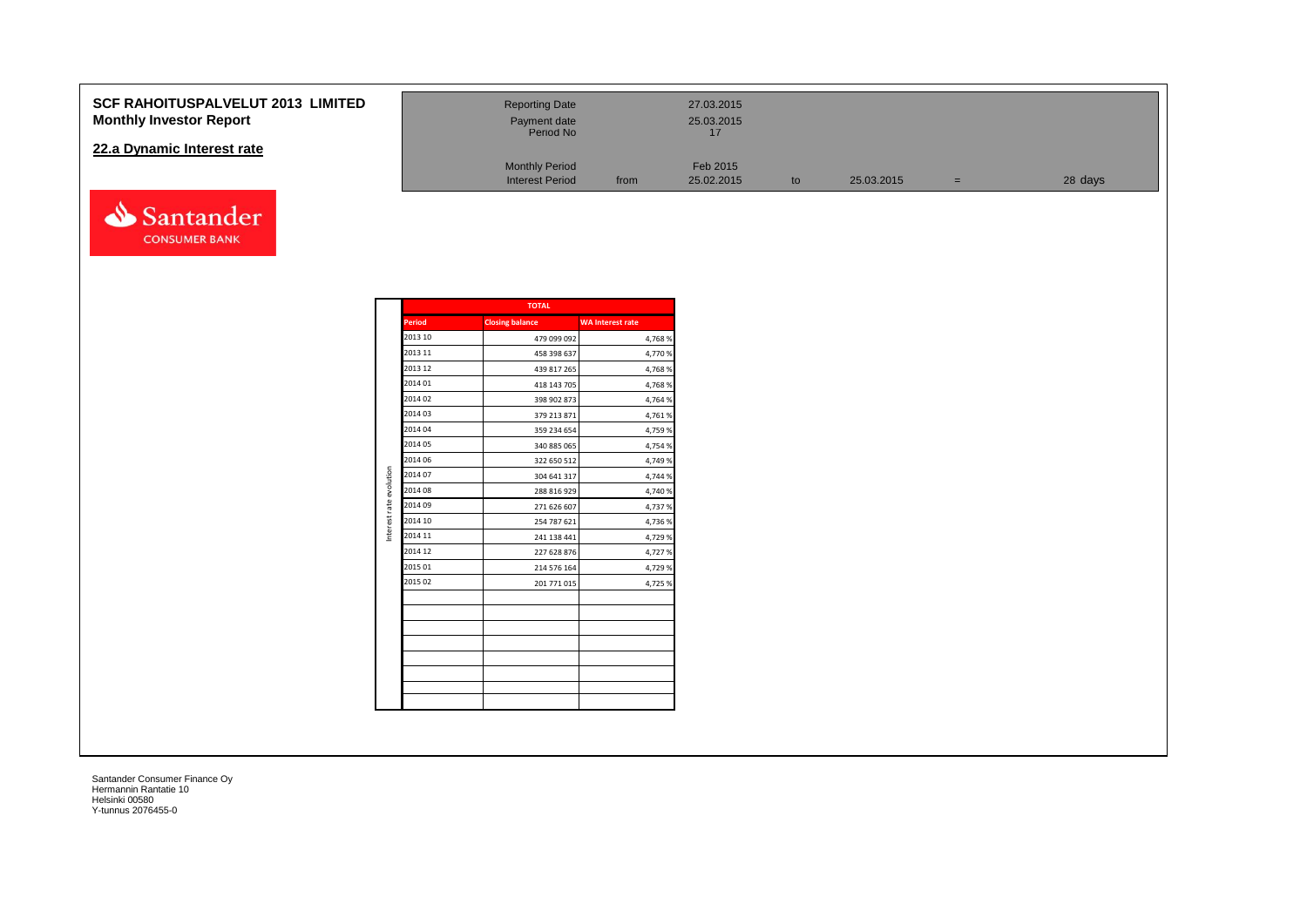## **SCF RAHOITUSPALVELUT 2013 LI Monthly Investor Report**

## **22.a Dynamic Interest rate**



| <b>IMITED</b> | <b>Reporting Date</b><br>Payment date<br>Period No |      | 27.03.2015<br>25.03.2015 |    |            |     |         |
|---------------|----------------------------------------------------|------|--------------------------|----|------------|-----|---------|
|               | <b>Monthly Period</b><br><b>Interest Period</b>    | from | Feb 2015<br>25.02.2015   | to | 25.03.2015 | $=$ | 28 days |

|                         |               | <b>TOTAL</b>           |                         |
|-------------------------|---------------|------------------------|-------------------------|
|                         | <b>Period</b> | <b>Closing balance</b> | <b>WA Interest rate</b> |
|                         | 2013 10       | 479 099 092            | 4,768%                  |
|                         | 2013 11       | 458 398 637            | 4,770%                  |
|                         | 2013 12       | 439 817 265            | 4,768%                  |
|                         | 2014 01       | 418 143 705            | 4,768%                  |
|                         | 2014 02       | 398 902 873            | 4,764 %                 |
|                         | 2014 03       | 379 213 871            | 4,761%                  |
|                         | 2014 04       | 359 234 654            | 4,759 %                 |
|                         | 2014 05       | 340 885 065            | 4,754 %                 |
|                         | 2014 06       | 322 650 512            | 4,749 %                 |
|                         | 2014 07       | 304 641 317            | 4,744 %                 |
| Interest rate evolution | 2014 08       | 288 816 929            | 4,740 %                 |
|                         | 2014 09       | 271 626 607            | 4,737 %                 |
|                         | 2014 10       | 254 787 621            | 4,736%                  |
|                         | 2014 11       | 241 138 441            | 4,729 %                 |
|                         | 2014 12       | 227 628 876            | 4,727%                  |
|                         | 2015 01       | 214 576 164            | 4,729 %                 |
|                         | 2015 02       | 201 771 015            | 4,725 %                 |
|                         |               |                        |                         |
|                         |               |                        |                         |
|                         |               |                        |                         |
|                         |               |                        |                         |
|                         |               |                        |                         |
|                         |               |                        |                         |
|                         |               |                        |                         |
|                         |               |                        |                         |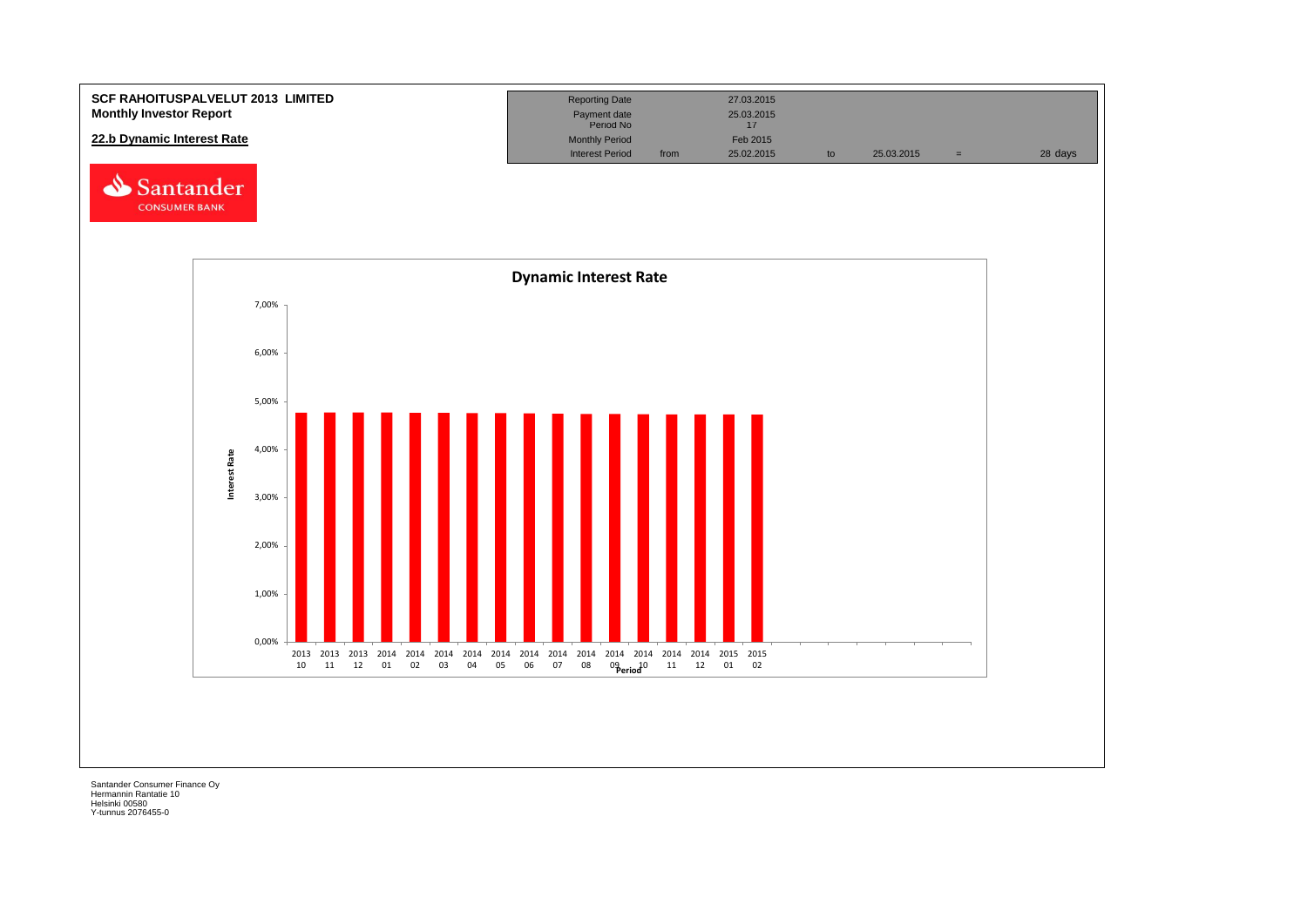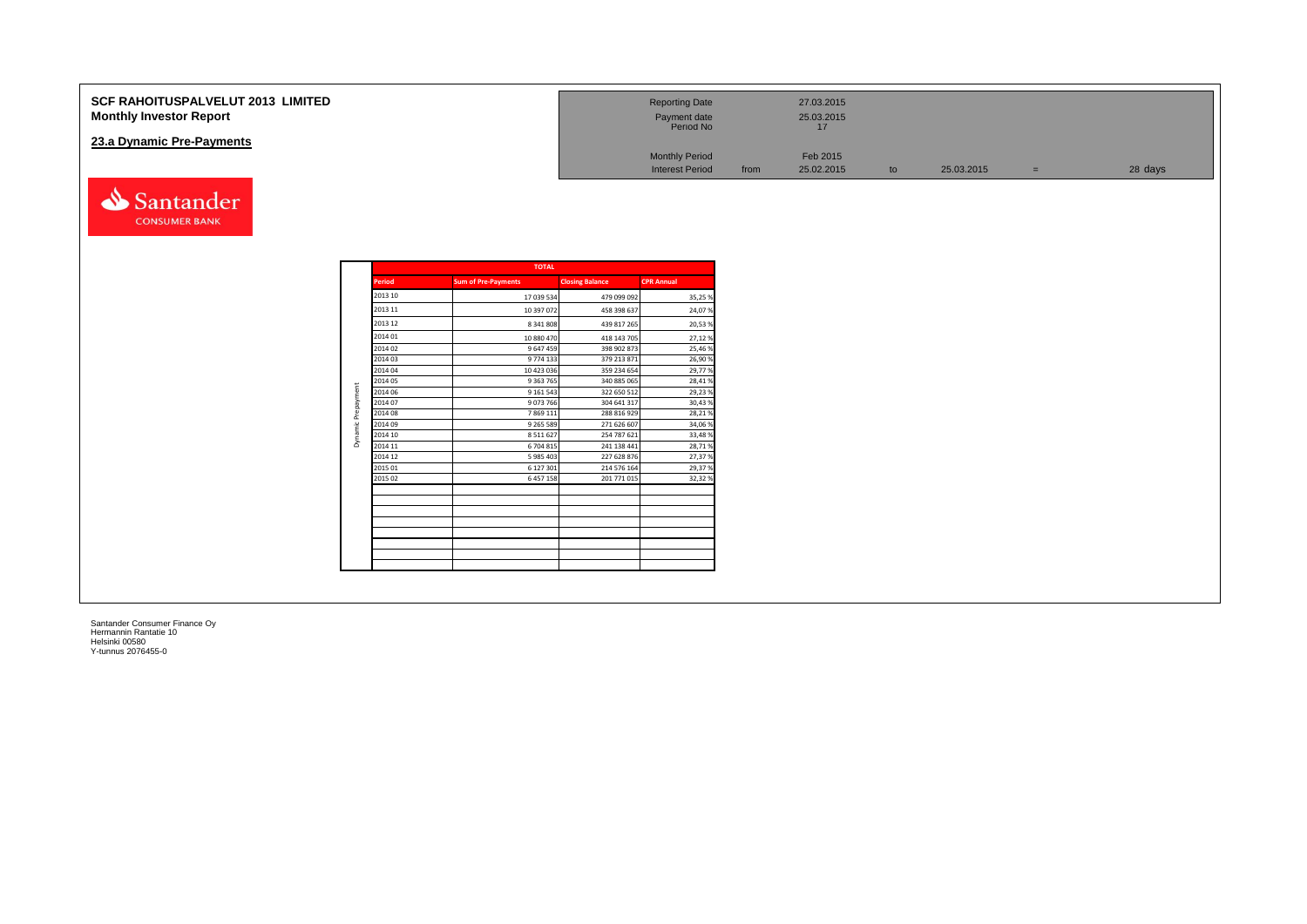| <b>SCF RAHOITUSPALVELUT 2013 LIMITED</b><br><b>Monthly Investor Report</b> | <b>Reporting Date</b><br>Payment date<br>Period No |      | 27.03.2015<br>25.03.2015 |    |            |                          |         |
|----------------------------------------------------------------------------|----------------------------------------------------|------|--------------------------|----|------------|--------------------------|---------|
| 23.a Dynamic Pre-Payments                                                  |                                                    |      |                          |    |            |                          |         |
|                                                                            | <b>Monthly Period</b>                              |      | Feb 2015                 |    |            |                          |         |
|                                                                            | <b>Interest Period</b>                             | from | 25.02.2015               | to | 25.03.2015 | $\overline{\phantom{0}}$ | 28 days |

|               | <b>TOTAL</b>               |                        |                   |
|---------------|----------------------------|------------------------|-------------------|
| <b>Period</b> | <b>Sum of Pre-Payments</b> | <b>Closing Balance</b> | <b>CPR Annual</b> |
| 2013 10       | 17 039 534                 | 479 099 092            | 35,25%            |
| 2013 11       | 10 397 072                 | 458 398 637            | 24,07%            |
| 2013 12       | 8 341 808                  | 439 817 265            | 20,53%            |
| 2014 01       | 10 880 470                 | 418 143 705            | 27,12%            |
| 2014 02       | 9 647 459                  | 398 902 873            | 25,46%            |
| 2014 03       | 9774 133                   | 379 213 871            | 26,90%            |
| 2014 04       | 10 423 036                 | 359 234 654            | 29,77%            |
| 2014 05       | 9 3 63 7 65                | 340 885 065            | 28,41%            |
| 2014 06       | 9 161 543                  | 322 650 512            | 29,23%            |
| 2014 07       | 9 0 73 766                 | 304 641 317            | 30,43%            |
| 2014 08       | 7869111                    | 288 816 929            | 28,21%            |
| 2014 09       | 9 2 6 5 5 8 9              | 271 626 607            | 34,06%            |
| 2014 10       | 8 5 1 1 6 2 7              | 254 787 621            | 33,48%            |
| 2014 11       | 6 704 815                  | 241 138 441            | 28,71%            |
| 2014 12       | 5 985 403                  | 227 628 876            | 27,37%            |
| 2015 01       | 6 127 301                  | 214 576 164            | 29,37%            |
| 2015 02       | 6 457 158                  | 201 771 015            | 32,32%            |
|               |                            |                        |                   |
|               |                            |                        |                   |
|               |                            |                        |                   |
|               |                            |                        |                   |
|               |                            |                        |                   |

Santander **CONSUMER BANK**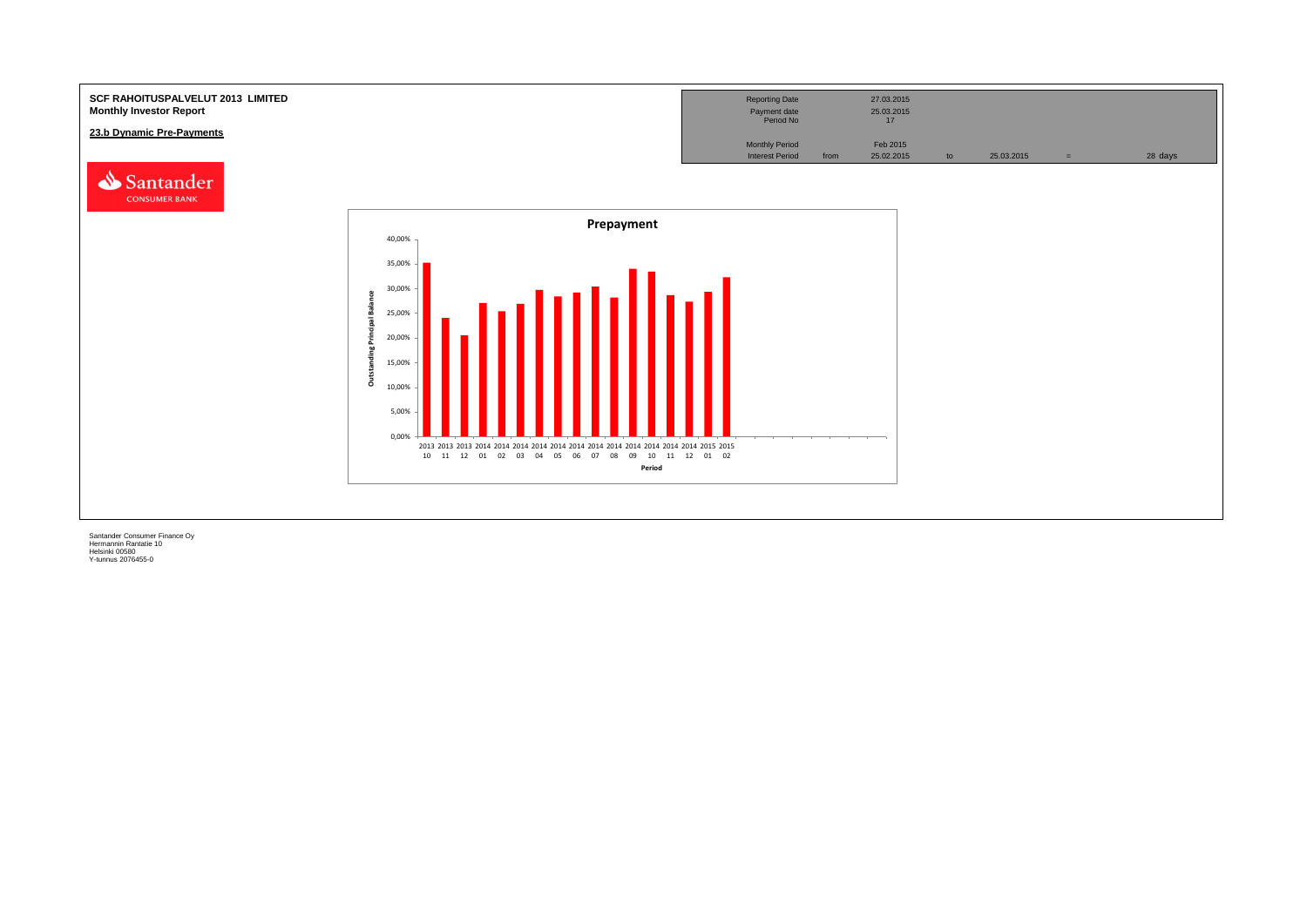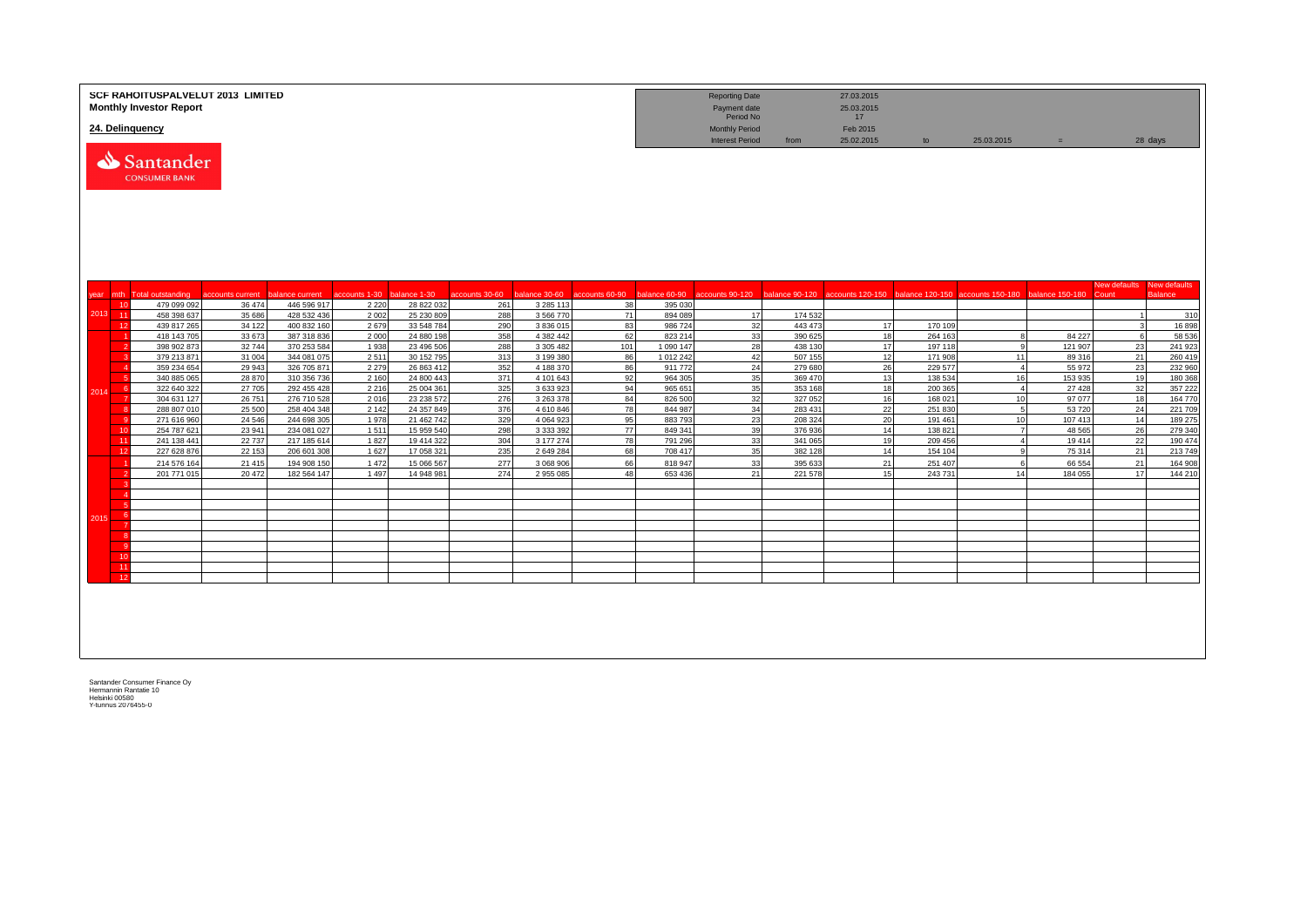|      |          | <b>SCF RAHOITUSPALVELUT 2013 LIMITED</b><br><b>Monthly Investor Report</b><br>24. Delinquency |                    |                            |                 |                          |                |                        |          |                     | <b>Reporting Date</b><br>Payment date<br>Period No<br><b>Monthly Period</b> |                    | 27.03.2015<br>25.03.2015<br>17<br>Feb 2015 |                    |                                                                                                                                                   |                  |                |                                |
|------|----------|-----------------------------------------------------------------------------------------------|--------------------|----------------------------|-----------------|--------------------------|----------------|------------------------|----------|---------------------|-----------------------------------------------------------------------------|--------------------|--------------------------------------------|--------------------|---------------------------------------------------------------------------------------------------------------------------------------------------|------------------|----------------|--------------------------------|
|      |          | Santander<br><b>CONSUMER BANK</b>                                                             |                    |                            |                 |                          |                |                        |          |                     | <b>Interest Period</b>                                                      | from               | 25.02.2015                                 | to                 | 25.03.2015                                                                                                                                        | $=$              |                | 28 days                        |
| year |          | mth Total outstanding                                                                         | accounts current   | balance current            | accounts 1-30   | balance 1-30             | accounts 30-60 |                        |          |                     |                                                                             |                    |                                            |                    | balance 30-60 accounts 60-90 balance 60-90 accounts 90-120 balance 90-120 accounts 120-150 balance 120-150 accounts 150-180 balance 150-180 Count |                  | New defaults   | New defaults<br><b>Balance</b> |
|      | 10       | 479 099 092                                                                                   | 36 474             | 446 596 917                | 2 2 2 0         | 28 822 032               | 261            | 3 2 8 5 1 1 3          | 38       | 395 030             |                                                                             |                    |                                            |                    |                                                                                                                                                   |                  |                |                                |
|      | 2013 11  | 458 398 637                                                                                   | 35 686             | 428 532 436                | 2 0 0 2         | 25 230 809               | 288            | 3 566 770              | 71       | 894 089             | 17                                                                          | 174 532            |                                            |                    |                                                                                                                                                   |                  | $\overline{1}$ | 310                            |
|      | 12       | 439 817 265                                                                                   | 34 122             | 400 832 160                | 2679            | 33 548 784               | 290            | 3 836 015              | 83       | 986724              | 32                                                                          | 443 473            | 17                                         | 170 109            |                                                                                                                                                   |                  | $\mathbf{3}$   | 16898                          |
|      |          | 418 143 705                                                                                   | 33 673             | 387 318 836                | 2 0 0 0         | 24 880 198               | 358            | 4 3 8 2 4 4 2          | 62       | 823 214             | 33                                                                          | 390 625            | 18                                         | 264 163            | -8                                                                                                                                                | 84 227           | 6              | 58 536                         |
|      |          | 398 902 873                                                                                   | 32744              | 370 253 584                | 1 9 3 8         | 23 496 506               | 288            | 3 305 482              | 101      | 1 090 147           | 28                                                                          | 438 130            | 17                                         | 197 118            | <b>q</b>                                                                                                                                          | 121 907          | 23             | 241 923                        |
|      |          | 379 213 871<br>359 234 654                                                                    | 31 004<br>29 943   | 344 081 075<br>326 705 871 | 2511<br>2 2 7 9 | 30 152 795<br>26 863 41  | 313<br>352     | 3 199 38<br>4 188 370  | 86<br>86 | 1 012 242<br>911772 | 42<br>24                                                                    | 507 155<br>279 680 | 12<br>26                                   | 171 908<br>229 577 | 11<br>$\overline{4}$                                                                                                                              | 89 316<br>55 972 | 21<br>23       | 260 419<br>232 960             |
|      |          | 340 885 065                                                                                   | 28 870             | 310 356 736                | 2 1 6 0         | 24 800 44                | 371            | 4 101 643              | 92       | 964 305             | 35                                                                          | 369 470            | 13                                         | 138 534            | 16                                                                                                                                                | 153 935          | 19             | 180 368                        |
|      | -6       | 322 640 322                                                                                   | 27 705             | 292 455 428                | 2 2 1 6         | 25 004 361               | 325            | 3 633 923              | 94       | 965 651             | 35                                                                          | 353 168            | 18                                         | 200 365            | $\overline{4}$                                                                                                                                    | 27 4 28          | 32             | 357 222                        |
| 2014 |          | 304 631 127                                                                                   | 26 751             | 276 710 528                | 2016            | 23 238 572               | 276            | 3 263 378              | 84       | 826 500             | 32                                                                          | 327 052            | 16                                         | 168 021            | 10                                                                                                                                                | 97 077           | 18             | 164 770                        |
|      |          | 288 807 010                                                                                   | 25 500             | 258 404 348                | 2 1 4 2         | 24 357 849               | 376            | 4610846                | 78       | 844 987             | 34                                                                          | 283 431            | 22                                         | 251 830            | 5                                                                                                                                                 | 53720            | 24             | 221 709                        |
|      |          | 271 616 960                                                                                   | 24 5 46            | 244 698 305                | 1978            | 21 462 742               | 329            | 4 0 6 4 9 2 3          | 95       | 883793              | 23                                                                          | 208 324            | 20                                         | 191 461            | 10                                                                                                                                                | 107 413          | 14             | 189 275                        |
|      | 10       | 254 787 621                                                                                   | 23 941             | 234 081 027                | 1511            | 15 959 540               | 298            | 3 3 3 3 3 9 2          | 77       | 849 341             | 39                                                                          | 376936             | 14                                         | 138 821            | $\overline{7}$                                                                                                                                    | 48 5 65          | 26             | 279 340                        |
|      | 11<br>12 | 241 138 441<br>227 628 876                                                                    | 22 7 3 7<br>22 153 | 217 185 614<br>206 601 308 | 1827<br>1 6 2 7 | 19 414 322<br>17 058 321 | 304<br>235     | 3 177 274<br>2 649 284 | 78<br>68 | 791 296<br>708 417  | 33<br>35                                                                    | 341 065<br>382 128 | 19<br>14                                   | 209 456<br>154 104 | $\overline{4}$<br>9                                                                                                                               | 19414<br>75 314  | 22<br>21       | 190 474<br>213 749             |
|      |          | 214 576 164                                                                                   | 21 4 15            | 194 908 150                | 1 4 7 2         | 15 066 56                | 277            | 3 068 906              | 66       | 818 947             | 33                                                                          | 395 633            | 21                                         | 251 407            | -6                                                                                                                                                | 66 554           | 21             | 164 908                        |
|      |          | 201 771 015                                                                                   | 20 472             | 182 564 147                | 1 4 9 7         | 14 948 981               | 274            | 2 955 085              | 48       | 653 436             | 21                                                                          | 221 578            | 15                                         | 243731             | 14                                                                                                                                                | 184 055          | 17             | 144 210                        |
|      |          |                                                                                               |                    |                            |                 |                          |                |                        |          |                     |                                                                             |                    |                                            |                    |                                                                                                                                                   |                  |                |                                |
|      |          |                                                                                               |                    |                            |                 |                          |                |                        |          |                     |                                                                             |                    |                                            |                    |                                                                                                                                                   |                  |                |                                |
|      |          |                                                                                               |                    |                            |                 |                          |                |                        |          |                     |                                                                             |                    |                                            |                    |                                                                                                                                                   |                  |                |                                |
| 2015 |          |                                                                                               |                    |                            |                 |                          |                |                        |          |                     |                                                                             |                    |                                            |                    |                                                                                                                                                   |                  |                |                                |
|      |          |                                                                                               |                    |                            |                 |                          |                |                        |          |                     |                                                                             |                    |                                            |                    |                                                                                                                                                   |                  |                |                                |
|      |          |                                                                                               |                    |                            |                 |                          |                |                        |          |                     |                                                                             |                    |                                            |                    |                                                                                                                                                   |                  |                |                                |
|      | 10       |                                                                                               |                    |                            |                 |                          |                |                        |          |                     |                                                                             |                    |                                            |                    |                                                                                                                                                   |                  |                |                                |
|      | 11       |                                                                                               |                    |                            |                 |                          |                |                        |          |                     |                                                                             |                    |                                            |                    |                                                                                                                                                   |                  |                |                                |
|      | 12       |                                                                                               |                    |                            |                 |                          |                |                        |          |                     |                                                                             |                    |                                            |                    |                                                                                                                                                   |                  |                |                                |
|      |          |                                                                                               |                    |                            |                 |                          |                |                        |          |                     |                                                                             |                    |                                            |                    |                                                                                                                                                   |                  |                |                                |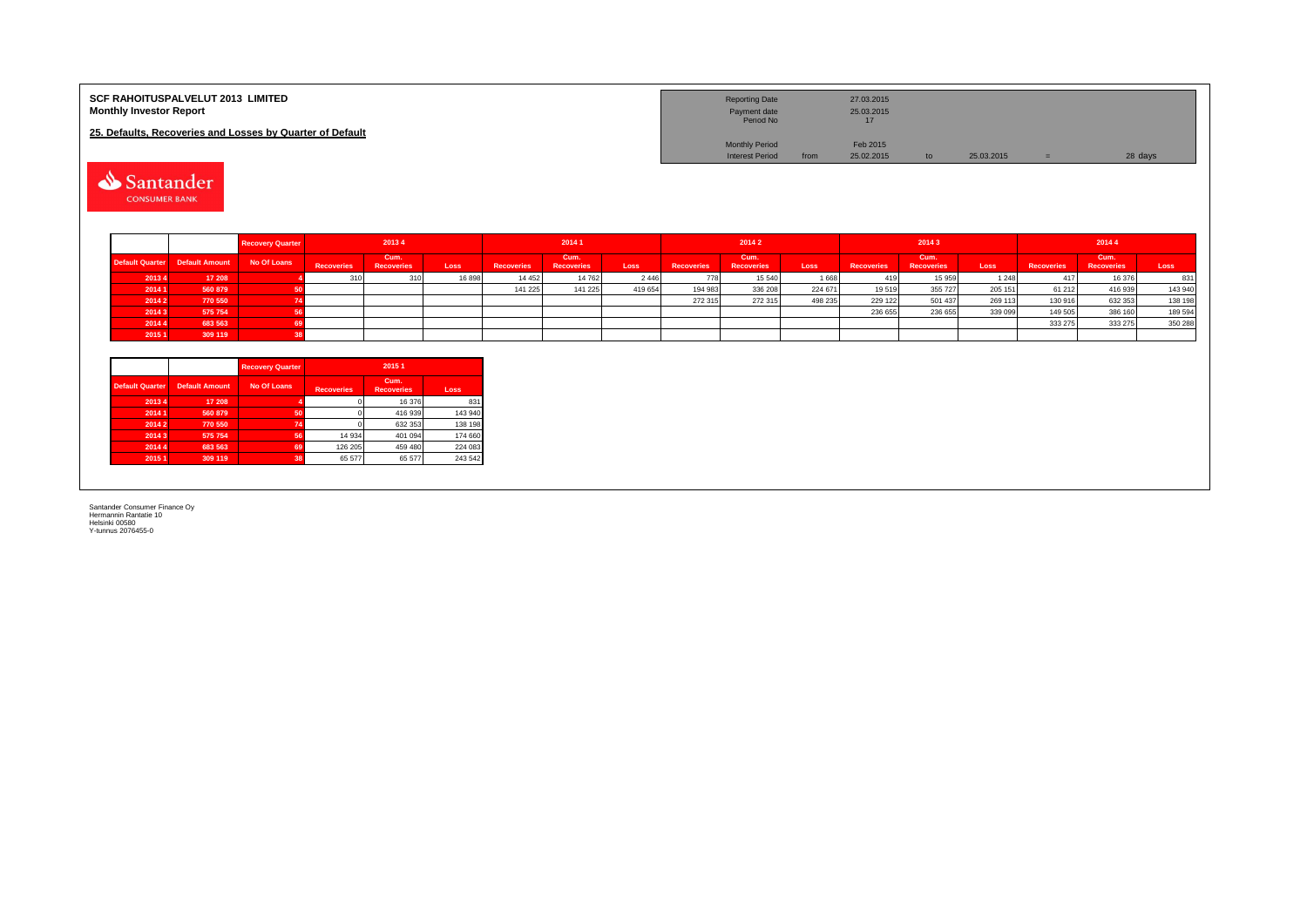| <b>SCF RAHOITUSPALVELUT 2013 LIMITED</b><br><b>Monthly Investor Report</b><br>25. Defaults, Recoveries and Losses by Quarter of Default | <b>Reporting Date</b><br>Payment date<br>Period No | 27.03.2015<br>25.03.2015<br>17 |            |         |
|-----------------------------------------------------------------------------------------------------------------------------------------|----------------------------------------------------|--------------------------------|------------|---------|
|                                                                                                                                         | <b>Monthly Period</b><br><b>Interest Period</b>    | Feb 2015<br>25.02.2015<br>from | 25.03.2015 | 28 days |

Santander

|        |                                            | <b>Recovery Quarter</b> |                   | 20134              |       |                   | 20141                     |             |            | 2014 2                    |         |                   | 20143              |             |                   | 20144                     |         |  |
|--------|--------------------------------------------|-------------------------|-------------------|--------------------|-------|-------------------|---------------------------|-------------|------------|---------------------------|---------|-------------------|--------------------|-------------|-------------------|---------------------------|---------|--|
|        | Default Quarter Default Amount No Of Loans |                         | <b>Recoveries</b> | Cum.<br>Recoveries | Loss  | <b>Recoveries</b> | Cum.<br><b>Recoveries</b> | <b>Loss</b> | Recoveries | Cum.<br><b>Recoveries</b> | Loss    | <b>Recoveries</b> | Cum.<br>Recoveries | <b>Loss</b> | <b>Recoveries</b> | Cum.<br><b>Recoveries</b> | Loss    |  |
| 20134  | 17 208                                     |                         |                   | 310                | 16898 | 14 4 5 2          | 14 762                    | 2 4 4 6     | 778        | 15 540                    | 1668    |                   | 15 959             | 1 2 4 8     |                   | 16 376                    | 831     |  |
| 2014 1 | 560 879                                    |                         |                   |                    |       | 141 225           | 141 225                   | 419 654     | 194 983    | 336 208                   | 224 671 | 19519             | 355 727            | 205 151     | 61 21 2           | 416 939                   | 143 940 |  |
| 2014 2 | 770 550                                    |                         |                   |                    |       |                   |                           |             | 272 315    | 272 315                   | 498 235 | 229 122           | 501 437            | 269 113     | 130 916           | 632 353                   | 138 198 |  |
| 20143  | 575 754                                    |                         |                   |                    |       |                   |                           |             |            |                           |         | 236 655           | 236 655            | 339 099     | 149 505           | 386 160                   | 189 594 |  |
| 2014 4 | 683 563                                    |                         |                   |                    |       |                   |                           |             |            |                           |         |                   |                    |             | 333 275           | 333 275                   | 350 288 |  |
| 2015 1 | 309 119                                    |                         |                   |                    |       |                   |                           |             |            |                           |         |                   |                    |             |                   |                           |         |  |

|                        |                       | <b>Recovery Quarter</b> | 2015 1            |                           |         |  |  |  |  |  |
|------------------------|-----------------------|-------------------------|-------------------|---------------------------|---------|--|--|--|--|--|
| <b>Default Quarter</b> | <b>Default Amount</b> | No Of Loans             | <b>Recoveries</b> | Cum.<br><b>Recoveries</b> | Loss    |  |  |  |  |  |
| 20134                  | 17 208                |                         |                   | 16 376                    | 831     |  |  |  |  |  |
| 2014 1                 | 560 879               | 50                      |                   | 416 939                   | 143 940 |  |  |  |  |  |
| 20142                  | 770 550               | 74                      |                   | 632 353                   | 138 198 |  |  |  |  |  |
| 20143                  | 575 754               | 56                      | 14 934            | 401 094                   | 174 660 |  |  |  |  |  |
| 2014 4                 | 683 563               | 69                      | 126 205           | 459 480                   | 224 083 |  |  |  |  |  |
| 2015 1                 | 309 119               | 38                      | 65 577            | 65 577                    | 243 542 |  |  |  |  |  |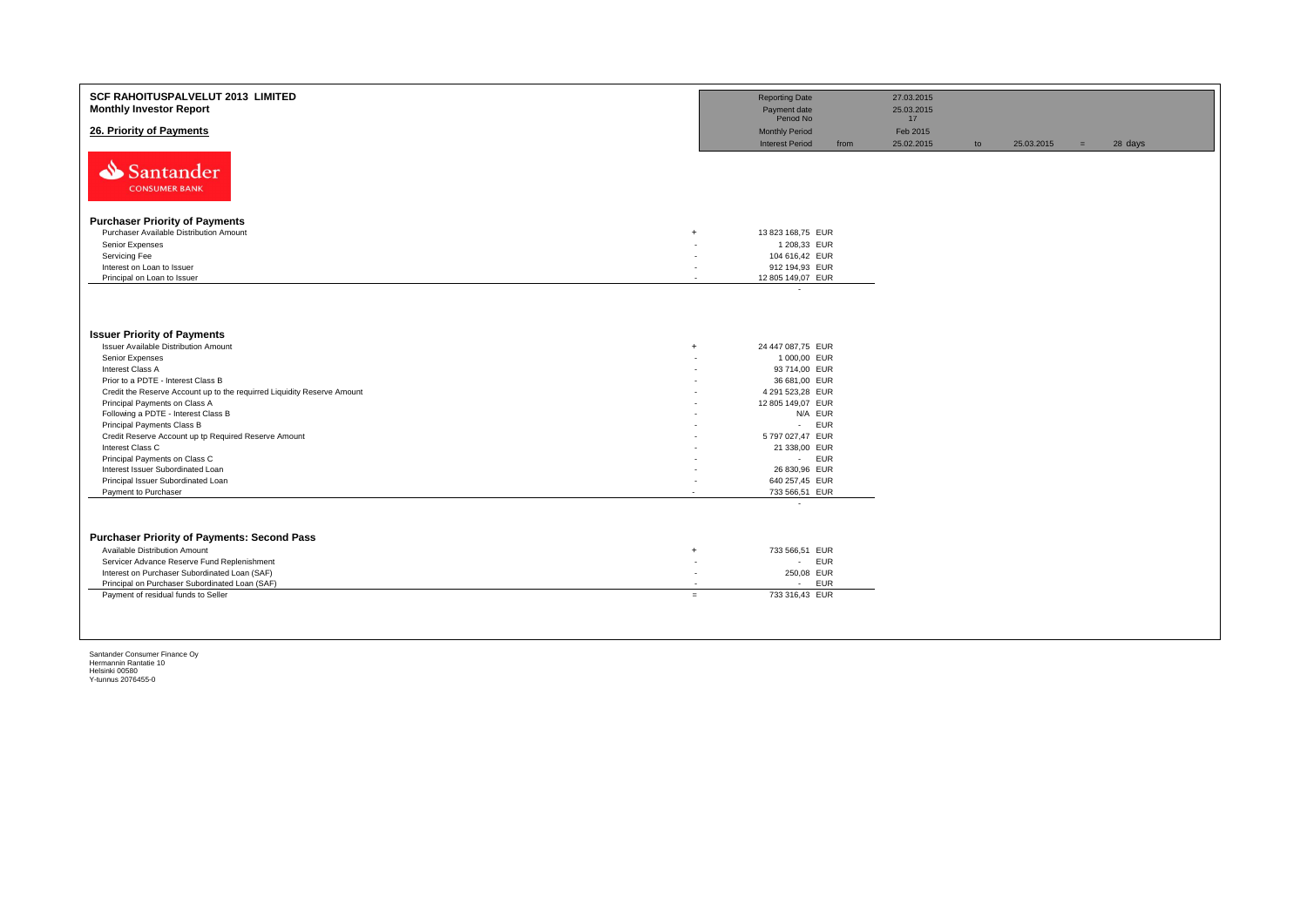| SCF RAHOITUSPALVELUT 2013 LIMITED<br><b>Monthly Investor Report</b>     | <b>Reporting Date</b><br>Payment date                   |      | 27.03.2015<br>25.03.2015 |    |            |     |         |
|-------------------------------------------------------------------------|---------------------------------------------------------|------|--------------------------|----|------------|-----|---------|
|                                                                         | Period No                                               |      | 17 <sup>2</sup>          |    |            |     |         |
| 26. Priority of Payments                                                | <b>Monthly Period</b>                                   |      | Feb 2015                 |    |            |     |         |
|                                                                         | <b>Interest Period</b>                                  | from | 25.02.2015               | to | 25.03.2015 | $=$ | 28 days |
| Santander<br><b>CONSUMER BANK</b>                                       |                                                         |      |                          |    |            |     |         |
|                                                                         |                                                         |      |                          |    |            |     |         |
| <b>Purchaser Priority of Payments</b>                                   |                                                         |      |                          |    |            |     |         |
| Purchaser Available Distribution Amount<br>$\overline{+}$               | 13 823 168,75 EUR                                       |      |                          |    |            |     |         |
| Senior Expenses                                                         | 1 208,33 EUR                                            |      |                          |    |            |     |         |
| Servicing Fee                                                           | 104 616,42 EUR                                          |      |                          |    |            |     |         |
| Interest on Loan to Issuer                                              | 912 194,93 EUR                                          |      |                          |    |            |     |         |
| Principal on Loan to Issuer                                             | 12 805 149,07 EUR<br>$\sim$<br>$\overline{\phantom{a}}$ |      |                          |    |            |     |         |
|                                                                         |                                                         |      |                          |    |            |     |         |
| <b>Issuer Priority of Payments</b>                                      |                                                         |      |                          |    |            |     |         |
| Issuer Available Distribution Amount<br>$\overline{+}$                  | 24 447 087,75 EUR                                       |      |                          |    |            |     |         |
| Senior Expenses                                                         | 1 000,00 EUR                                            |      |                          |    |            |     |         |
| Interest Class A                                                        | 93 714,00 EUR                                           |      |                          |    |            |     |         |
| Prior to a PDTE - Interest Class B                                      | 36 681,00 EUR                                           |      |                          |    |            |     |         |
| Credit the Reserve Account up to the requirred Liquidity Reserve Amount | 4 291 523,28 EUR                                        |      |                          |    |            |     |         |
| Principal Payments on Class A                                           | 12 805 149,07 EUR                                       |      |                          |    |            |     |         |
| Following a PDTE - Interest Class B                                     | N/A EUR                                                 |      |                          |    |            |     |         |
| Principal Payments Class B                                              | <b>EUR</b><br>$\sim 100$                                |      |                          |    |            |     |         |
| Credit Reserve Account up tp Required Reserve Amount                    | 5 797 027,47 EUR                                        |      |                          |    |            |     |         |
| Interest Class C                                                        | 21 338,00 EUR                                           |      |                          |    |            |     |         |
| Principal Payments on Class C                                           | - EUR                                                   |      |                          |    |            |     |         |
| Interest Issuer Subordinated Loan                                       | 26 830,96 EUR                                           |      |                          |    |            |     |         |
| Principal Issuer Subordinated Loan                                      | 640 257,45 EUR                                          |      |                          |    |            |     |         |
| Payment to Purchaser<br>$\overline{\phantom{a}}$                        | 733 566,51 EUR                                          |      |                          |    |            |     |         |
|                                                                         | $\overline{\phantom{a}}$                                |      |                          |    |            |     |         |
| <b>Purchaser Priority of Payments: Second Pass</b>                      |                                                         |      |                          |    |            |     |         |
| Available Distribution Amount<br>$\overline{+}$                         | 733 566,51 EUR                                          |      |                          |    |            |     |         |
| Servicer Advance Reserve Fund Replenishment                             | <b>EUR</b><br>$\sim$<br>٠                               |      |                          |    |            |     |         |
| Interest on Purchaser Subordinated Loan (SAF)                           | 250,08 EUR<br>٠                                         |      |                          |    |            |     |         |
| Principal on Purchaser Subordinated Loan (SAF)                          | EUR<br>$\sim$                                           |      |                          |    |            |     |         |
| Payment of residual funds to Seller<br>$=$                              | 733 316.43 EUR                                          |      |                          |    |            |     |         |
|                                                                         |                                                         |      |                          |    |            |     |         |
|                                                                         |                                                         |      |                          |    |            |     |         |
|                                                                         |                                                         |      |                          |    |            |     |         |
|                                                                         |                                                         |      |                          |    |            |     |         |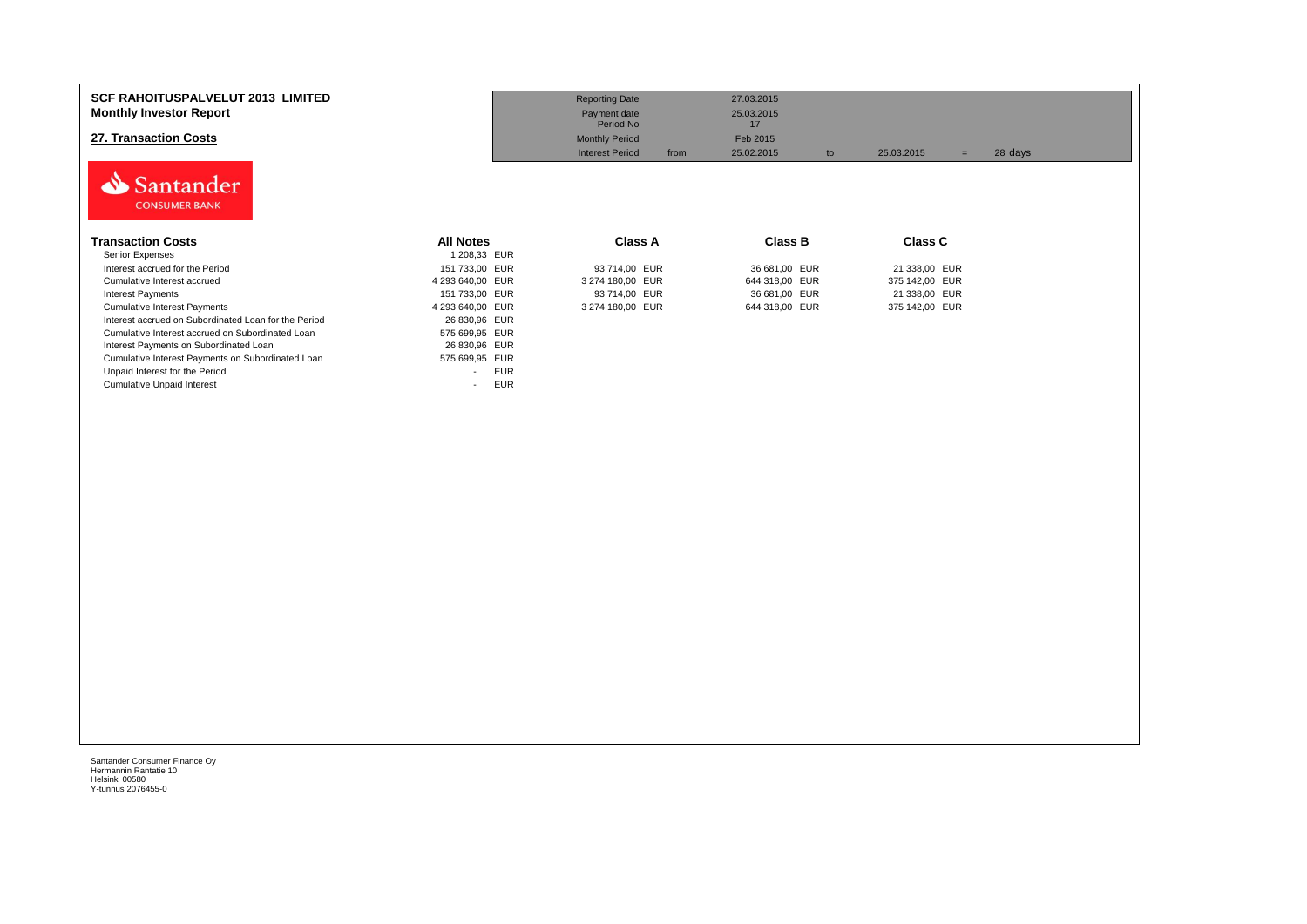| <b>SCF RAHOITUSPALVELUT 2013 LIMITED</b><br><b>Monthly Investor Report</b><br>27. Transaction Costs<br>Santander<br><b>CONSUMER BANK</b> |                                        | <b>Reporting Date</b><br>Payment date<br>Period No<br><b>Monthly Period</b><br><b>Interest Period</b><br>from | 27.03.2015<br>25.03.2015<br>17<br>Feb 2015<br>25.02.2015<br>to | 25.03.2015<br>$=$ | 28 days |
|------------------------------------------------------------------------------------------------------------------------------------------|----------------------------------------|---------------------------------------------------------------------------------------------------------------|----------------------------------------------------------------|-------------------|---------|
| <b>Transaction Costs</b>                                                                                                                 | <b>All Notes</b>                       | Class A                                                                                                       | Class B                                                        | <b>Class C</b>    |         |
| Senior Expenses                                                                                                                          | 1 208,33 EUR                           |                                                                                                               |                                                                |                   |         |
| Interest accrued for the Period                                                                                                          | 151 733,00 EUR                         | 93 714,00 EUR                                                                                                 | 36 681,00 EUR                                                  | 21 338,00 EUR     |         |
| Cumulative Interest accrued                                                                                                              | 4 293 640,00 EUR                       | 3 274 180,00 EUR                                                                                              | 644 318,00 EUR                                                 | 375 142,00 EUR    |         |
| <b>Interest Payments</b>                                                                                                                 | 151 733,00 EUR                         | 93 714,00 EUR                                                                                                 | 36 681,00 EUR                                                  | 21 338,00 EUR     |         |
| <b>Cumulative Interest Payments</b>                                                                                                      | 4 293 640,00 EUR                       | 3 274 180,00 EUR                                                                                              | 644 318,00 EUR                                                 | 375 142,00 EUR    |         |
| Interest accrued on Subordinated Loan for the Period                                                                                     | 26 830,96 EUR                          |                                                                                                               |                                                                |                   |         |
| Cumulative Interest accrued on Subordinated Loan                                                                                         | 575 699,95 EUR                         |                                                                                                               |                                                                |                   |         |
| Interest Payments on Subordinated Loan                                                                                                   | 26 830,96 EUR                          |                                                                                                               |                                                                |                   |         |
| Cumulative Interest Payments on Subordinated Loan                                                                                        | 575 699,95 EUR                         |                                                                                                               |                                                                |                   |         |
| Unpaid Interest for the Period                                                                                                           | <b>EUR</b><br>$\overline{\phantom{a}}$ |                                                                                                               |                                                                |                   |         |
| <b>Cumulative Unpaid Interest</b>                                                                                                        | <b>EUR</b><br>$\overline{\phantom{a}}$ |                                                                                                               |                                                                |                   |         |